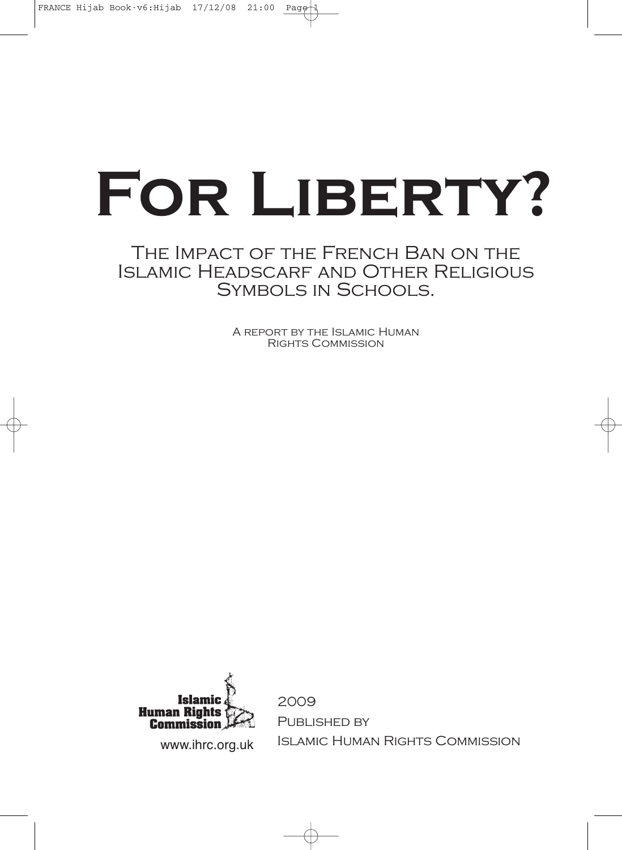# **For Liberty?**

# The Impact of the French Ban on the Islamic Headscarf and Other Religious Symbols in Schools.

A report by the Islamic Human Rights Commission



2009 PUBLISHED BY www.ihrc.org.uk ISLAMIC HUMAN RIGHTS COMMISSION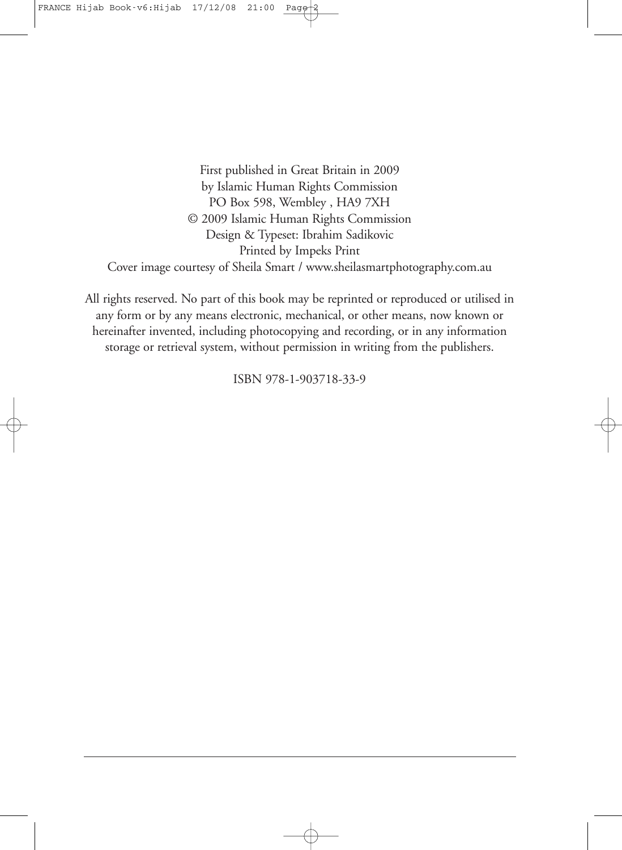First published in Great Britain in 2009 by Islamic Human Rights Commission PO Box 598, Wembley , HA9 7XH © 2009 Islamic Human Rights Commission Design & Typeset: Ibrahim Sadikovic Printed by Impeks Print Cover image courtesy of Sheila Smart / www.sheilasmartphotography.com.au

All rights reserved. No part of this book may be reprinted or reproduced or utilised in any form or by any means electronic, mechanical, or other means, now known or hereinafter invented, including photocopying and recording, or in any information storage or retrieval system, without permission in writing from the publishers.

ISBN 978-1-903718-33-9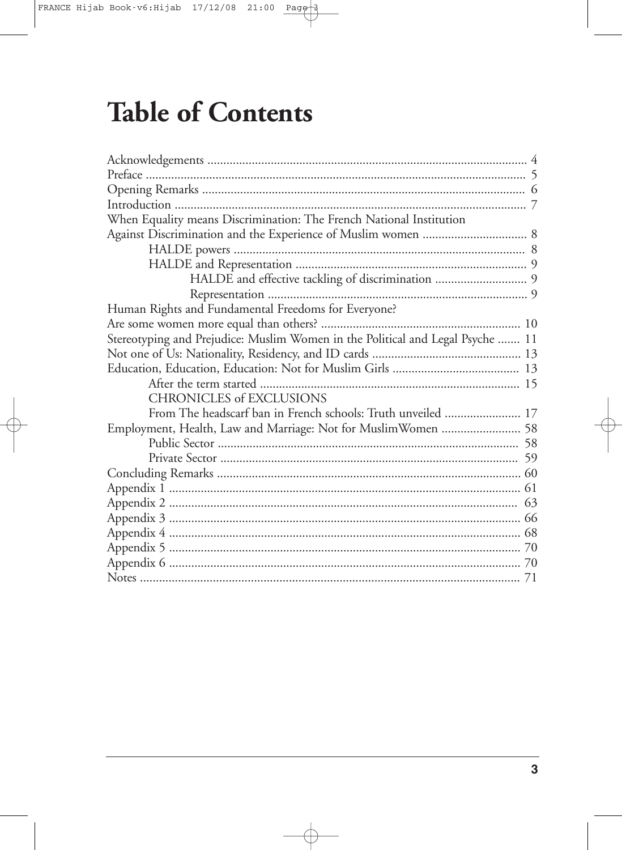# **Table of Contents**

| When Equality means Discrimination: The French National Institution            |  |
|--------------------------------------------------------------------------------|--|
|                                                                                |  |
|                                                                                |  |
|                                                                                |  |
|                                                                                |  |
|                                                                                |  |
| Human Rights and Fundamental Freedoms for Everyone?                            |  |
|                                                                                |  |
| Stereotyping and Prejudice: Muslim Women in the Political and Legal Psyche  11 |  |
|                                                                                |  |
|                                                                                |  |
|                                                                                |  |
| <b>CHRONICLES of EXCLUSIONS</b>                                                |  |
|                                                                                |  |
| Employment, Health, Law and Marriage: Not for MuslimWomen  58                  |  |
|                                                                                |  |
|                                                                                |  |
|                                                                                |  |
|                                                                                |  |
|                                                                                |  |
|                                                                                |  |
|                                                                                |  |
|                                                                                |  |
|                                                                                |  |
|                                                                                |  |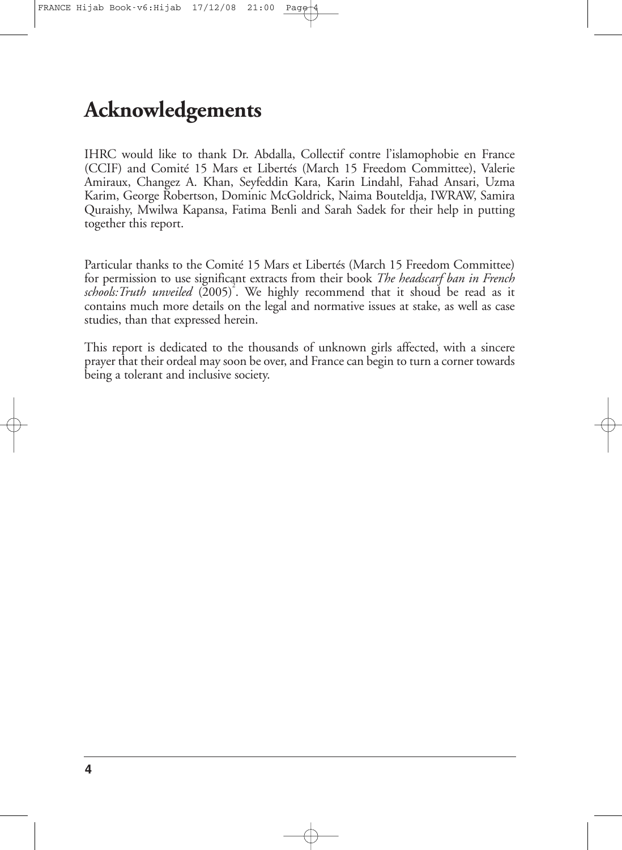# **Acknowledgements**

IHRC would like to thank Dr. Abdalla, Collectif contre l'islamophobie en France (CCIF) and Comité 15 Mars et Libertés (March 15 Freedom Committee), Valerie Amiraux, Changez A. Khan, Seyfeddin Kara, Karin Lindahl, Fahad Ansari, Uzma Karim, George Robertson, Dominic McGoldrick, Naima Bouteldja, IWRAW, Samira Quraishy, Mwilwa Kapansa, Fatima Benli and Sarah Sadek for their help in putting together this report.

Particular thanks to the Comité 15 Mars et Libertés (March 15 Freedom Committee) for permission to use significant extracts from their book *The headscarf ban in French schools:Truth unveiled* (2005) 2 . We highly recommend that it shoud be read as it contains much more details on the legal and normative issues at stake, as well as case studies, than that expressed herein.

This report is dedicated to the thousands of unknown girls affected, with a sincere prayer that their ordeal may soon be over, and France can begin to turn a corner towards being a tolerant and inclusive society.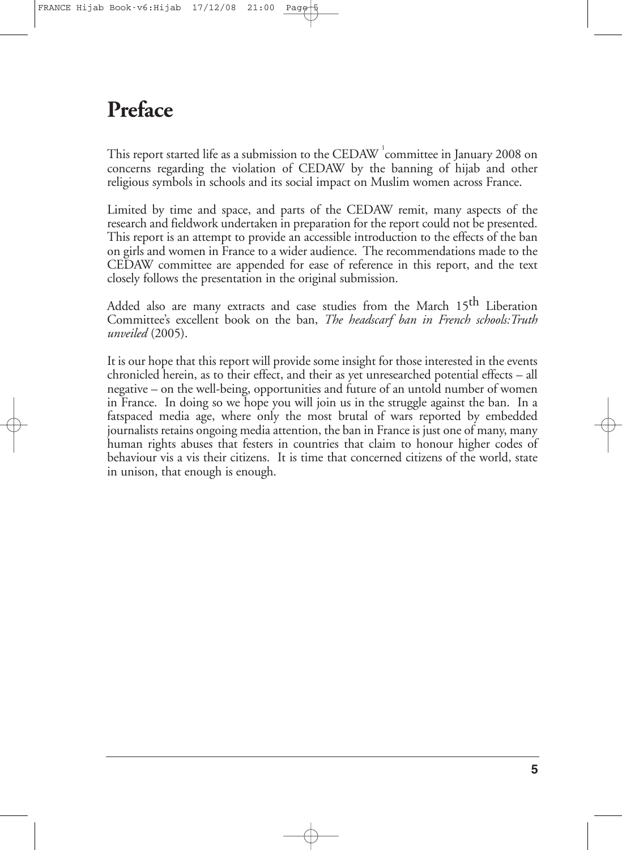# **Preface**

This report started life as a submission to the CEDAW  $^{\rm !}$ committee in January 2008 on concerns regarding the violation of CEDAW by the banning of hijab and other religious symbols in schools and its social impact on Muslim women across France.

Limited by time and space, and parts of the CEDAW remit, many aspects of the research and fieldwork undertaken in preparation for the report could not be presented. This report is an attempt to provide an accessible introduction to the effects of the ban on girls and women in France to a wider audience. The recommendations made to the CEDAW committee are appended for ease of reference in this report, and the text closely follows the presentation in the original submission.

Added also are many extracts and case studies from the March 15<sup>th</sup> Liberation Committee's excellent book on the ban, *The headscarf ban in French schools:Truth unveiled* (2005).

It is our hope that this report will provide some insight for those interested in the events chronicled herein, as to their effect, and their as yet unresearched potential effects – all negative – on the well-being, opportunities and future of an untold number of women in France. In doing so we hope you will join us in the struggle against the ban. In a fatspaced media age, where only the most brutal of wars reported by embedded journalists retains ongoing media attention, the ban in France is just one of many, many human rights abuses that festers in countries that claim to honour higher codes of behaviour vis a vis their citizens. It is time that concerned citizens of the world, state in unison, that enough is enough.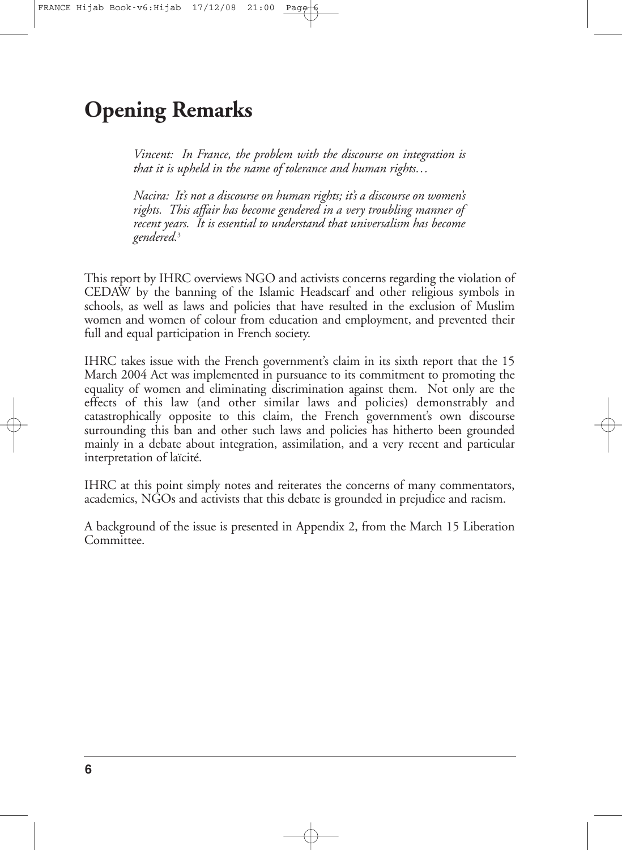# **Opening Remarks**

*Vincent: In France, the problem with the discourse on integration is that it is upheld in the name of tolerance and human rights…*

*Nacira: It's not a discourse on human rights; it's a discourse on women's rights. This affair has become gendered in a very troubling manner of recent years. It is essential to understand that universalism has become gendered.* 3

This report by IHRC overviews NGO and activists concerns regarding the violation of CEDAW by the banning of the Islamic Headscarf and other religious symbols in schools, as well as laws and policies that have resulted in the exclusion of Muslim women and women of colour from education and employment, and prevented their full and equal participation in French society.

IHRC takes issue with the French government's claim in its sixth report that the 15 March 2004 Act was implemented in pursuance to its commitment to promoting the equality of women and eliminating discrimination against them. Not only are the effects of this law (and other similar laws and policies) demonstrably and catastrophically opposite to this claim, the French government's own discourse surrounding this ban and other such laws and policies has hitherto been grounded mainly in a debate about integration, assimilation, and a very recent and particular interpretation of laïcité.

IHRC at this point simply notes and reiterates the concerns of many commentators, academics, NGOs and activists that this debate is grounded in prejudice and racism.

A background of the issue is presented in Appendix 2, from the March 15 Liberation Committee.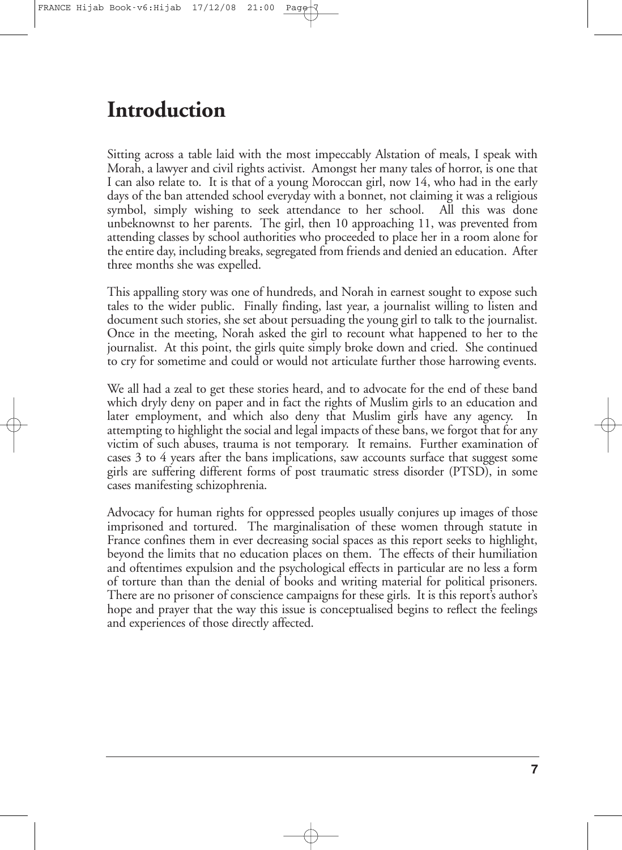# **Introduction**

Sitting across a table laid with the most impeccably Alstation of meals, I speak with Morah, a lawyer and civil rights activist. Amongst her many tales of horror, is one that I can also relate to. It is that of a young Moroccan girl, now 14, who had in the early days of the ban attended school everyday with a bonnet, not claiming it was a religious symbol, simply wishing to seek attendance to her school. All this was done unbeknownst to her parents. The girl, then 10 approaching 11, was prevented from attending classes by school authorities who proceeded to place her in a room alone for the entire day, including breaks, segregated from friends and denied an education. After three months she was expelled.

This appalling story was one of hundreds, and Norah in earnest sought to expose such tales to the wider public. Finally finding, last year, a journalist willing to listen and document such stories, she set about persuading the young girl to talk to the journalist. Once in the meeting, Norah asked the girl to recount what happened to her to the journalist. At this point, the girls quite simply broke down and cried. She continued to cry for sometime and could or would not articulate further those harrowing events.

We all had a zeal to get these stories heard, and to advocate for the end of these band which dryly deny on paper and in fact the rights of Muslim girls to an education and later employment, and which also deny that Muslim girls have any agency. In attempting to highlight the social and legal impacts of these bans, we forgot that for any victim of such abuses, trauma is not temporary. It remains. Further examination of cases 3 to 4 years after the bans implications, saw accounts surface that suggest some girls are suffering different forms of post traumatic stress disorder (PTSD), in some cases manifesting schizophrenia.

Advocacy for human rights for oppressed peoples usually conjures up images of those imprisoned and tortured. The marginalisation of these women through statute in France confines them in ever decreasing social spaces as this report seeks to highlight, beyond the limits that no education places on them. The effects of their humiliation and oftentimes expulsion and the psychological effects in particular are no less a form of torture than than the denial of books and writing material for political prisoners. There are no prisoner of conscience campaigns for these girls. It is this report's author's hope and prayer that the way this issue is conceptualised begins to reflect the feelings and experiences of those directly affected.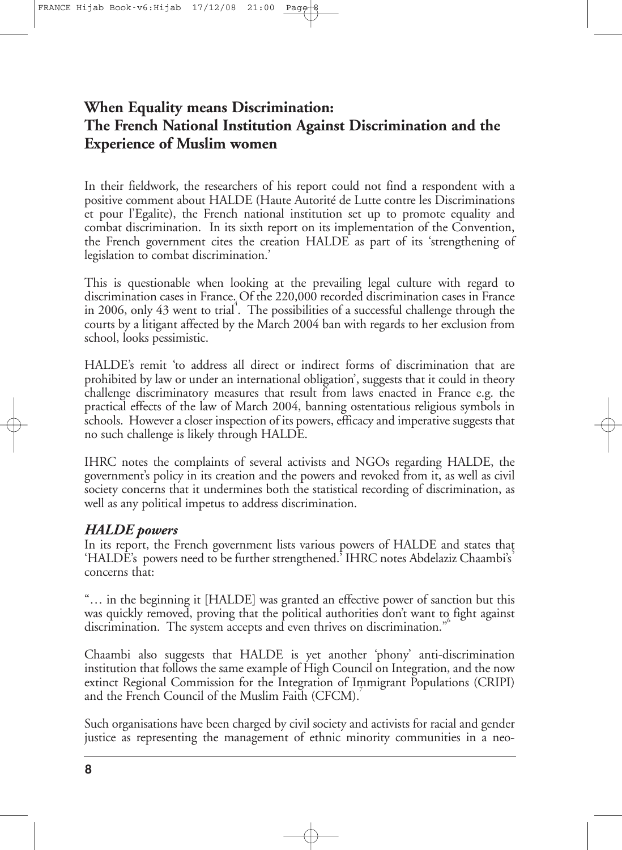# **When Equality means Discrimination: The French National Institution Against Discrimination and the Experience of Muslim women**

In their fieldwork, the researchers of his report could not find a respondent with a positive comment about HALDE (Haute Autorité de Lutte contre les Discriminations et pour l'Egalite), the French national institution set up to promote equality and combat discrimination. In its sixth report on its implementation of the Convention, the French government cites the creation HALDE as part of its 'strengthening of legislation to combat discrimination.'

This is questionable when looking at the prevailing legal culture with regard to discrimination cases in France. Of the 220,000 recorded discrimination cases in France in 2006, only 43 went to trial 4 . The possibilities of a successful challenge through the courts by a litigant affected by the March 2004 ban with regards to her exclusion from school, looks pessimistic.

HALDE's remit 'to address all direct or indirect forms of discrimination that are prohibited by law or under an international obligation', suggests that it could in theory challenge discriminatory measures that result from laws enacted in France e.g. the practical effects of the law of March 2004, banning ostentatious religious symbols in schools. However a closer inspection of its powers, efficacy and imperative suggests that no such challenge is likely through HALDE.

IHRC notes the complaints of several activists and NGOs regarding HALDE, the government's policy in its creation and the powers and revoked from it, as well as civil society concerns that it undermines both the statistical recording of discrimination, as well as any political impetus to address discrimination.

#### *HALDE powers*

In its report, the French government lists various powers of HALDE and states that 'HALDE's powers need to be further strengthened.' IHRC notes Abdelaziz Chaambi's concerns that:

"… in the beginning it [HALDE] was granted an effective power of sanction but this was quickly removed, proving that the political authorities don't want to fight against discrimination. The system accepts and even thrives on discrimination." 6

Chaambi also suggests that HALDE is yet another 'phony' anti-discrimination institution that follows the same example of High Council on Integration, and the now extinct Regional Commission for the Integration of Immigrant Populations (CRIPI) and the French Council of the Muslim Faith (CFCM).

Such organisations have been charged by civil society and activists for racial and gender justice as representing the management of ethnic minority communities in a neo-

**8**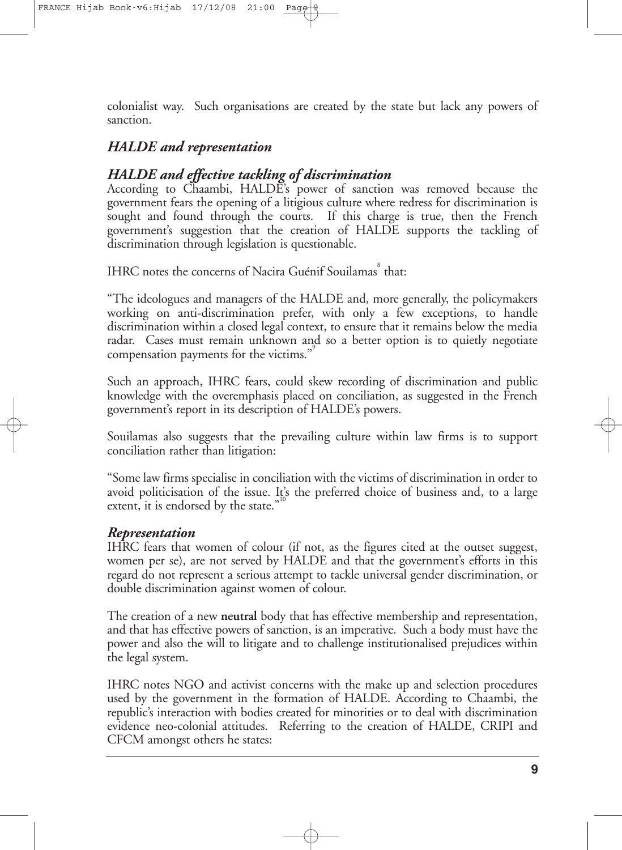FRANCE Hijab Book-v6:Hijab  $17/12/08$  21:00

colonialist way. Such organisations are created by the state but lack any powers of sanction.

## *HALDE and representation*

# *HALDE and effective tackling of discrimination*

According to Chaambi, HALDE's power of sanction was removed because the government fears the opening of a litigious culture where redress for discrimination is sought and found through the courts. If this charge is true, then the French government's suggestion that the creation of HALDE supports the tackling of discrimination through legislation is questionable.

IHRC notes the concerns of Nacira Guénif Souilamas<sup>8</sup> that:

"The ideologues and managers of the HALDE and, more generally, the policymakers working on anti-discrimination prefer, with only a few exceptions, to handle discrimination within a closed legal context, to ensure that it remains below the media radar. Cases must remain unknown and so a better option is to quietly negotiate compensation payments for the victims."<sup>9</sup>

Such an approach, IHRC fears, could skew recording of discrimination and public knowledge with the overemphasis placed on conciliation, as suggested in the French government's report in its description of HALDE's powers.

Souilamas also suggests that the prevailing culture within law firms is to support conciliation rather than litigation:

"Some law firms specialise in conciliation with the victims of discrimination in order to avoid politicisation of the issue. It's the preferred choice of business and, to a large extent, it is endorsed by the state."

#### *Representation*

IHRC fears that women of colour (if not, as the figures cited at the outset suggest, women per se), are not served by HALDE and that the government's efforts in this regard do not represent a serious attempt to tackle universal gender discrimination, or double discrimination against women of colour.

The creation of a new **neutral** body that has effective membership and representation, and that has effective powers of sanction, is an imperative. Such a body must have the power and also the will to litigate and to challenge institutionalised prejudices within the legal system.

IHRC notes NGO and activist concerns with the make up and selection procedures used by the government in the formation of HALDE. According to Chaambi, the republic's interaction with bodies created for minorities or to deal with discrimination evidence neo-colonial attitudes. Referring to the creation of HALDE, CRIPI and CFCM amongst others he states: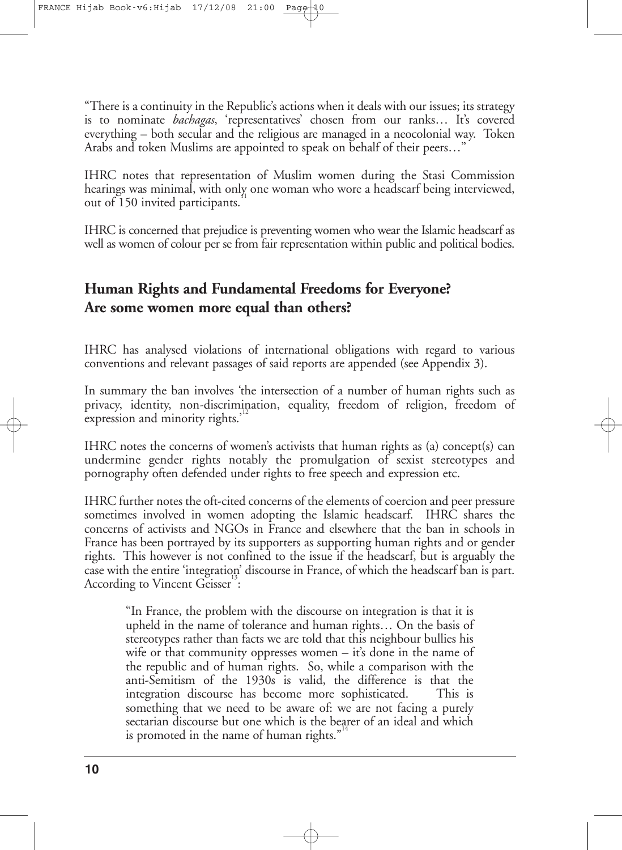"There is a continuity in the Republic's actions when it deals with our issues; its strategy is to nominate *bachagas*, 'representatives' chosen from our ranks… It's covered everything – both secular and the religious are managed in a neocolonial way. Token Arabs and token Muslims are appointed to speak on behalf of their peers…"

IHRC notes that representation of Muslim women during the Stasi Commission hearings was minimal, with only one woman who wore a headscarf being interviewed, 11 out of 150 invited participants.

IHRC is concerned that prejudice is preventing women who wear the Islamic headscarf as well as women of colour per se from fair representation within public and political bodies.

# **Human Rights and Fundamental Freedoms for Everyone? Are some women more equal than others?**

IHRC has analysed violations of international obligations with regard to various conventions and relevant passages of said reports are appended (see Appendix 3).

In summary the ban involves 'the intersection of a number of human rights such as privacy, identity, non-discrimination, equality, freedom of religion, freedom of 12 expression and minority rights.'

IHRC notes the concerns of women's activists that human rights as (a) concept(s) can undermine gender rights notably the promulgation of sexist stereotypes and pornography often defended under rights to free speech and expression etc.

IHRC further notes the oft-cited concerns of the elements of coercion and peer pressure sometimes involved in women adopting the Islamic headscarf. IHRC shares the concerns of activists and NGOs in France and elsewhere that the ban in schools in France has been portrayed by its supporters as supporting human rights and or gender rights. This however is not confined to the issue if the headscarf, but is arguably the case with the entire 'integration' discourse in France, of which the headscarf ban is part. According to Vincent Geisser<sup>13</sup>:

"In France, the problem with the discourse on integration is that it is upheld in the name of tolerance and human rights… On the basis of stereotypes rather than facts we are told that this neighbour bullies his wife or that community oppresses women – it's done in the name of the republic and of human rights. So, while a comparison with the anti-Semitism of the 1930s is valid, the difference is that the integration discourse has become more sophisticated. This is something that we need to be aware of: we are not facing a purely sectarian discourse but one which is the bearer of an ideal and which is promoted in the name of human rights."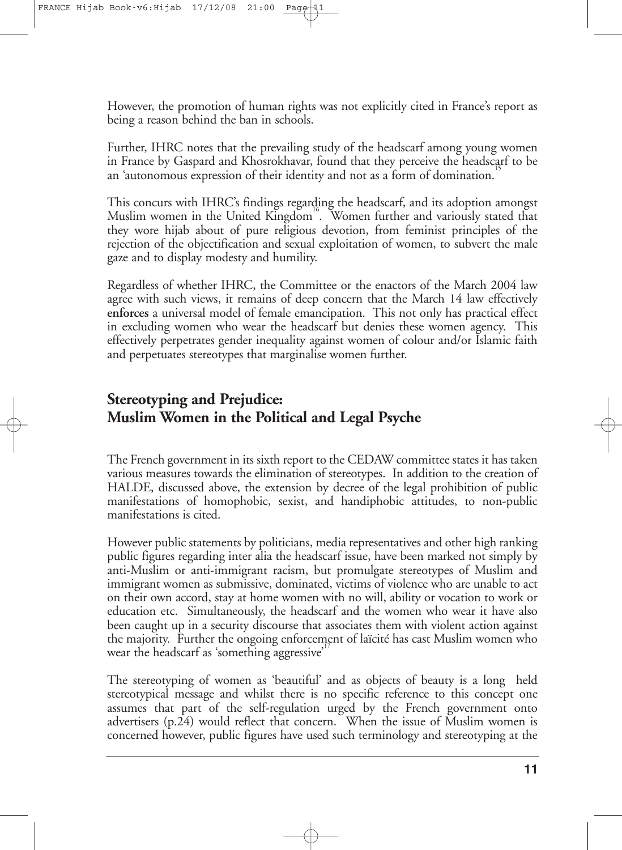However, the promotion of human rights was not explicitly cited in France's report as being a reason behind the ban in schools.

Further, IHRC notes that the prevailing study of the headscarf among young women in France by Gaspard and Khosrokhavar, found that they perceive the headscarf to be an 'autonomous expression of their identity and not as a form of domination. 15

This concurs with IHRC's findings regarding the headscarf, and its adoption amongst Muslim women in the United Kingdom<sup>16</sup>. Women further and variously stated that they wore hijab about of pure religious devotion, from feminist principles of the rejection of the objectification and sexual exploitation of women, to subvert the male gaze and to display modesty and humility.

Regardless of whether IHRC, the Committee or the enactors of the March 2004 law agree with such views, it remains of deep concern that the March 14 law effectively **enforces** a universal model of female emancipation. This not only has practical effect in excluding women who wear the headscarf but denies these women agency. This effectively perpetrates gender inequality against women of colour and/or Islamic faith and perpetuates stereotypes that marginalise women further.

# **Stereotyping and Prejudice: Muslim Women in the Political and Legal Psyche**

The French government in its sixth report to the CEDAW committee states it has taken various measures towards the elimination of stereotypes. In addition to the creation of HALDE, discussed above, the extension by decree of the legal prohibition of public manifestations of homophobic, sexist, and handiphobic attitudes, to non-public manifestations is cited.

However public statements by politicians, media representatives and other high ranking public figures regarding inter alia the headscarf issue, have been marked not simply by anti-Muslim or anti-immigrant racism, but promulgate stereotypes of Muslim and immigrant women as submissive, dominated, victims of violence who are unable to act on their own accord, stay at home women with no will, ability or vocation to work or education etc. Simultaneously, the headscarf and the women who wear it have also been caught up in a security discourse that associates them with violent action against the majority. Further the ongoing enforcement of laïcité has cast Muslim women who wear the headscarf as 'something aggressive'<sup>17</sup>

The stereotyping of women as 'beautiful' and as objects of beauty is a long held stereotypical message and whilst there is no specific reference to this concept one assumes that part of the self-regulation urged by the French government onto advertisers (p.24) would reflect that concern. When the issue of Muslim women is concerned however, public figures have used such terminology and stereotyping at the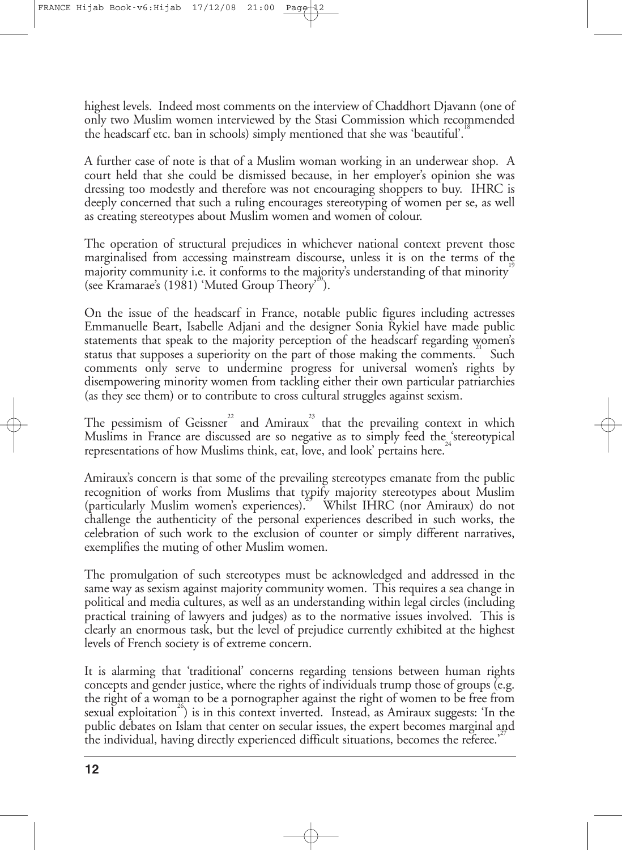highest levels. Indeed most comments on the interview of Chaddhort Djavann (one of only two Muslim women interviewed by the Stasi Commission which recommended the headscarf etc. ban in schools) simply mentioned that she was 'beautiful'.<sup>18</sup>

A further case of note is that of a Muslim woman working in an underwear shop. A court held that she could be dismissed because, in her employer's opinion she was dressing too modestly and therefore was not encouraging shoppers to buy. IHRC is deeply concerned that such a ruling encourages stereotyping of women per se, as well as creating stereotypes about Muslim women and women of colour.

The operation of structural prejudices in whichever national context prevent those marginalised from accessing mainstream discourse, unless it is on the terms of the majority community i.e. it conforms to the majority's understanding of that minority  $^{\text{!`}}$ (see Kramarae's (1981) 'Muted Group Theory'<sup>20</sup>).

On the issue of the headscarf in France, notable public figures including actresses Emmanuelle Beart, Isabelle Adjani and the designer Sonia Rykiel have made public statements that speak to the majority perception of the headscarf regarding women's status that supposes a superiority on the part of those making the comments. Such comments only serve to undermine progress for universal women's rights by disempowering minority women from tackling either their own particular patriarchies (as they see them) or to contribute to cross cultural struggles against sexism.

The pessimism of Geissner<sup>22</sup> and Amiraux<sup>23</sup> that the prevailing context in which Muslims in France are discussed are so negative as to simply feed the  $\frac{1}{24}$ stereotypical representations of how Muslims think, eat, love, and look' pertains here.

Amiraux's concern is that some of the prevailing stereotypes emanate from the public recognition of works from Muslims that typify majority stereotypes about Muslim (particularly Muslim women's experiences).<sup>24</sup> Whilst IHRC (nor Amiraux) do not challenge the authenticity of the personal experiences described in such works, the celebration of such work to the exclusion of counter or simply different narratives, exemplifies the muting of other Muslim women.

The promulgation of such stereotypes must be acknowledged and addressed in the same way as sexism against majority community women. This requires a sea change in political and media cultures, as well as an understanding within legal circles (including practical training of lawyers and judges) as to the normative issues involved. This is clearly an enormous task, but the level of prejudice currently exhibited at the highest levels of French society is of extreme concern.

It is alarming that 'traditional' concerns regarding tensions between human rights concepts and gender justice, where the rights of individuals trump those of groups (e.g. the right of a woman to be a pornographer against the right of women to be free from 26 sexual exploitation ) is in this context inverted. Instead, as Amiraux suggests: 'In the public debates on Islam that center on secular issues, the expert becomes marginal and the individual, having directly experienced difficult situations, becomes the referee.'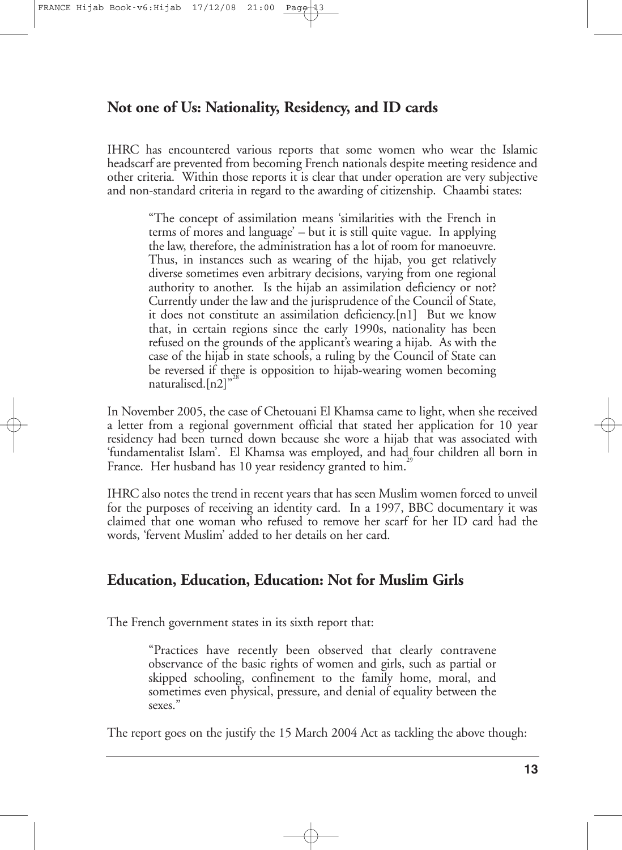## **Not one of Us: Nationality, Residency, and ID cards**

IHRC has encountered various reports that some women who wear the Islamic headscarf are prevented from becoming French nationals despite meeting residence and other criteria. Within those reports it is clear that under operation are very subjective and non-standard criteria in regard to the awarding of citizenship. Chaambi states:

"The concept of assimilation means 'similarities with the French in terms of mores and language' – but it is still quite vague. In applying the law, therefore, the administration has a lot of room for manoeuvre. Thus, in instances such as wearing of the hijab, you get relatively diverse sometimes even arbitrary decisions, varying from one regional authority to another. Is the hijab an assimilation deficiency or not? Currently under the law and the jurisprudence of the Council of State, it does not constitute an assimilation deficiency.[n1] But we know that, in certain regions since the early 1990s, nationality has been refused on the grounds of the applicant's wearing a hijab. As with the case of the hijab in state schools, a ruling by the Council of State can be reversed if there is opposition to hijab-wearing women becoming naturalised.[n2]"

In November 2005, the case of Chetouani El Khamsa came to light, when she received a letter from a regional government official that stated her application for 10 year residency had been turned down because she wore a hijab that was associated with 'fundamentalist Islam'. El Khamsa was employed, and had, four children all born in France. Her husband has 10 year residency granted to him.

IHRC also notes the trend in recent years that has seen Muslim women forced to unveil for the purposes of receiving an identity card. In a 1997, BBC documentary it was claimed that one woman who refused to remove her scarf for her ID card had the words, 'fervent Muslim' added to her details on her card.

## **Education, Education, Education: Not for Muslim Girls**

The French government states in its sixth report that:

"Practices have recently been observed that clearly contravene observance of the basic rights of women and girls, such as partial or skipped schooling, confinement to the family home, moral, and sometimes even physical, pressure, and denial of equality between the sexes."

The report goes on the justify the 15 March 2004 Act as tackling the above though: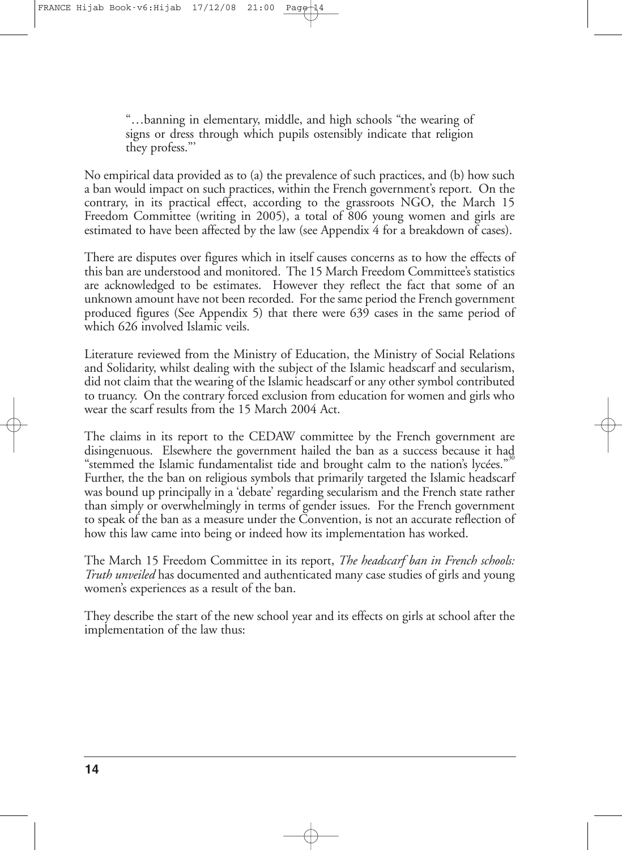"…banning in elementary, middle, and high schools "the wearing of signs or dress through which pupils ostensibly indicate that religion they profess."'

No empirical data provided as to (a) the prevalence of such practices, and (b) how such a ban would impact on such practices, within the French government's report. On the contrary, in its practical effect, according to the grassroots NGO, the March 15 Freedom Committee (writing in 2005), a total of 806 young women and girls are estimated to have been affected by the law (see Appendix 4 for a breakdown of cases).

There are disputes over figures which in itself causes concerns as to how the effects of this ban are understood and monitored. The 15 March Freedom Committee's statistics are acknowledged to be estimates. However they reflect the fact that some of an unknown amount have not been recorded. For thesame period the French government produced figures (See Appendix 5) that there were 639 cases in the same period of which 626 involved Islamic veils.

Literature reviewed from the Ministry of Education, the Ministry of Social Relations and Solidarity, whilst dealing with the subject of the Islamic headscarf and secularism, did not claim that the wearing of the Islamic headscarf or any other symbol contributed to truancy. On the contrary forced exclusion from education for women and girls who wear the scarf results from the 15 March 2004 Act.

The claims in its report to the CEDAW committee by the French government are disingenuous. Elsewhere the government hailed the ban as a success because it had 30 "stemmed the Islamic fundamentalist tide and brought calm to the nation's lycées." Further, the the ban on religious symbols that primarily targeted the Islamic headscarf was bound up principally in a 'debate' regarding secularism and the French state rather than simply or overwhelmingly in terms of gender issues. For the French government to speak of the ban as a measure under the Convention, is not an accurate reflection of how this law came into being or indeed how its implementation has worked.

The March 15 Freedom Committee in its report, *The headscarf ban in French schools: Truth unveiled* has documented and authenticated many case studies of girls and young women's experiences as a result of the ban.

They describe the start of the new school year and its effects on girls at school after the implementation of the law thus: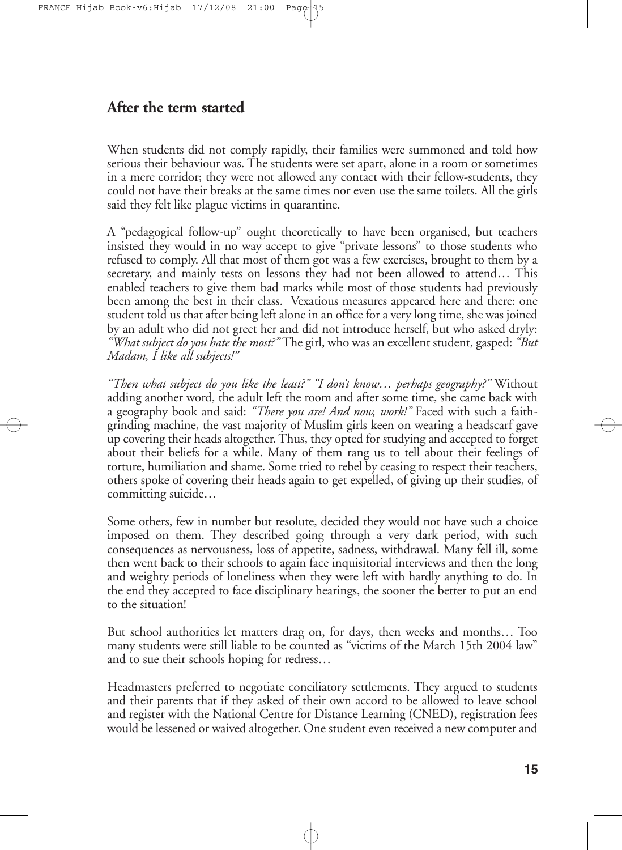## **After the term started**

When students did not comply rapidly, their families were summoned and told how serious their behaviour was. The students were set apart, alone in a room or sometimes in a mere corridor; they were not allowed any contact with their fellow-students, they could not have their breaks at the same times nor even use the same toilets. All the girls said they felt like plague victims in quarantine.

A "pedagogical follow-up" ought theoretically to have been organised, but teachers insisted they would in no way accept to give "private lessons" to those students who refused to comply. All that most of them got was a few exercises, brought to them by a secretary, and mainly tests on lessons they had not been allowed to attend… This enabled teachers to give them bad marks while most of those students had previously been among the best in their class. Vexatious measures appeared here and there: one student told us that after being left alone in an office for a very long time, she was joined by an adult who did not greet her and did not introduce herself, but who asked dryly: *"What subject do you hate the most?"* The girl, who was an excellent student, gasped: *"But Madam, I like all subjects!"*

*"Then what subject do you like the least?" "I don't know… perhaps geography?"* Without adding another word, the adult left the room and after some time, she came back with a geography book and said: *"There you are! And now, work!"* Faced with such a faithgrinding machine, the vast majority of Muslim girls keen on wearing a headscarf gave up covering their heads altogether.Thus, they opted for studying and accepted to forget about their beliefs for a while. Many of them rang us to tell about their feelings of torture, humiliation and shame. Some tried to rebel by ceasing to respect their teachers, others spoke of covering their heads again to get expelled, of giving up their studies, of committing suicide…

Some others, few in number but resolute, decided they would not have such a choice imposed on them. They described going through a very dark period, with such consequences as nervousness, loss of appetite, sadness, withdrawal. Many fell ill, some then went back to their schools to again face inquisitorial interviews and then the long and weighty periods of loneliness when they were left with hardly anything to do. In the end they accepted to face disciplinary hearings, the sooner the better to put an end to the situation!

But school authorities let matters drag on, for days, then weeks and months… Too many students were still liable to be counted as "victims of the March 15th 2004 law" and to sue their schools hoping for redress…

Headmasters preferred to negotiate conciliatory settlements. They argued to students and their parents that if they asked of their own accord to be allowed to leave school and register with the National Centre for Distance Learning (CNED), registration fees would be lessened or waived altogether. One student even received a new computer and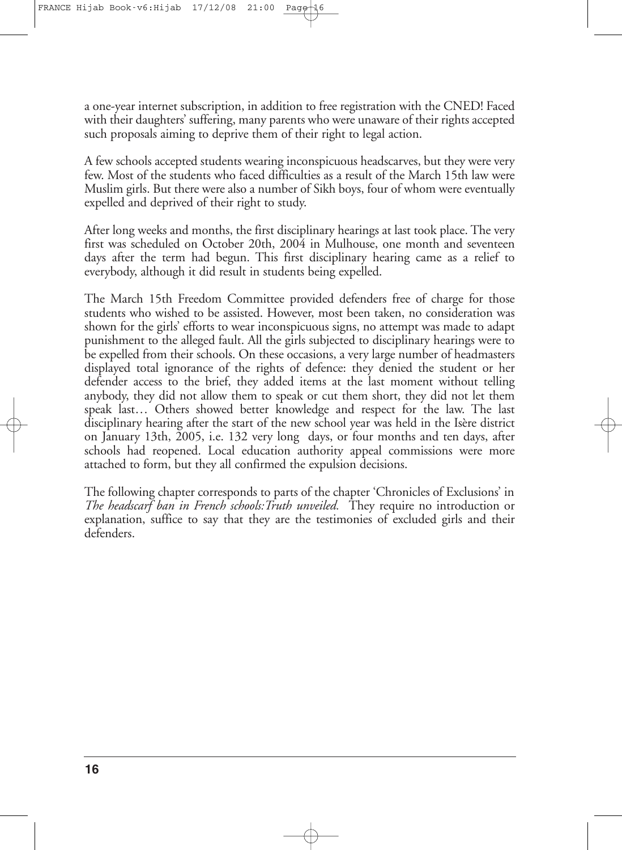a one-year internet subscription, in addition to free registration with the CNED! Faced with their daughters' suffering, many parents who were unaware of their rights accepted such proposals aiming to deprive them of their right to legal action.

A few schools accepted students wearing inconspicuous headscarves, but they were very few. Most of the students who faced difficulties as a result of the March 15th law were Muslim girls. But there were also a number of Sikh boys, four of whom were eventually expelled and deprived of their right to study.

After long weeks and months, the first disciplinary hearings at last took place. The very first was scheduled on October 20th, 2004 in Mulhouse, one month and seventeen days after the term had begun. This first disciplinary hearing came as a relief to everybody, although it did result in students being expelled.

The March 15th Freedom Committee provided defenders free of charge for those students who wished to be assisted. However, most been taken, no consideration was shown for the girls' efforts to wear inconspicuous signs, no attempt was made to adapt punishment to the alleged fault. All the girls subjected to disciplinary hearings were to be expelled from their schools. On these occasions, a very large number of headmasters displayed total ignorance of the rights of defence: they denied the student or her defender access to the brief, they added items at the last moment without telling anybody, they did not allow them to speak or cut them short, they did not let them speak last… Others showed better knowledge and respect for the law. The last disciplinary hearing after the start of the new school year was held in the Isère district on January 13th, 2005, i.e. 132 very long days, or four months and ten days, after schools had reopened. Local education authority appeal commissions were more attached to form, but they all confirmed the expulsion decisions.

The following chapter corresponds to parts of the chapter 'Chronicles of Exclusions' in *The headscarf ban in French schools:Truth unveiled.* They require no introduction or explanation, suffice to say that they are the testimonies of excluded girls and their defenders.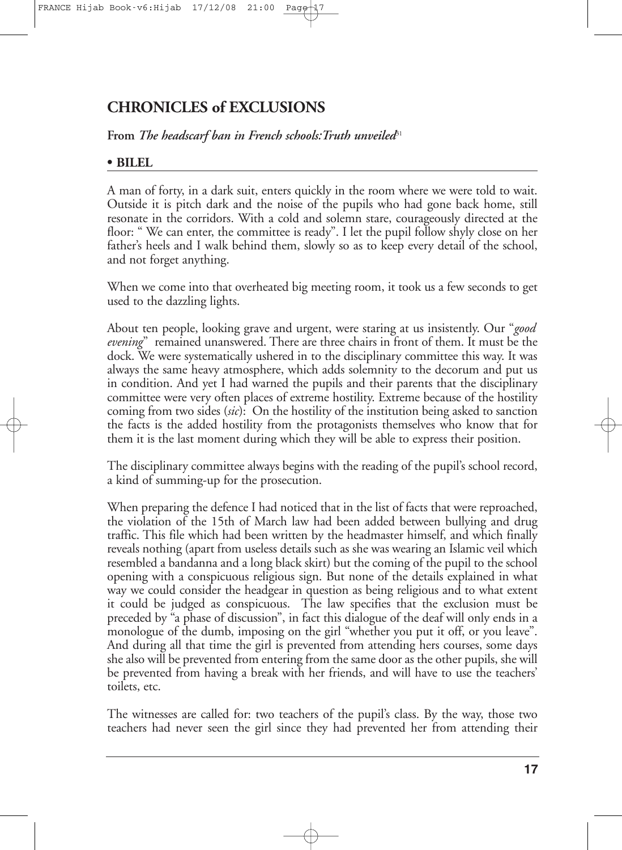## **CHRONICLES of EXCLUSIONS**

**From** *The headscarf ban in French schools:Truth unveiled*<sup>31</sup>

#### **• BILEL**

A man of forty, in a dark suit, enters quickly in the room where we were told to wait. Outside it is pitch dark and the noise of the pupils who had gone back home, still resonate in the corridors. With a cold and solemn stare, courageously directed at the floor: " We can enter, the committee is ready". I let the pupil follow shyly close on her father's heels and I walk behind them, slowly so as to keep every detail of the school, and not forget anything.

When we come into that overheated big meeting room, it took us a few seconds to get used to the dazzling lights.

About ten people, looking grave and urgent, were staring at us insistently. Our "*good evening*" remained unanswered. There are three chairs in front of them. It must be the dock. We were systematically ushered in to the disciplinary committee this way. It was always the same heavy atmosphere, which adds solemnity to the decorum and put us in condition. And yet I had warned the pupils and their parents that the disciplinary committee were very often places of extreme hostility. Extreme because of the hostility coming from two sides (*sic*): On the hostility of the institution being asked to sanction the facts is the added hostility from the protagonists themselves who know that for them it is the last moment during which they will be able to express their position.

The disciplinary committee always begins with the reading of the pupil's school record, a kind of summing-up for the prosecution.

When preparing the defence I had noticed that in the list of facts that were reproached, the violation of the 15th of March law had been added between bullying and drug traffic. This file which had been written by the headmaster himself, and which finally reveals nothing (apart from useless details such as she was wearing an Islamic veil which resembled a bandanna and a long black skirt) but the coming of the pupil to the school opening with a conspicuous religious sign. But none of the details explained in what way we could consider the headgear in question as being religious and to what extent it could be judged as conspicuous. The law specifies that the exclusion must be preceded by "a phase of discussion", in fact this dialogue of the deaf will only ends in a monologue of the dumb, imposing on the girl "whether you put it off, or you leave". And during all that time the girl is prevented from attending hers courses, some days she also will be prevented from entering from the same door as the other pupils, she will be prevented from having a break with her friends, and will have to use the teachers' toilets, etc.

The witnesses are called for: two teachers of the pupil's class. By the way, those two teachers had never seen the girl since they had prevented her from attending their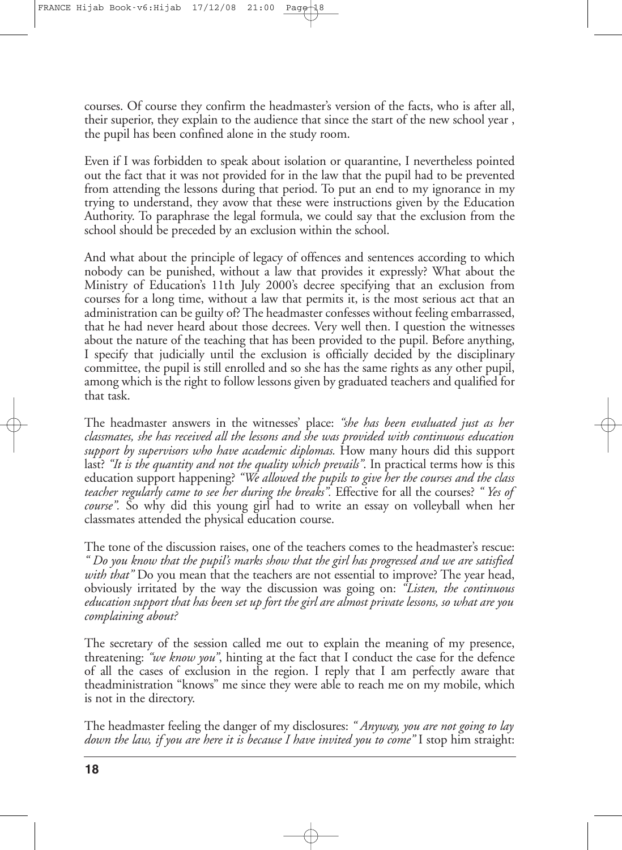courses. Of course they confirm the headmaster's version of the facts, who is after all, their superior, they explain to the audience that since the start of the new school year , the pupil has been confined alone in the study room.

Even if I was forbidden to speak about isolation or quarantine, I nevertheless pointed out the fact that it was not provided for in the law that the pupil had to be prevented from attending the lessons during that period. To put an end to my ignorance in my trying to understand, they avow that these were instructions given by the Education Authority. To paraphrase the legal formula, we could say that the exclusion from the school should be preceded by an exclusion within the school.

And what about the principle of legacy of offences and sentences according to which nobody can be punished, without a law that provides it expressly? What about the Ministry of Education's 11th July 2000's decree specifying that an exclusion from courses for a long time, without a law that permits it, is the most serious act that an administration can be guilty of? The headmaster confesses without feeling embarrassed, that he had never heard about those decrees. Very well then. I question the witnesses about the nature of the teaching that has been provided to the pupil. Before anything, I specify that judicially until the exclusion is officially decided by the disciplinary committee, the pupil is still enrolled and so she has the same rights as any other pupil, among which is the right to follow lessons given by graduated teachers and qualified for that task.

The headmaster answers in the witnesses' place: *"she has been evaluated just as her classmates, she has received all the lessons and she was provided with continuous education support by supervisors who have academic diplomas.* How many hours did this support last? *"It is the quantity and not the quality which prevails"*. In practical terms how is this education support happening? *"We allowed the pupils to give her the courses and the class teacher regularly came to see her during the breaks".* Effective for all the courses? *" Yes of course".* So why did this young girl had to write an essay on volleyball when her classmates attended the physical education course.

The tone of the discussion raises, one of the teachers comes to the headmaster's rescue: *" Do you know that the pupil's marks show that the girl has progressed and we are satisfied with that"* Do you mean that the teachers are not essential to improve? The year head, obviously irritated by the way the discussion was going on: *"Listen, the continuous education support that has been set up fort the girl are almost private lessons, so what are you complaining about?*

The secretary of the session called me out to explain the meaning of my presence, threatening: *"we know you"*, hinting at the fact that I conduct the case for the defence of all the cases of exclusion in the region. I reply that I am perfectly aware that theadministration "knows" me since they were able to reach me on my mobile, which is not in the directory.

The headmaster feeling the danger of my disclosures: *" Anyway, you are not going to lay down the law, if you are here it is because I have invited you to come"* I stop him straight: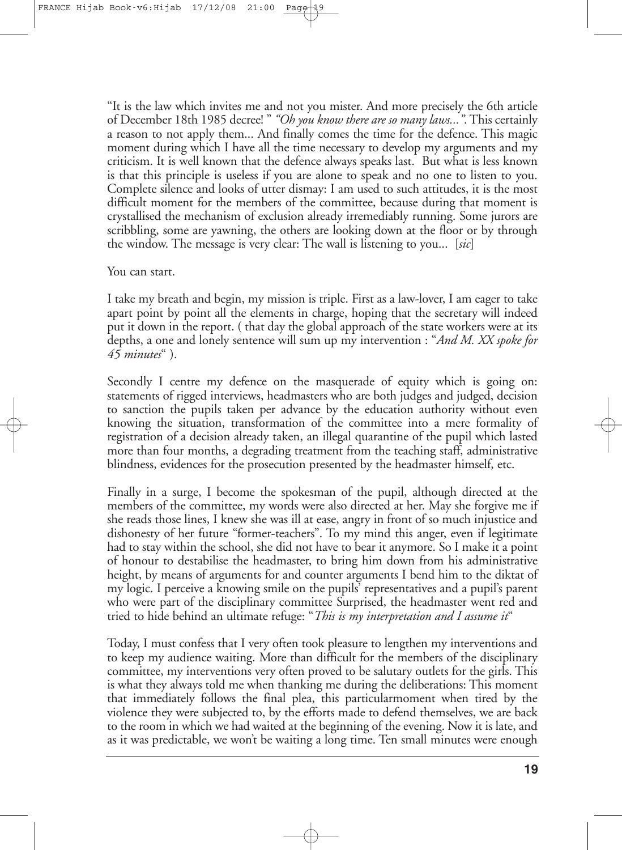"It is the law which invites me and not you mister. And more precisely the 6th article of December 18th 1985 decree! " *"Oh you know there are so many laws..."*.This certainly a reason to not apply them... And finally comes the time for the defence. This magic moment during which I have all the time necessary to develop my arguments and my criticism. It is well known that the defence always speaks last. But what is less known is that this principle is useless if you are alone to speak and no one to listen to you. Complete silence and looks of utter dismay: I am used to such attitudes, it is the most difficult moment for the members of the committee, because during that moment is crystallised the mechanism of exclusion already irremediably running. Some jurors are scribbling, some are yawning, the others are looking down at the floor or by through the window. The message is very clear: The wall is listening to you... [*sic*]

#### You can start.

I take my breath and begin, my mission is triple. First as a law-lover, I am eager to take apart point by point all the elements in charge, hoping that the secretary will indeed put it down in the report. ( that day the global approach of the state workers were at its depths, a one and lonely sentence will sum up my intervention : "*And M. XX spoke for 45 minutes*" ).

Secondly I centre my defence on the masquerade of equity which is going on: statements of rigged interviews, headmasters who are both judges and judged, decision to sanction the pupils taken per advance by the education authority without even knowing the situation, transformation of the committee into a mere formality of registration of a decision already taken, an illegal quarantine of the pupil which lasted more than four months, a degrading treatment from the teaching staff, administrative blindness, evidences for the prosecution presented by the headmaster himself, etc.

Finally in a surge, I become the spokesman of the pupil, although directed at the members of the committee, my words were also directed at her. May she forgive me if she reads those lines, I knew she was ill at ease, angry in front of so much injustice and dishonesty of her future "former-teachers". To my mind this anger, even if legitimate had to stay within the school, she did not have to bear it anymore. So I make it a point of honour to destabilise the headmaster, to bring him down from his administrative height, by means of arguments for and counter arguments I bend him to the diktat of my logic. I perceive a knowing smile on the pupils' representatives and a pupil's parent who were part of the disciplinary committee Surprised, the headmaster went red and tried to hide behind an ultimate refuge: "*This is my interpretation and I assume it*"

Today, I must confess that I very often took pleasure to lengthen my interventions and to keep my audience waiting. More than difficult for the members of the disciplinary committee, my interventions very often proved to be salutary outlets for the girls. This is what they always told me when thanking me during the deliberations: This moment that immediately follows the final plea, this particularmoment when tired by the violence they were subjected to, by the efforts made to defend themselves, we are back to the room in which we had waited at the beginning of the evening. Now it is late, and as it was predictable, we won't be waiting a long time. Ten small minutes were enough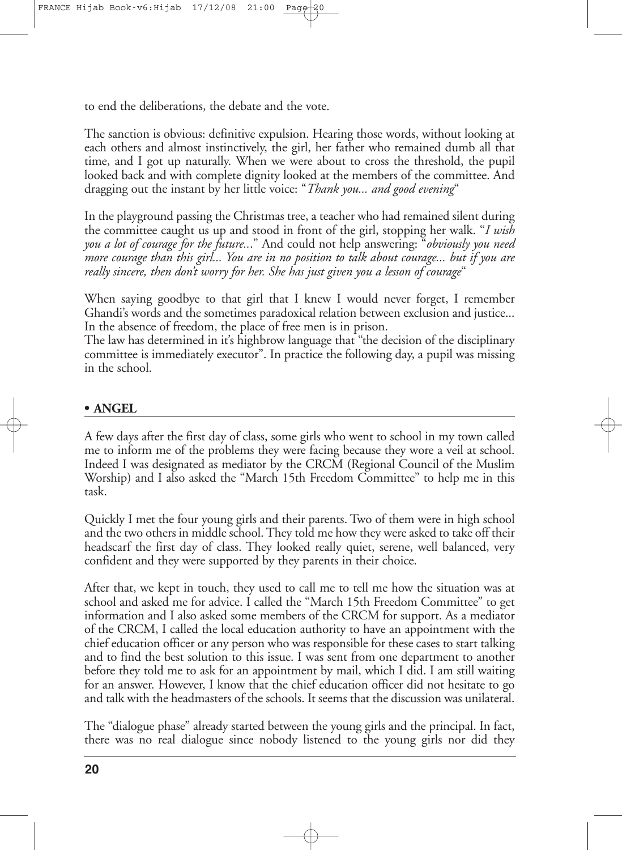to end the deliberations, the debate and the vote.

The sanction is obvious: definitive expulsion. Hearing those words, without looking at each others and almost instinctively, the girl, her father who remained dumb all that time, and I got up naturally. When we were about to cross the threshold, the pupil looked back and with complete dignity looked at the members of the committee. And dragging out the instant by her little voice: "*Thank you... and good evening*"

In the playground passing the Christmas tree, a teacher who had remained silent during the committee caught us up and stood in front of the girl, stopping her walk. "*I wish you a lot of courage for the future..*." And could not help answering: "*obviously you need more courage than this girl... You are in no position to talk about courage... but if you are really sincere, then don't worry for her. She has just given you a lesson of courage*"

When saying goodbye to that girl that I knew I would never forget, I remember Ghandi's words and the sometimes paradoxical relation between exclusion and justice... In the absence of freedom, the place of free men is in prison.

The law has determined in it's highbrow language that "the decision of the disciplinary committee is immediately executor". In practice the following day, a pupil was missing in the school.

#### **• ANGEL**

A few days after the first day of class, some girls who went to school in my town called me to inform me of the problems they were facing because they wore a veil at school. Indeed I was designated as mediator by the CRCM (Regional Council of the Muslim Worship) and I also asked the "March 15th Freedom Committee" to help me in this task.

Quickly I met the four young girls and their parents. Two of them were in high school and the two others in middle school. They told me how they were asked to take off their headscarf the first day of class. They looked really quiet, serene, well balanced, very confident and they were supported by they parents in their choice.

After that, we kept in touch, they used to call me to tell me how the situation was at school and asked me for advice. I called the "March 15th Freedom Committee" to get information and I also asked some members of the CRCM for support. As a mediator of the CRCM, I called the local education authority to have an appointment with the chief education officer or any person who was responsible for these cases to start talking and to find the best solution to this issue. I was sent from one department to another before they told me to ask for an appointment by mail, which I did. I am still waiting for an answer. However, I know that the chief education officer did not hesitate to go and talk with the headmasters of the schools. It seems that the discussion was unilateral.

The "dialogue phase" already started between the young girls and the principal. In fact, there was no real dialogue since nobody listened to the young girls nor did they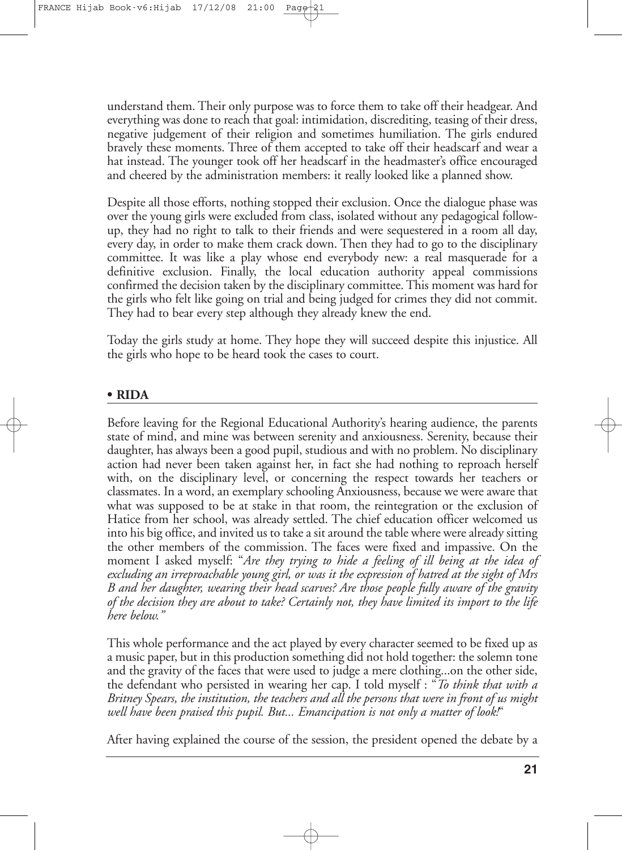understand them. Their only purpose was to force them to take off their headgear. And everything was done to reach that goal: intimidation, discrediting, teasing of their dress, negative judgement of their religion and sometimes humiliation. The girls endured bravely these moments. Three of them accepted to take off their headscarf and wear a hat instead. The younger took off her headscarf in the headmaster's office encouraged and cheered by the administration members: it really looked like a planned show.

Despite all those efforts, nothing stopped their exclusion. Once the dialogue phase was over the young girls were excluded from class, isolated without any pedagogical followup, they had no right to talk to their friends and were sequestered in a room all day, every day, in order to make them crack down. Then they had to go to the disciplinary committee. It was like a play whose end everybody new: a real masquerade for a definitive exclusion. Finally, the local education authority appeal commissions confirmed the decision taken by the disciplinary committee.This moment was hard for the girls who felt like going on trial and being judged for crimes they did not commit. They had to bear every step although they already knew the end.

Today the girls study at home. They hope they will succeed despite this injustice. All the girls who hope to be heard took the cases to court.

#### **• RIDA**

Before leaving for the Regional Educational Authority's hearing audience, the parents state of mind, and mine was between serenity and anxiousness. Serenity, because their daughter, has always been a good pupil, studious and with no problem. No disciplinary action had never been taken against her, in fact she had nothing to reproach herself with, on the disciplinary level, or concerning the respect towards her teachers or classmates. In a word, an exemplary schooling Anxiousness, because we were aware that what was supposed to be at stake in that room, the reintegration or the exclusion of Hatice from her school, was already settled. The chief education officer welcomed us into his big office, and invited us to take a sit around the table where were already sitting the other members of the commission. The faces were fixed and impassive. On the moment I asked myself: "*Are they trying to hide a feeling of ill being at the idea of excluding an irreproachable young girl, or was it the expression of hatred at the sight of Mrs B and her daughter, wearing their head scarves? Are those people fully aware of the gravity of the decision they are about to take? Certainly not, they have limited its import to the life here below."*

This whole performance and the act played by every character seemed to be fixed up as a music paper, but in this production something did not hold together: the solemn tone and the gravity of the faces that were used to judge a mere clothing...on the other side, the defendant who persisted in wearing her cap. I told myself : "*To think that with a Britney Spears, the institution, the teachers and all the persons that were in front of us might well have been praised this pupil. But... Emancipation is not only a matter of look!*"

After having explained the course of the session, the president opened the debate by a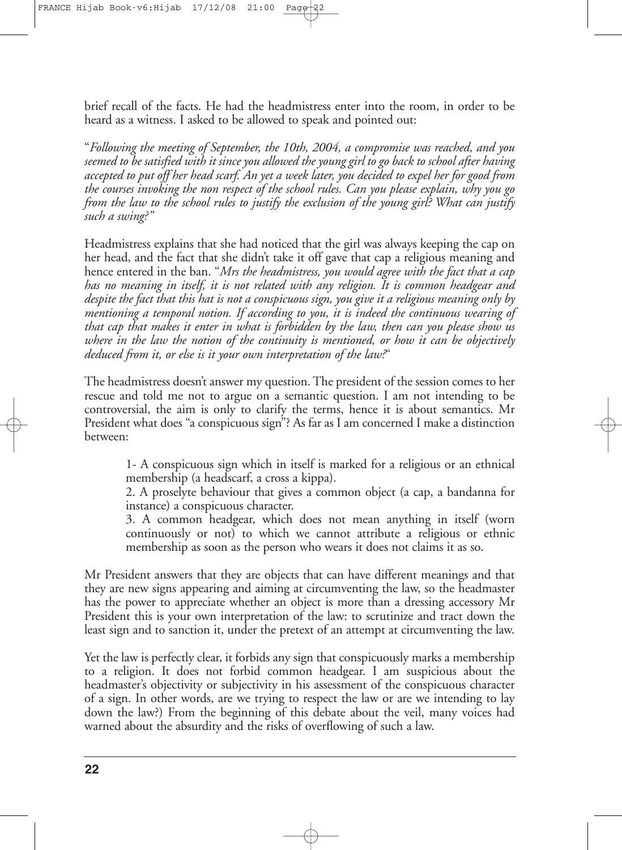brief recall of the facts. He had the headmistress enter into the room, in order to be heard as a witness. I asked to be allowed to speak and pointed out:

"*Following the meeting of September, the 10th, 2004, a compromise was reached, and you* seemed to be satisfied with it since you allowed the young girl to go back to school after having accepted to put off her head scarf. An yet a week later, you decided to expel her for good from *the courses invoking the non respect of the school rules. Can you please explain, why you go from the law to the school rules to justify the exclusion of the young girl? What can justify such a swing?"*

Headmistress explains that she had noticed that the girl was always keeping the cap on her head, and the fact that she didn't take it off gave that cap a religious meaning and hence entered in the ban. "*Mrs the headmistress, you would agree with the fact that a cap has no meaning in itself, it is not related with any religion. It is common headgear and* despite the fact that this hat is not a conspicuous sign, you give it a religious meaning only by *mentioning a temporal notion. If according to you, it is indeed the continuous wearing of that cap that makes it enter in what is forbidden by the law, then can you please show us where in the law the notion of the continuity is mentioned, or how it can be objectively deduced from it, or else is it your own interpretation of the law?*"

The headmistress doesn't answer my question.The president of the session comes to her rescue and told me not to argue on a semantic question. I am not intending to be controversial, the aim is only to clarify the terms, hence it is about semantics. Mr President what does "a conspicuous sign"? As far as I am concerned I make a distinction between:

1- A conspicuous sign which in itself is marked for a religious or an ethnical membership (a headscarf, a cross a kippa).

2. A proselyte behaviour that gives a common object (a cap, a bandanna for instance) a conspicuous character.

3. A common headgear, which does not mean anything in itself (worn continuously or not) to which we cannot attribute a religious or ethnic membership as soon as the person who wears it does not claims it as so.

Mr President answers that they are objects that can have different meanings and that they are new signs appearing and aiming at circumventing the law, so the headmaster has the power to appreciate whether an object is more than a dressing accessory Mr President this is your own interpretation of the law: to scrutinize and tract down the least sign and to sanction it, under the pretext of an attempt at circumventing the law.

Yet the law is perfectly clear, it forbids any sign that conspicuously marks a membership to a religion. It does not forbid common headgear. I am suspicious about the headmaster's objectivity or subjectivity in his assessment of the conspicuous character of a sign. In other words, are we trying to respect the law or are we intending to lay down the law?) From the beginning of this debate about the veil, many voices had warned about the absurdity and the risks of overflowing of such a law.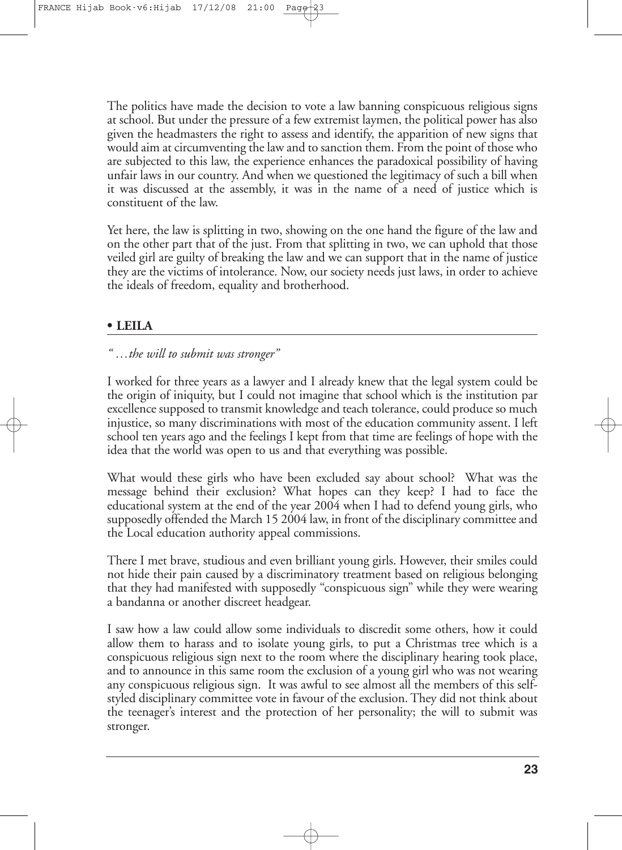The politics have made the decision to vote a law banning conspicuous religious signs at school. But under the pressure of a few extremist laymen, the political power has also given the headmasters the right to assess and identify, the apparition of new signs that would aim at circumventing thelaw and to sanction them. From the point of those who are subjected to this law, the experience enhances the paradoxical possibility of having unfair laws in our country. And when we questioned the legitimacy of such a bill when it was discussed at the assembly, it was in the name of a need of justice which is constituent of the law.

Yet here, the law is splitting in two, showing on the one hand the figure of the law and on the other part that of the just. From that splitting in two, we can uphold that those veiled girl are guilty of breaking the law and we can support that in the name of justice they are the victims of intolerance. Now, our society needs just laws, in order to achieve the ideals of freedom, equality and brotherhood.

#### **• LEILA**

#### *" …the will to submit was stronger"*

I worked for three years as a lawyer and I already knew that the legal system could be the origin of iniquity, but I could not imagine that school which is the institution par excellence supposed to transmit knowledge and teach tolerance, could produce so much injustice, so many discriminations with most of the education community assent. I left school ten years ago and the feelings I kept from that time are feelings of hope with the idea that the world was open to us and that everything was possible.

What would these girls who have been excluded say about school? What was the message behind their exclusion? What hopes can they keep? I had to face the educational system at the end of the year 2004 when I had to defend young girls, who supposedly offended the March 15 2004 law, in front of the disciplinary committee and the Local education authority appeal commissions.

There I met brave, studious and even brilliant young girls. However, their smiles could not hide their pain caused by a discriminatory treatment based on religious belonging that they had manifested with supposedly "conspicuous sign" while they were wearing a bandanna or another discreet headgear.

I saw how a law could allow some individuals to discredit some others, how it could allow them to harass and to isolate young girls, to put a Christmas tree which is a conspicuous religious sign next to the room where the disciplinary hearing took place, and to announce in this same room the exclusion of a young girl who was not wearing any conspicuous religious sign. It was awful to see almost all the members of this selfstyled disciplinary committee vote in favour of the exclusion. They did not think about the teenager's interest and the protection of her personality; the will to submit was stronger.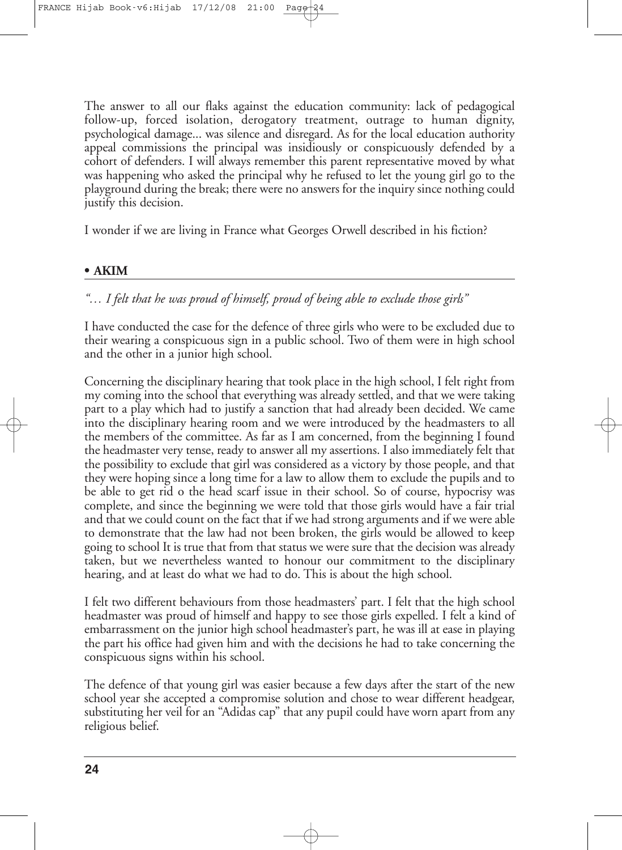The answer to all our flaks against the education community: lack of pedagogical follow-up, forced isolation, derogatory treatment, outrage to human dignity, psychological damage... was silence and disregard. As for the local education authority appeal commissions the principal was insidiously or conspicuously defended by a cohort of defenders. I will always remember this parent representative moved by what was happening who asked the principal why he refused to let the young girl go to the playground during the break; there were no answers for the inquiry since nothing could justify this decision.

I wonder if we are living in France what Georges Orwell described in his fiction?

#### **• AKIM**

#### *"… I felt that he was proud of himself, proud of being able to exclude those girls"*

I have conducted the case for the defence of three girls who were to be excluded due to their wearing a conspicuous sign in a public school. Two of them were in high school and the other in a junior high school.

Concerning the disciplinary hearing that took place in the high school, I felt right from my coming into the school that everything was already settled, and that we were taking part to a play which had to justify a sanction that had already been decided. We came into the disciplinary hearing room and we were introduced by the headmasters to all the members of the committee. As far as I am concerned, from the beginning I found the headmaster very tense, ready to answer all my assertions. I also immediately felt that the possibility to exclude that girl was considered as a victory by those people, and that they were hoping since a long time for a law to allow them to exclude the pupils and to be able to get rid o the head scarf issue in their school. So of course, hypocrisy was complete, and since the beginning we were told that those girls would have a fair trial and that we could count on the fact that if we had strong arguments and if we were able to demonstrate that the law had not been broken, the girls would be allowed to keep going to school It is true that from that status we were sure that the decision was already taken, but we nevertheless wanted to honour our commitment to the disciplinary hearing, and at least do what we had to do. This is about the high school.

I felt two different behaviours from those headmasters' part. I felt that the high school headmaster was proud of himself and happy to see those girls expelled. I felt a kind of embarrassment on the junior high school headmaster's part, he was ill at ease in playing the part his office had given him and with the decisions he had to take concerning the conspicuous signs within his school.

The defence of that young girl was easier because a few days after the start of the new school year she accepted a compromise solution and chose to wear different headgear, substituting her veil for an "Adidas cap" that any pupil could have worn apart from any religious belief.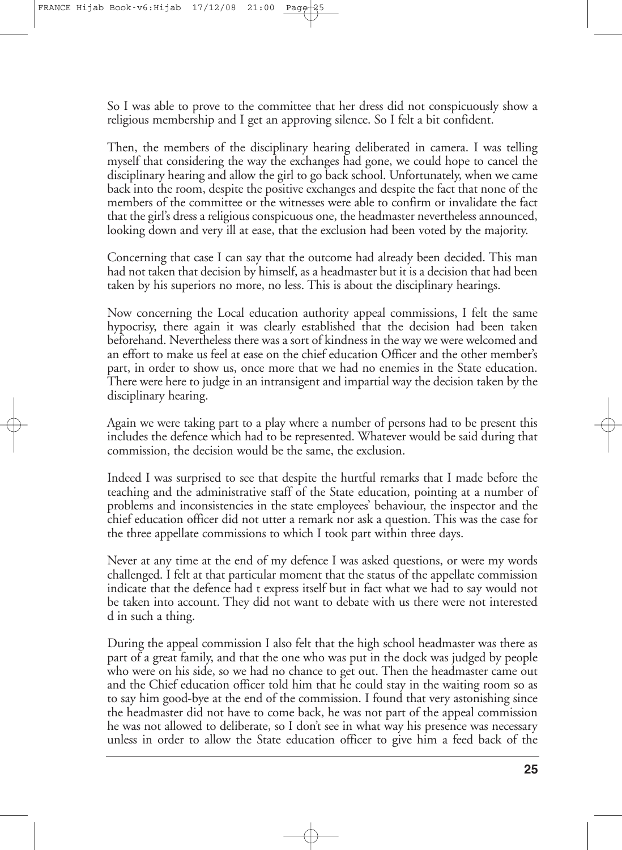So I was able to prove to the committee that her dress did not conspicuously show a religious membership and I get an approving silence. So I felt a bit confident.

Then, the members of the disciplinary hearing deliberated in camera. I was telling myself that considering the way the exchanges had gone, we could hope to cancel the disciplinary hearing and allow the girl to go back school. Unfortunately, when we came back into the room, despite the positive exchanges and despite the fact that none of the members of the committee or the witnesses were able to confirm or invalidate the fact that the girl's dress a religious conspicuous one, the headmaster nevertheless announced, looking down and very ill at ease, that the exclusion had been voted by the majority.

Concerning that case I can say that the outcome had already been decided. This man had not taken that decision by himself, as a headmaster but it is a decision that had been taken by his superiors no more, no less. This is about the disciplinary hearings.

Now concerning the Local education authority appeal commissions, I felt the same hypocrisy, there again it was clearly established that the decision had been taken beforehand. Nevertheless there was a sort of kindness in the way we were welcomed and an effort to make us feel at ease on the chief education Officer and the other member's part, in order to show us, once more that we had no enemies in the State education. There were here to judge in an intransigent and impartial way the decision taken by the disciplinary hearing.

Again we were taking part to a play where a number of persons had to be present this includes the defence which had to be represented. Whatever would be said during that commission, the decision would be the same, the exclusion.

Indeed I was surprised to see that despite the hurtful remarks that I made before the teaching and the administrative staff of the State education, pointing at a number of problems and inconsistencies in the state employees' behaviour, the inspector and the chief education officer did not utter a remark nor ask a question. This was the case for the three appellate commissions to which I took part within three days.

Never at any time at the end of my defence I was asked questions, or were my words challenged. I felt at that particular moment that the status of the appellate commission indicate that the defence had t express itself but in fact what we had to say would not be taken into account. They did not want to debate with us there were not interested d in such a thing.

During the appeal commission I also felt that the high school headmaster was there as part of a great family, and that the one who was put in the dock was judged by people who were on his side, so we had no chance to get out. Then the headmaster came out and the Chief education officer told him that he could stay in the waiting room so as to say him good-bye at the end of the commission. I found that very astonishing since the headmaster did not have to come back, he was not part of the appeal commission he was not allowed to deliberate, so I don't see in what way his presence was necessary unless in order to allow the State education officer to give him a feed back of the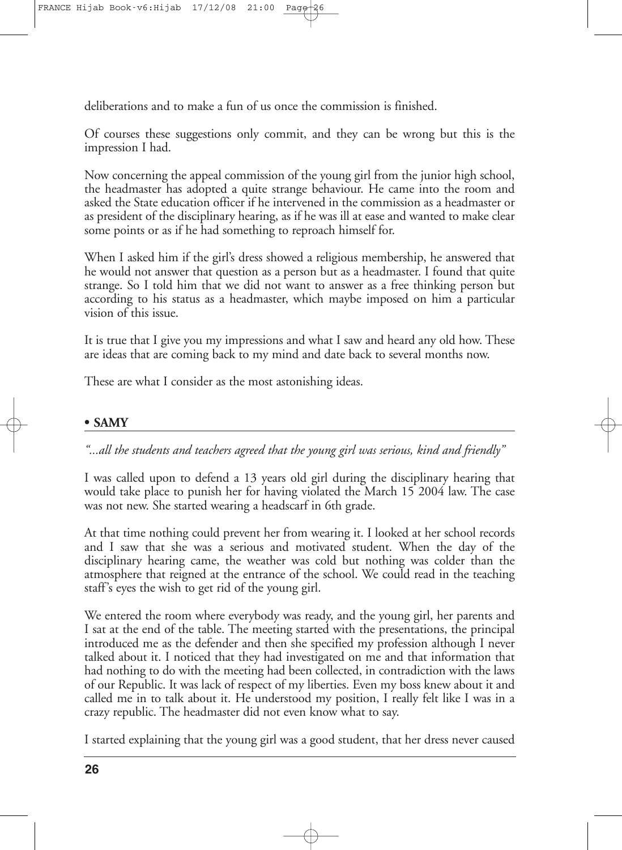deliberations and to make a fun of us once the commission is finished.

Of courses these suggestions only commit, and they can be wrong but this is the impression I had.

Now concerning the appeal commission of the young girl from the junior high school, the headmaster has adopted a quite strange behaviour. He came into the room and asked the State education officer if he intervened in the commission as a headmaster or as president of the disciplinary hearing, as if he was ill at ease and wanted to make clear some points or as if he had something to reproach himself for.

When I asked him if the girl's dress showed a religious membership, he answered that he would not answer that question as a person but as a headmaster. I found that quite strange. So I told him that we did not want to answer as a free thinking person but according to his status as a headmaster, which maybe imposed on him a particular vision of this issue.

It is true that I give you my impressions and what I saw and heard any old how. These are ideas that are coming back to my mind and date back to several months now.

These are what I consider as the most astonishing ideas.

#### **• SAMY**

*"...all the students and teachers agreed that the young girl was serious, kind and friendly"*

I was called upon to defend a 13 years old girl during the disciplinary hearing that would take place to punish her for having violated the March 15 2004 law. The case was not new. She started wearing a headscarf in 6th grade.

At that time nothing could prevent her from wearing it. I looked at her school records and I saw that she was a serious and motivated student. When the day of the disciplinary hearing came, the weather was cold but nothing was colder than the atmosphere that reigned at the entrance of the school. We could read in the teaching staff's eyes the wish to get rid of the young girl.

We entered the room where everybody was ready, and the young girl, her parents and I sat at the end of the table. The meeting started with the presentations, the principal introduced me as the defender and then she specified my profession although I never talked about it. I noticed that they had investigated on me and that information that had nothing to do with the meeting had been collected, in contradiction with the laws of our Republic. It was lack of respect of my liberties. Even my boss knew about it and called me in to talk about it. He understood my position, I really felt like I was in a crazy republic. The headmaster did not even know what to say.

I started explaining that the young girl was a good student, that her dress never caused

**26**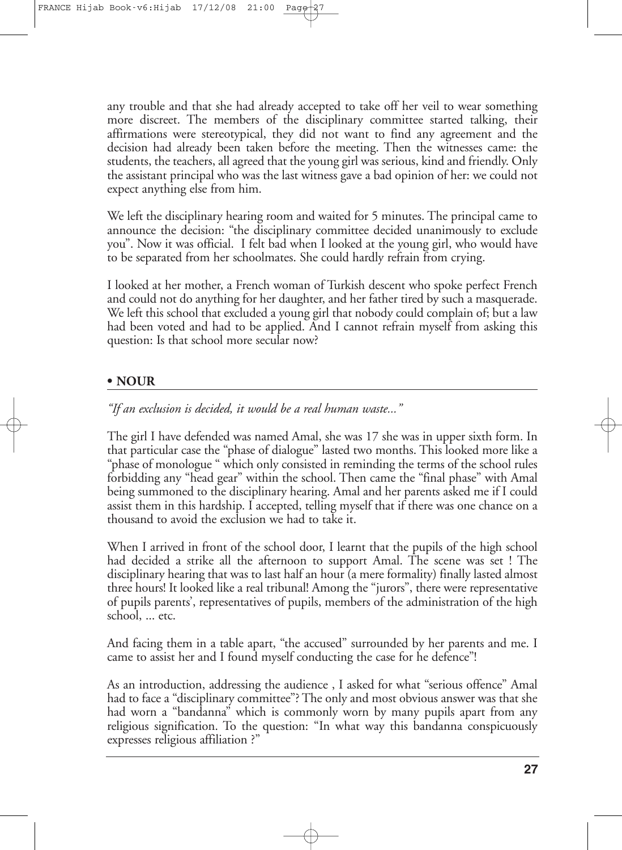any trouble and that she had already accepted to take off her veil to wear something more discreet. The members of the disciplinary committee started talking, their affirmations were stereotypical, they did not want to find any agreement and the decision had already been taken before the meeting. Then the witnesses came: the students, the teachers, all agreed that the young girl was serious, kind and friendly. Only the assistant principal who was the last witness gave a bad opinion of her: we could not expect anything else from him.

We left the disciplinary hearing room and waited for 5 minutes. The principal came to announce the decision: "the disciplinary committee decided unanimously to exclude you". Now it was official. I felt bad when I looked at the young girl, who would have to be separated from her schoolmates. She could hardly refrain from crying.

I looked at her mother, a French woman of Turkish descent who spoke perfect French and could not do anything for her daughter, and her father tired by such a masquerade. We left this school that excluded a young girl that nobody could complain of; but a law had been voted and had to be applied. And I cannot refrain myself from asking this question: Is that school more secular now?

#### **• NOUR**

*"If an exclusion is decided, it would be a real human waste..."*

The girl I have defended was named Amal, she was 17 she was in upper sixth form. In that particular case the "phase of dialogue" lasted two months. This looked more like a "phase of monologue " which only consisted in reminding the terms of the school rules forbidding any "head gear" within the school. Then came the "final phase" with Amal being summoned to the disciplinary hearing. Amal and her parents asked me if I could assist them in this hardship. I accepted, telling myself that if there was one chance on a thousand to avoid the exclusion we had to take it.

When I arrived in front of the school door, I learnt that the pupils of the high school had decided a strike all the afternoon to support Amal. The scene was set ! The disciplinary hearing that was to last half an hour (a mere formality) finally lasted almost three hours! It looked like a real tribunal! Among the "jurors", there were representative of pupils parents', representatives of pupils, members of the administration of the high school, ... etc.

And facing them in a table apart, "the accused" surrounded by her parents and me. I came to assist her and I found myself conducting the case for he defence"!

As an introduction, addressing the audience , I asked for what "serious offence" Amal had to face a "disciplinary committee"? The only and most obvious answer was that she had worn a "bandanna" which is commonly worn by many pupils apart from any religious signification. To the question: "In what way this bandanna conspicuously expresses religious affiliation ?"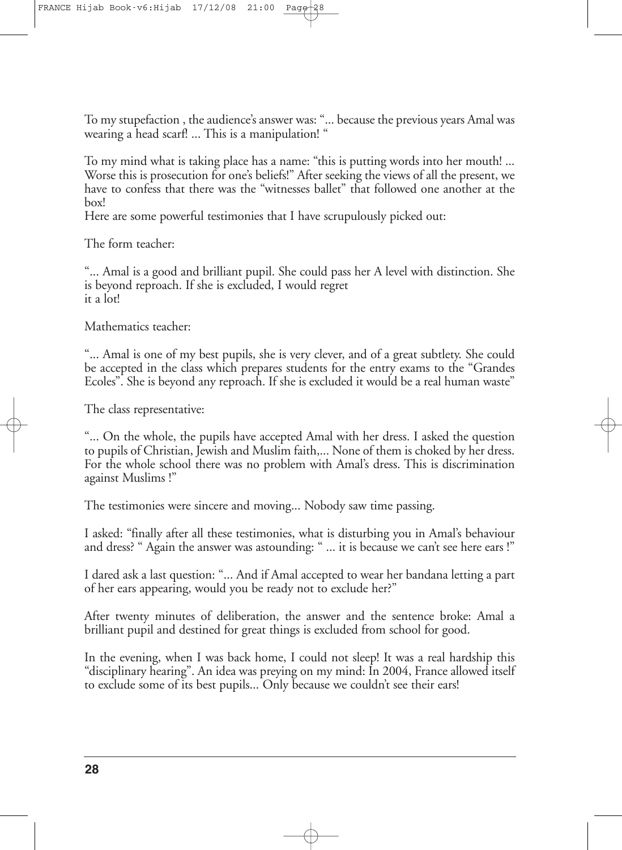To my stupefaction , the audience's answer was: "... because the previous years Amal was wearing a head scarf! ... This is a manipulation! "

To my mind what is taking place has a name: "this is putting words into her mouth! ... Worse this is prosecution for one's beliefs!" After seeking the views of all the present, we have to confess that there was the "witnesses ballet" that followed one another at the box!

Here are some powerful testimonies that I have scrupulously picked out:

The form teacher:

"... Amal is a good and brilliant pupil. She could pass her A level with distinction. She is beyond reproach. If she is excluded, I would regret it a lot!

Mathematics teacher:

"... Amal is one of my best pupils, she is very clever, and of a great subtlety. She could be accepted in the class which prepares students for the entry exams to the "Grandes Ecoles". She is beyond any reproach. If she is excluded it would be a real human waste"

The class representative:

"... On the whole, the pupils have accepted Amal with her dress. I asked the question to pupils of Christian, Jewish and Muslim faith,... None of them is choked by her dress. For the whole school there was no problem with Amal's dress. This is discrimination against Muslims !"

The testimonies were sincere and moving... Nobody saw time passing.

I asked: "finally after all these testimonies, what is disturbing you in Amal's behaviour and dress? " Again the answer was astounding: " ... it is because we can't see here ears !"

I dared ask a last question: "... And if Amal accepted to wear her bandana letting a part of her ears appearing, would you be ready not to exclude her?"

After twenty minutes of deliberation, the answer and the sentence broke: Amal a brilliant pupil and destined for great things is excluded from school for good.

In the evening, when I was back home, I could not sleep! It was a real hardship this "disciplinary hearing". An idea was preying on my mind: In 2004, France allowed itself to exclude some of its best pupils... Only because we couldn't see their ears!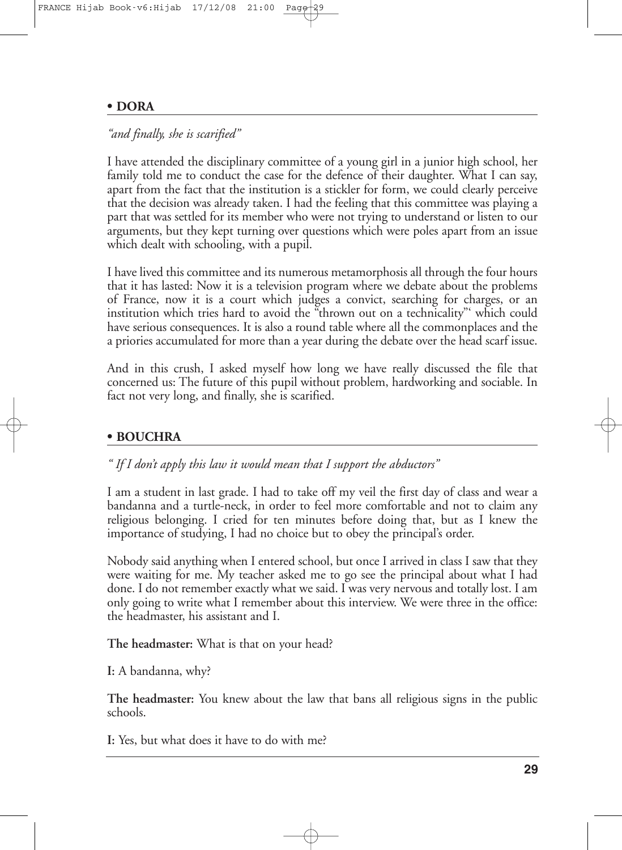#### **• DORA**

#### *"and finally, she is scarified"*

I have attended the disciplinary committee of a young girl in a junior high school, her family told me to conduct the case for the defence of their daughter. What I can say, apart from the fact that the institution is a stickler for form, we could clearly perceive that the decision was already taken. I had the feeling that this committee was playing a part that was settled for its member who were not trying to understand or listen to our arguments, but they kept turning over questions which were poles apart from an issue which dealt with schooling, with a pupil.

I have lived this committee and its numerous metamorphosis all through the four hours that it has lasted: Now it is a television program where we debate about the problems of France, now it is a court which judges a convict, searching for charges, or an institution which tries hard to avoid the "thrown out on a technicality"' which could have serious consequences. It is also a round table where all the commonplaces and the a priories accumulated for more than a year during the debate over the head scarf issue.

And in this crush, I asked myself how long we have really discussed the file that concerned us: The future of this pupil without problem, hardworking and sociable. In fact not very long, and finally, she is scarified.

#### **• BOUCHRA**

*" If I don't apply this law it would mean that I support the abductors"*

I am a student in last grade. I had to take off my veil the first day of class and wear a bandanna and a turtle-neck, in order to feel more comfortable and not to claim any religious belonging. I cried for ten minutes before doing that, but as I knew the importance of studying, I had no choice but to obey the principal's order.

Nobody said anything when I entered school, but once I arrived in class I saw that they were waiting for me. My teacher asked me to go see the principal about what I had done. I do not remember exactly what we said. I was very nervous and totally lost. I am only going to write what I remember about this interview. We were three in the office: the headmaster, his assistant and I.

**The headmaster:** What is that on your head?

**I:** A bandanna, why?

**The headmaster:** You knew about the law that bans all religious signs in the public schools.

**I:** Yes, but what does it have to do with me?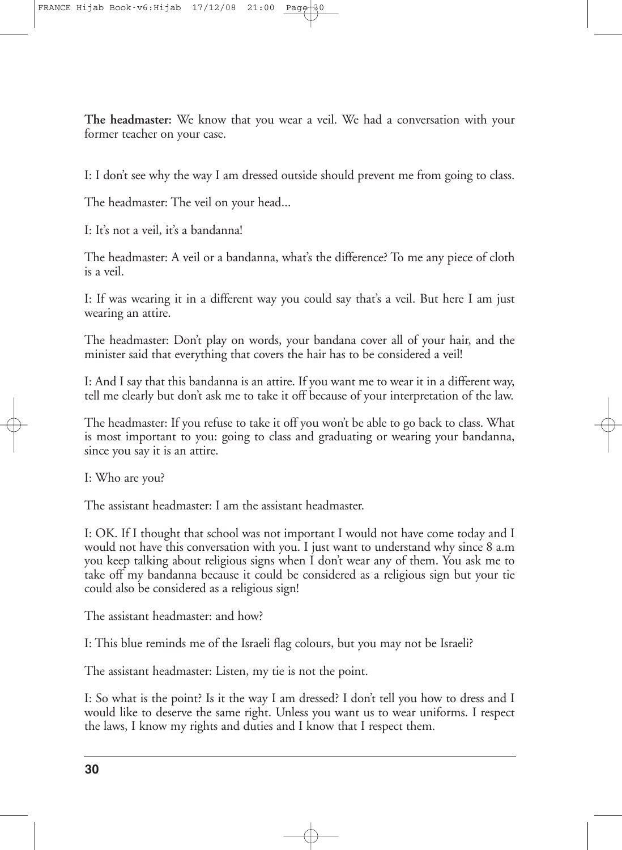**The headmaster:** We know that you wear a veil. We had a conversation with your former teacher on your case.

I: I don't see why the way I am dressed outside should prevent me from going to class.

The headmaster: The veil on your head...

I: It's not a veil, it's a bandanna!

The headmaster: A veil or a bandanna, what's the difference? To me any piece of cloth is a veil.

I: If was wearing it in a different way you could say that's a veil. But here I am just wearing an attire.

The headmaster: Don't play on words, your bandana cover all of your hair, and the minister said that everything that covers the hair has to be considered a veil!

I: And I say that this bandanna is an attire. If you want me to wear it in a different way, tell me clearly but don't ask me to take it off because of your interpretation of the law.

The headmaster: If you refuse to take it off you won't be able to go back to class. What is most important to you: going to class and graduating or wearing your bandanna, since you say it is an attire.

I: Who are you?

The assistant headmaster: I am the assistant headmaster.

I: OK. If I thought that school was not important I would not have come today and I would not have this conversation with you. I just want to understand why since 8 a.m you keep talking about religious signs when I don't wear any of them. You ask me to take off my bandanna because it could be considered as a religious sign but your tie could also be considered as a religious sign!

The assistant headmaster: and how?

I: This blue reminds me of the Israeli flag colours, but you may not be Israeli?

The assistant headmaster: Listen, my tie is not the point.

I: So what is the point? Is it the way I am dressed? I don't tell you how to dress and I would like to deserve the same right. Unless you want us to wear uniforms. I respect the laws, I know my rights and duties and I know that I respect them.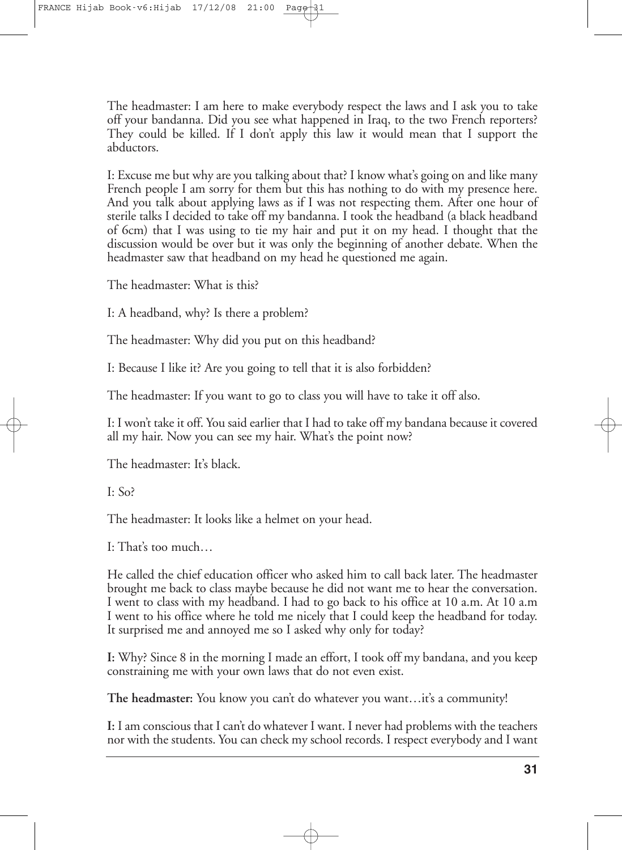The headmaster: I am here to make everybody respect the laws and I ask you to take off your bandanna. Did you see what happened in Iraq, to the two French reporters? They could be killed. If I don't apply this law it would mean that I support the abductors.

I: Excuse me but why are you talking about that? I know what's going on and like many French people I am sorry for them but this has nothing to do with my presence here. And you talk about applying laws as if I was not respecting them. After one hour of sterile talks I decided to take off my bandanna. I took the headband (a black headband of 6cm) that I was using to tie my hair and put it on my head. I thought that the discussion would be over but it was only the beginning of another debate. When the headmaster saw that headband on my head he questioned me again.

The headmaster: What is this?

I: A headband, why? Is there a problem?

The headmaster: Why did you put on this headband?

I: Because I like it? Are you going to tell that it is also forbidden?

The headmaster: If you want to go to class you will have to take it off also.

I: I won't take it off. You said earlier that I had to take off my bandana because it covered all my hair. Now you can see my hair. What's the point now?

The headmaster: It's black.

I: So?

The headmaster: It looks like a helmet on your head.

I: That's too much…

He called the chief education officer who asked him to call back later. The headmaster brought me back to class maybe because he did not want me to hear the conversation. I went to class with my headband. I had to go back to his office at 10 a.m. At 10 a.m I went to his office where he told me nicely that I could keep the headband for today. It surprised me and annoyed me so I asked why only for today?

**I:** Why? Since 8 in the morning I made an effort, I took off my bandana, and you keep constraining me with your own laws that do not even exist.

**The headmaster:** You know you can't do whatever you want…it's a community!

**I:** I am conscious that I can't do whatever I want. I never had problems with the teachers nor with the students. You can check my school records. I respect everybody and I want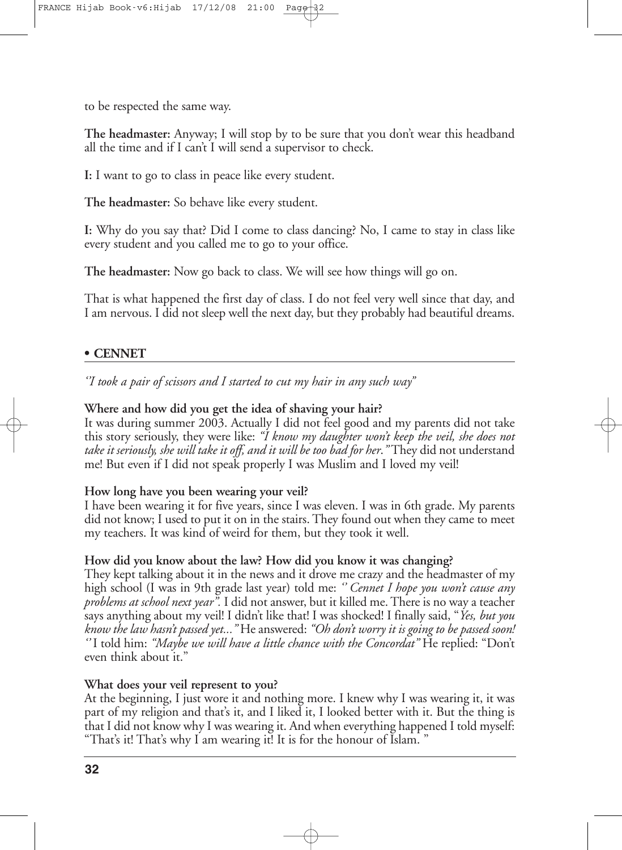to be respected the same way.

**The headmaster:** Anyway; I will stop by to be sure that you don't wear this headband all the time and if I can't I will send a supervisor to check.

**I:** I want to go to class in peace like every student.

**The headmaster:** So behave like every student.

**I:** Why do you say that? Did I come to class dancing? No, I came to stay in class like every student and you called me to go to your office.

**The headmaster:** Now go back to class. We will see how things will go on.

That is what happened the first day of class. I do not feel very well since that day, and I am nervous. I did not sleep well the next day, but they probably had beautiful dreams.

#### **• CENNET**

*''I took a pair of scissors and I started to cut my hair in any such way''*

#### **Where and how did you get the idea of shaving your hair?**

It was during summer 2003. Actually I did not feel good and my parents did not take this story seriously, they were like: *"I know my daughter won't keep the veil, she does not take it seriously, she will take it off, and it will be too bad for her*.*"* They did not understand me! But even if I did not speak properly I was Muslim and I loved my veil!

#### **How long have you been wearing your veil?**

I have been wearing it for five years, since I was eleven. I was in 6th grade. My parents did not know; I used to put it on in the stairs. They found out when they came to meet my teachers. It was kind of weird for them, but they took it well.

#### **How did you know about the law? How did you know it was changing?**

They kept talking about it in the news and it drove me crazy and the headmaster of my high school (I was in 9th grade last year) told me: *'' Cennet I hope you won't cause any problems at school next year".* I did not answer, but it killed me.There is no way a teacher says anything about my veil! I didn't like that! I was shocked! I finally said, "*Yes, but you know the law hasn't passed yet..."* He answered: *"Oh don't worry it is going to be passed soon! ''* I told him: *"Maybe we will have a little chance with the Concordat"* He replied: "Don't even think about it."

#### **What does your veil represent to you?**

At the beginning, I just wore it and nothing more. I knew why I was wearing it, it was part of my religion and that's it, and I liked it, I looked better with it. But the thing is that I did not know why I was wearing it. And when everything happened I told myself: "That's it! That's why I am wearing it! It is for the honour of Islam. "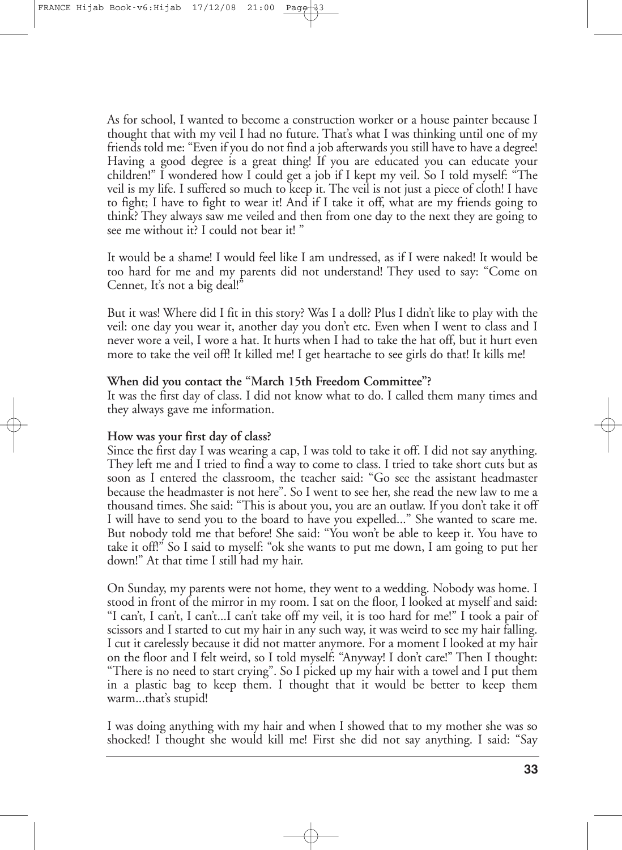As for school, I wanted to become a construction worker or a house painter because I thought that with my veil I had no future. That's what I was thinking until one of my friends told me: "Even if you do not find a job afterwards you still have to have a degree! Having a good degree is a great thing! If you are educated you can educate your children!" I wondered how I could get a job if I kept my veil. So I told myself: "The veil is my life. I suffered so much to keep it. The veil is not just a piece of cloth! I have to fight; I have to fight to wear it! And if I take it off, what are my friends going to think? They always saw me veiled and then from one day to the next they are going to see me without it? I could not bear it! "

It would be a shame! I would feel like I am undressed, as if I were naked! It would be too hard for me and my parents did not understand! They used to say: "Come on Cennet, It's not a big deal!"

But it was! Where did I fit in this story? Was I a doll? Plus I didn't like to play with the veil: one day you wear it, another day you don't etc. Even when I went to class and I never wore a veil, I wore a hat. It hurts when I had to take the hat off, but it hurt even more to take the veil off! It killed me! I get heartache to see girls do that! It kills me!

#### **When did you contact the "March 15th Freedom Committee"?**

It was the first day of class. I did not know what to do. I called them many times and they always gave me information.

#### **How was your first day of class?**

Since the first day I was wearing a cap, I was told to take it off. I did not say anything. They left me and I tried to find a way to come to class. I tried to take short cuts but as soon as I entered the classroom, the teacher said: "Go see the assistant headmaster because the headmaster is not here". So I went to see her, she read the new law to me a thousand times. She said: "This is about you, you are an outlaw. If you don't take it off I will have to send you to the board to have you expelled..." She wanted to scare me. But nobody told me that before! She said: "You won't be able to keep it. You have to take it off!" So I said to myself: "ok she wants to put me down, I am going to put her down!" At that time I still had my hair.

On Sunday, my parents were not home, they went to a wedding. Nobody was home. I stood in front of the mirror in my room. I sat on the floor, I looked at myself and said: "I can't, I can't, I can't...I can't take off my veil, it is too hard for me!" I took a pair of scissors and I started to cut my hair in any such way, it was weird to see my hair falling. I cut it carelessly because it did not matter anymore. For a moment I looked at my hair on the floor and I felt weird, so I told myself: "Anyway! I don't care!" Then I thought: "There is no need to start crying". So I picked up my hair with a towel and I put them in a plastic bag to keep them. I thought that it would be better to keep them warm...that's stupid!

I was doing anything with my hair and when I showed that to my mother she was so shocked! I thought she would kill me! First she did not say anything. I said: "Say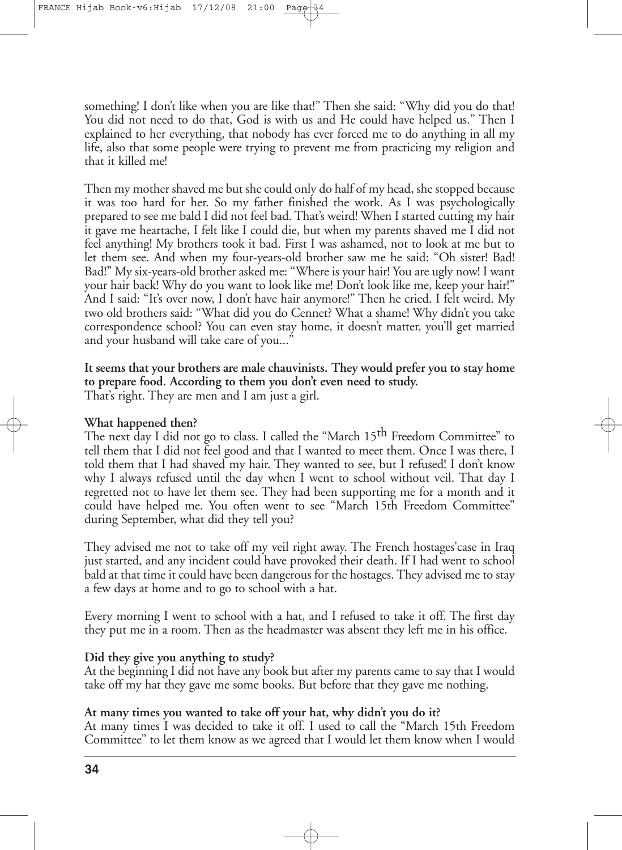something! I don't like when you are like that!" Then she said: "Why did you do that! You did not need to do that, God is with us and He could have helped us." Then I explained to her everything, that nobody has ever forced me to do anything in all my life, also that some people were trying to prevent me from practicing my religion and that it killed me!

Then my mother shaved me but she could only do half of my head, shestopped because it was too hard for her. So my father finished the work. As I was psychologically prepared to see me bald I did not feel bad. That's weird! When I started cutting my hair it gave me heartache, I felt like I could die, but when my parents shaved me I did not feel anything! My brothers took it bad. First I was ashamed, not to look at me but to let them see. And when my four-years-old brother saw me he said: "Oh sister! Bad! Bad!" My six-years-old brother asked me: "Where is your hair! You are ugly now! I want your hair back! Why do you want to look like me! Don't look like me, keep your hair!" And I said: "It's over now, I don't have hair anymore!" Then he cried. I felt weird. My two old brothers said: "What did you do Cennet? What a shame! Why didn't you take correspondence school? You can even stay home, it doesn't matter, you'll get married and your husband will take care of you..."

**It seems that your brothers are male chauvinists. They would prefer you to stay home to prepare food. According to them you don't even need to study.** That's right. They are men and I am just a girl.

#### **What happened then?**

The next day I did not go to class. I called the "March 15<sup>th</sup> Freedom Committee" to tell them that I did not feel good and that I wanted to meet them. Once I was there, I told them that I had shaved my hair. They wanted to see, but I refused! I don't know why I always refused until the day when I went to school without veil. That day I regretted not to have let them see. They had been supporting me for a month and it could have helped me. You often went to see "March 15th Freedom Committee" during September, what did they tell you?

They advised me not to take off my veil right away. The French hostages'case in Iraq just started, and any incident could have provoked their death. If I had went to school bald at that time it could have been dangerous for the hostages.They advised me to stay a few days at home and to go to school with a hat.

Every morning I went to school with a hat, and I refused to take it off. The first day they put me in a room. Then as the headmaster was absent they left me in his office.

#### **Did they give you anything to study?**

At the beginning I did not have any book but after my parents came to say that I would take off my hat they gave me some books. But before that they gave me nothing.

#### **At many times you wanted to take off your hat, why didn't you do it?**

At many times I was decided to take it off. I used to call the "March 15th Freedom Committee" to let them know as we agreed that I would let them know when I would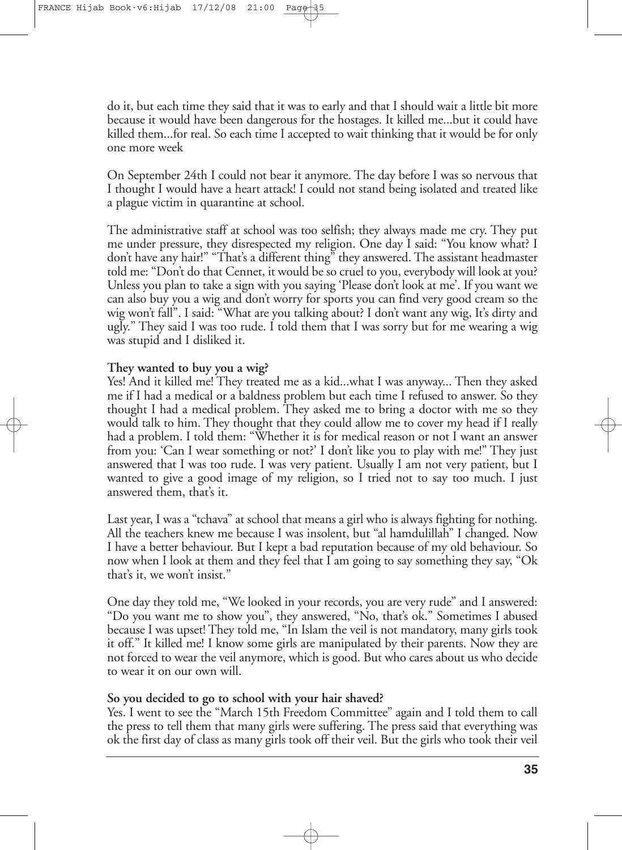do it, but each time they said that it was to early and that I should wait a little bit more because it would have been dangerous for the hostages. It killed me...but it could have killed them...for real. So each time I accepted to wait thinking that it would be for only one more week

On September 24th I could not bear it anymore. The day before I was so nervous that I thought I would have a heart attack! I could not stand being isolated and treated like a plague victim in quarantine at school.

The administrative staff at school was too selfish; they always made me cry. They put me under pressure, they disrespected my religion. One day I said: "You know what? I don't have any hair!" "That's a different thing" they answered. The assistant headmaster told me: "Don't do that Cennet, it would be so cruel to you, everybody will look at you? Unless you plan to take a sign with you saying 'Please don't look at me'. If you want we can also buy you a wig and don't worry for sports you can find very good cream so the wig won't fall". I said: "What are you talking about? I don't want any wig, It's dirty and ugly." They said I was too rude. I told them that I was sorry but for me wearing a wig was stupid and I disliked it.

#### **They wanted to buy you a wig?**

Yes! And it killed me! They treated me as a kid...what I was anyway... Then they asked me if I had a medical or a baldness problem but each time I refused to answer. So they thought I had a medical problem. They asked me to bring a doctor with me so they would talk to him. They thought that they could allow me to cover my head if I really had a problem. I told them: "Whether it is for medical reason or not I want an answer from you: 'Can I wear something or not?' I don't like you to play with me!" They just answered that I was too rude. I was very patient. Usually I am not very patient, but I wanted to give a good image of my religion, so I tried not to say too much. I just answered them, that's it.

Last year, I was a "tchava" at school that means a girl who is always fighting for nothing. All the teachers knew me because I was insolent, but "al hamdulillah" I changed. Now I have a better behaviour. But I kept a bad reputation because of my old behaviour. So now when I look at them and they feel that I am going to say something they say, "Ok that's it, we won't insist."

One day they told me, "We looked in your records, you are very rude" and I answered: "Do you want me to show you", they answered, "No, that's ok." Sometimes I abused because I was upset! They told me, "In Islam the veil is not mandatory, many girls took it off." It killed me! I know some girls are manipulated by their parents. Now they are not forced to wear the veil anymore, which is good. But who cares about us who decide to wear it on our own will.

#### **So you decided to go to school with your hair shaved?**

Yes. I went to see the "March 15th Freedom Committee" again and I told them to call the press to tell them that many girls were suffering. The press said that everything was ok the first day of class as many girls took off their veil. But the girls who took their veil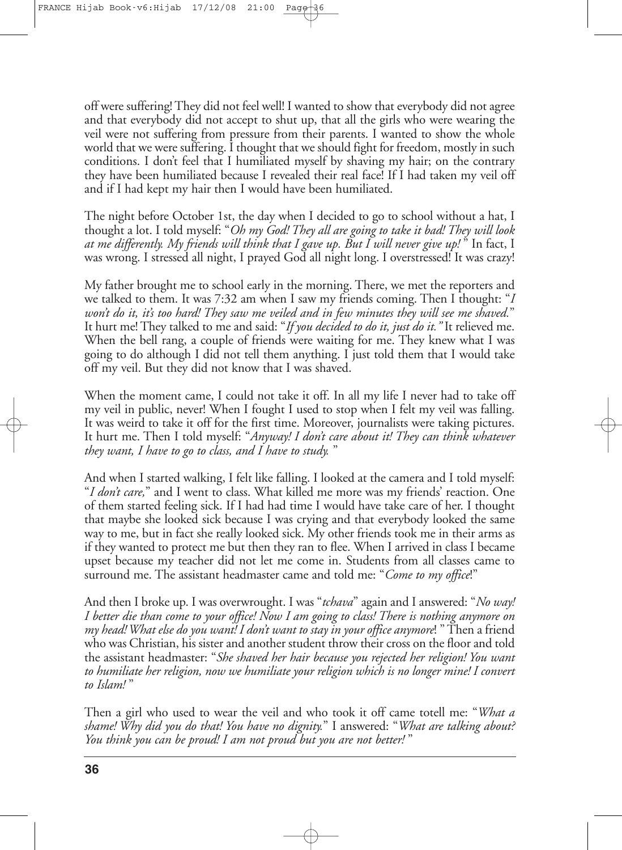off were suffering!They did not feel well! I wanted to show thateverybody did not agree and that everybody did not accept to shut up, that all the girls who were wearing the veil were not suffering from pressure from their parents. I wanted to show the whole world that we were suffering. I thought that we should fight for freedom, mostly in such conditions. I don't feel that I humiliated myself by shaving my hair; on the contrary they have been humiliated because I revealed their real face! If I had taken my veil off and if I had kept my hair then I would have been humiliated.

The night before October 1st, the day when I decided to go to school without a hat, I thought a lot. I told myself: "*Oh my God! They all are going to take it bad! They will look at me differently. My friends will think that I gave up. But I will never give up!* " In fact, I was wrong. I stressed all night, I prayed God all night long. I overstressed! It was crazy!

My father brought me to school early in the morning. There, we met the reporters and we talked to them. It was 7:32 am when I saw my friends coming. Then I thought: "*I won't do it, it's too hard! They saw me veiled and in few minutes they will see me shaved.*" It hurt me! They talked to me and said: "*If you decided to do it, just do it."* It relieved me. When the bell rang, a couple of friends were waiting for me. They knew what I was going to do although I did not tell them anything. I just told them that I would take off my veil. But they did not know that I was shaved.

When the moment came, I could not take it off. In all my life I never had to take off my veil in public, never! When I fought I used to stop when I felt my veil was falling. It was weird to take it off for the first time. Moreover, journalists were taking pictures. It hurt me. Then I told myself: "*Anyway! I don't care about it! They can think whatever they want, I have to go to class, and I have to study.* "

And when I started walking, I felt like falling. I looked at the camera and I told myself: "*I don't care,*" and I went to class. What killed me more was my friends' reaction. One of them started feeling sick. If I had had time I would have take care of her. I thought that maybe she looked sick because I was crying and that everybody looked the same way to me, but in fact she really looked sick. My other friends took me in their arms as if they wanted to protect me but then they ran to flee. When I arrived in class I became upset because my teacher did not let me come in. Students from all classes came to surround me. The assistant headmaster came and told me: "*Come to my office*!"

And then I broke up. I was overwrought. I was "*tchava*" again and I answered: "*No way! I better die than come to your office! Now I am going to class! There is nothing anymore on my head!What else do you want! I don't want to stay in your office anymore*! "Then a friend who was Christian, his sister and another student throw their cross on thefloor and told the assistant headmaster: "*She shaved her hair because you rejected her religion! You want to humiliate her religion, now we humiliate your religion which is no longer mine! I convert to Islam!* "

Then a girl who used to wear the veil and who took it off came totell me: "*What a shame! Why did you do that! You have no dignity.*" I answered: "*What are talking about? You think you can be proud! I am not proud but you are not better!* "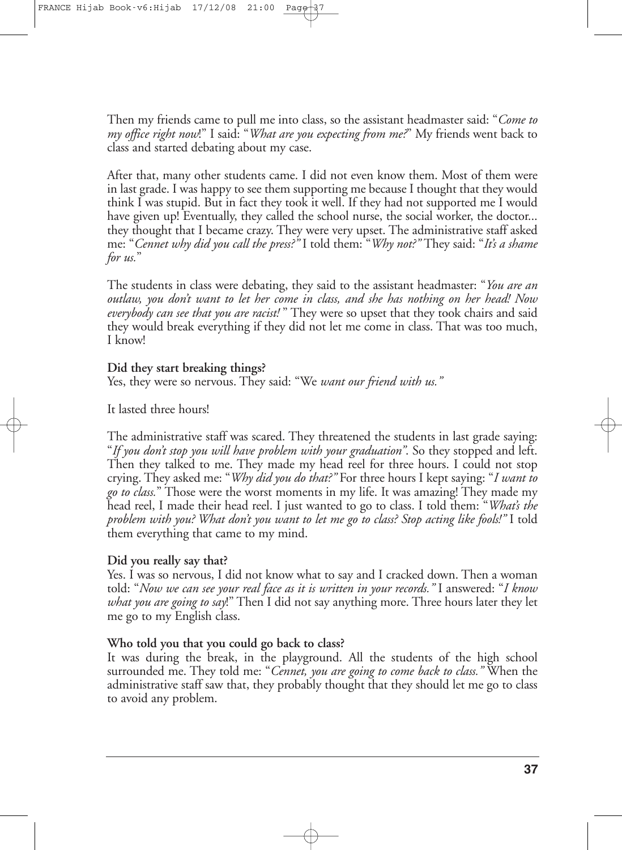Then my friends came to pull me into class, so the assistant headmaster said: "*Come to my office right now*!" I said: "*What are you expecting from me?*" My friends went back to class and started debating about my case.

After that, many other students came. I did not even know them. Most of them were in last grade. I was happy to see them supporting me because I thought that they would think I was stupid. But in fact they took it well. If they had not supported me I would have given up! Eventually, they called the school nurse, the social worker, the doctor... they thought that I became crazy. They were very upset. The administrative staff asked me: "*Cennet why did you call the press?"* I told them: "*Why not?"* They said: "*It's a shame for us.*"

The students in class were debating, they said to the assistant headmaster: "*You are an outlaw, you don't want to let her come in class, and she has nothing on her head! Now everybody can see that you are racist!* " They were so upset that they took chairs and said they would break everything if they did not let me come in class. That was too much, I know!

#### **Did they start breaking things?**

Yes, they were so nervous. They said: "We *want our friend with us."*

It lasted three hours!

The administrative staff was scared. They threatened the students in last grade saying: "*If you don't stop you will have problem with your graduation"*. So they stopped and left. Then they talked to me. They made my head reel for three hours. I could not stop crying. They asked me: "*Why did you do that?"* For three hours I kept saying: "*I want to go to class.*" Those were the worst moments in my life. It was amazing! They made my head reel, I made their head reel. I just wanted to go to class. I told them: "*What's the problem with you? What don't you want to let me go to class? Stop acting like fools!"* I told them everything that came to my mind.

#### **Did you really say that?**

Yes. I was so nervous, I did not know what to say and I cracked down. Then a woman told: "*Now we can see your real face as it is written in your records."* I answered: "*I know what you are going to say*!" Then I did not say anything more. Three hours later they let me go to my English class.

#### **Who told you that you could go back to class?**

It was during the break, in the playground. All the students of the high school surrounded me. They told me: "*Cennet, you are going to come back to class."* When the administrative staff saw that, they probably thought that they should let me go to class to avoid any problem.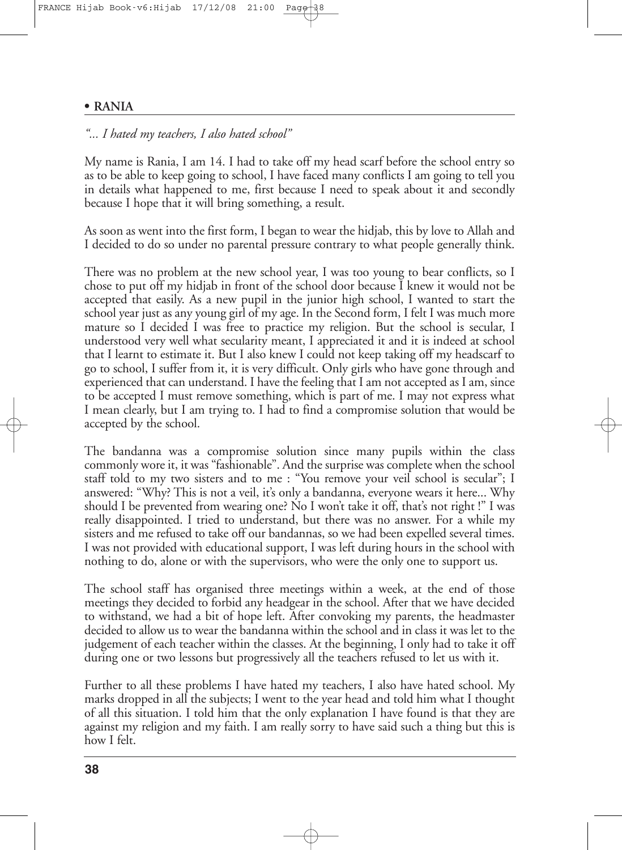#### **• RANIA**

# *"... I hated my teachers, I also hated school"*

My name is Rania, I am 14. I had to take off my head scarf before the school entry so as to be able to keep going to school, I have faced many conflicts I am going to tell you in details what happened to me, first because I need to speak about it and secondly because I hope that it will bring something, a result.

As soon as went into the first form, I began to wear the hidjab, this by love to Allah and I decided to do so under no parental pressure contrary to what people generally think.

There was no problem at the new school year, I was too young to bear conflicts, so I chose to put off my hidjab in front of the school door because I knew it would not be accepted that easily. As a new pupil in the junior high school, I wanted to start the school year just as any young girl of my age. In the Second form, I felt I was much more mature so I decided I was free to practice my religion. But the school is secular, I understood very well what secularity meant, I appreciated it and it is indeed at school that I learnt to estimate it. But I also knew I could not keep taking off my headscarf to go to school, I suffer from it, it is very difficult. Only girls who have gone through and experienced that can understand. I have the feeling that I am not accepted as I am, since to be accepted I must remove something, which is part of me. I may not express what I mean clearly, but I am trying to. I had to find a compromise solution that would be accepted by the school.

The bandanna was a compromise solution since many pupils within the class commonly wore it, it was "fashionable". And the surprise was complete when the school staff told to my two sisters and to me : "You remove your veil school is secular"; I answered: "Why? This is not a veil, it's only a bandanna, everyone wears it here... Why should I be prevented from wearing one? No I won't take it off, that's not right !" I was really disappointed. I tried to understand, but there was no answer. For a while my sisters and me refused to take off our bandannas, so we had been expelled several times. I was not provided with educational support, I was left during hours in the school with nothing to do, alone or with the supervisors, who were the only one to support us.

The school staff has organised three meetings within a week, at the end of those meetings they decided to forbid any headgear in the school. After that we have decided to withstand, we had a bit of hope left. After convoking my parents, the headmaster decided to allow us to wear the bandanna within the school and in class it was let to the judgement of each teacher within the classes. At the beginning, I only had to take it off during one or two lessons but progressively all the teachers refused to let us with it.

Further to all these problems I have hated my teachers, I also have hated school. My marks dropped in all the subjects; I went to the year head and told him what I thought of all this situation. I told him that the only explanation I have found is that they are against my religion and my faith. I am really sorry to have said such a thing but this is how I felt.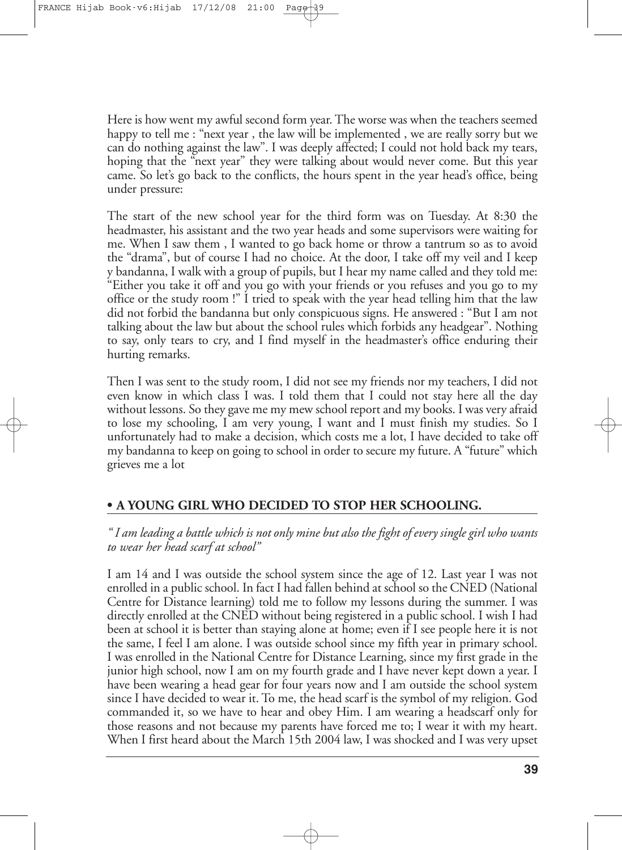Here is how went my awful second form year. The worse was when the teachers seemed happy to tell me : "next year , the law will be implemented , we are really sorry but we can do nothing against the law". I was deeply affected; I could not hold back my tears, hoping that the "next year" they were talking about would never come. But this year came. So let's go back to the conflicts, the hours spent in the year head's office, being under pressure:

The start of the new school year for the third form was on Tuesday. At 8:30 the headmaster, his assistant and the two year heads and some supervisors were waiting for me. When I saw them , I wanted to go back home or throw a tantrum so as to avoid the "drama", but of course I had no choice. At the door, I take off my veil and I keep y bandanna, I walk with a group of pupils, but I hear my name called and they told me: "Either you take it off and you go with your friends or you refuses and you go to my office or the study room !" I tried to speak with the year head telling him that the law did not forbid the bandanna but only conspicuous signs. He answered : "But I am not talking about the law but about the school rules which forbids any headgear". Nothing to say, only tears to cry, and I find myself in the headmaster's office enduring their hurting remarks.

Then I was sent to the study room, I did not see my friends nor my teachers, I did not even know in which class I was. I told them that I could not stay here all the day without lessons. So they gave me my mew school report and my books. I was very afraid to lose my schooling, I am very young, I want and I must finish my studies. So I unfortunately had to make a decision, which costs me a lot, I have decided to take off my bandanna to keep on going to school in order to secure my future. A "future" which grieves me a lot

# **• A YOUNG GIRL WHO DECIDED TO STOP HER SCHOOLING.**

" I am leading a battle which is not only mine but also the fight of every single girl who wants *to wear her head scarf at school"*

I am 14 and I was outside the school system since the age of 12. Last year I was not enrolled in a public school. In fact I had fallen behind at school so the CNED (National Centre for Distance learning) told me to follow my lessons during the summer. I was directly enrolled at the CNED without being registered in a public school. I wish I had been at school it is better than staying alone at home; even if I see people here it is not the same, I feel I am alone. I was outside school since my fifth year in primary school. I was enrolled in the National Centre for Distance Learning, since my first grade in the junior high school, now I am on my fourth grade and I have never kept down a year. I have been wearing a head gear for four years now and I am outside the school system since I have decided to wear it. To me, the head scarf is the symbol of my religion. God commanded it, so we have to hear and obey Him. I am wearing a headscarf only for those reasons and not because my parents have forced me to; I wear it with my heart. When I first heard about the March 15th 2004 law, I was shocked and I was very upset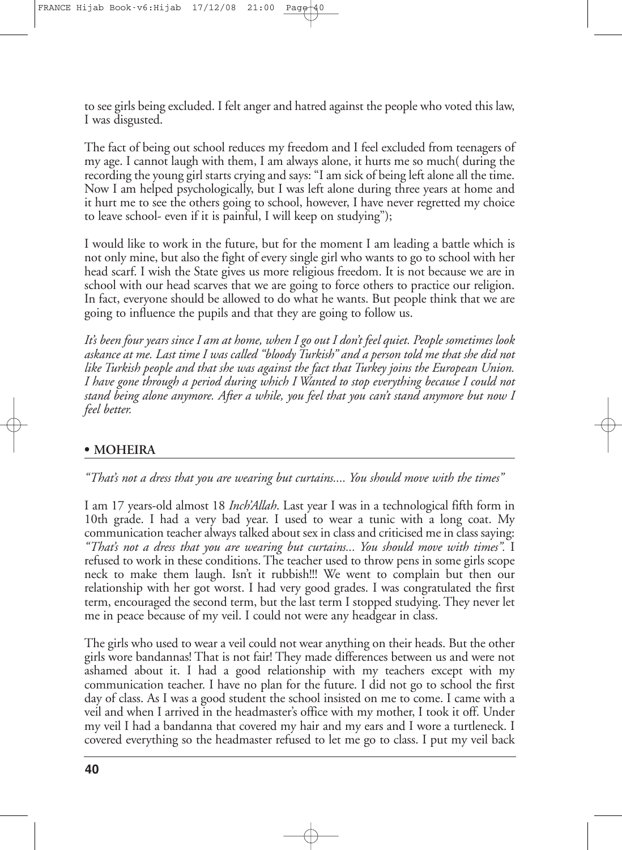to see girls being excluded. I felt anger and hatred against the people who voted this law, I was disgusted.

The fact of being out school reduces my freedom and I feel excluded from teenagers of my age. I cannot laugh with them, I am always alone, it hurts me so much( during the recording the young girl starts crying and says: "I am sick of being left alone all the time. Now I am helped psychologically, but I was left alone during three years at home and it hurt me to see the others going to school, however, I have never regretted my choice to leave school- even if it is painful, I will keep on studying");

I would like to work in the future, but for the moment I am leading a battle which is not only mine, but also the fight of every single girl who wants to go to school with her head scarf. I wish the State gives us more religious freedom. It is not because we are in school with our head scarves that we are going to force others to practice our religion. In fact, everyone should be allowed to do what he wants. But people think that we are going to influence the pupils and that they are going to follow us.

It's been four years since I am at home, when I go out I don't feel quiet. People sometimes look askance at me. Last time I was called "bloody Turkish" and a person told me that she did not *like Turkish people and that she was against the fact that Turkey joins the European Union. I have gone through a period during which I Wanted to stop everything because I could not stand being alone anymore. After a while, you feel that you can't stand anymore but now I feel better.*

# **• MOHEIRA**

*"That's not a dress that you are wearing but curtains.... You should move with the times"*

I am 17 years-old almost 18 *Inch'Allah*. Last year I was in a technological fifth form in 10th grade. I had a very bad year. I used to wear a tunic with a long coat. My communication teacher always talked about sex in class and criticised mein class saying: *"That's not a dress that you are wearing but curtains... You should move with times".* I refused to work in these conditions. The teacher used to throw pens in some girls scope neck to make them laugh. Isn't it rubbish!!! We went to complain but then our relationship with her got worst. I had very good grades. I was congratulated the first term, encouraged the second term, but the last term I stopped studying. They never let me in peace because of my veil. I could not were any headgear in class.

The girls who used to wear a veil could not wear anything on their heads. But the other girls wore bandannas! That is not fair! They made differences between us and were not ashamed about it. I had a good relationship with my teachers except with my communication teacher. I have no plan for the future. I did not go to school the first day of class. As I was a good student the school insisted on me to come. I came with a veil and when I arrived in the headmaster's office with my mother, I took it off. Under my veil I had a bandanna that covered my hair and my ears and I wore a turtleneck. I covered everything so the headmaster refused to let me go to class. I put my veil back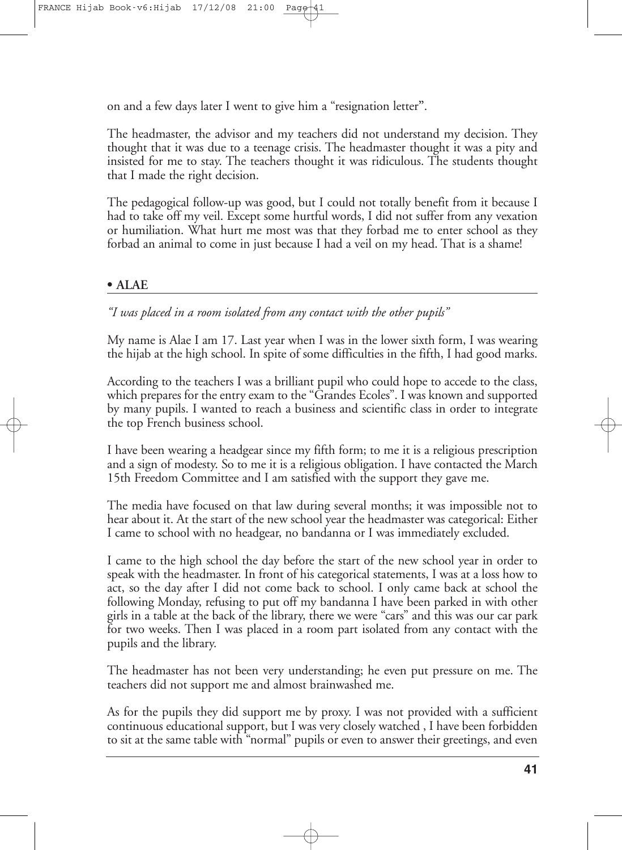on and a few days later I went to give him a "resignation letter**"**.

The headmaster, the advisor and my teachers did not understand my decision. They thought that it was due to a teenage crisis. The headmaster thought it was a pity and insisted for me to stay. The teachers thought it was ridiculous. The students thought that I made the right decision.

The pedagogical follow-up was good, but I could not totally benefit from it because I had to take off my veil. Except some hurtful words, I did not suffer from any vexation or humiliation. What hurt me most was that they forbad me to enter school as they forbad an animal to come in just because I had a veil on my head. That is a shame!

# **• ALAE**

*"I was placed in a room isolated from any contact with the other pupils"*

My name is Alae I am 17. Last year when I was in the lower sixth form, I was wearing the hijab at the high school. In spite of some difficulties in the fifth, I had good marks.

According to the teachers I was a brilliant pupil who could hope to accede to the class, which prepares for the entry exam to the "Grandes Ecoles". I was known and supported by many pupils. I wanted to reach a business and scientific class in order to integrate the top French business school.

I have been wearing a headgear since my fifth form; to me it is a religious prescription and a sign of modesty. So to me it is a religious obligation. I have contacted the March 15th Freedom Committee and I am satisfied with the support they gave me.

The media have focused on that law during several months; it was impossible not to hear about it. At the start of the new school year the headmaster was categorical: Either I came to school with no headgear, no bandanna or I was immediately excluded.

I came to the high school the day before the start of the new school year in order to speak with the headmaster. In front of his categorical statements, I was at a loss how to act, so the day after I did not come back to school. I only came back at school the following Monday, refusing to put off my bandanna I have been parked in with other girls in a table at the back of the library, there we were "cars" and this was our car park for two weeks. Then I was placed in a room part isolated from any contact with the pupils and the library.

The headmaster has not been very understanding; he even put pressure on me. The teachers did not support me and almost brainwashed me.

As for the pupils they did support me by proxy. I was not provided with a sufficient continuous educational support, but I was very closely watched , I have been forbidden to sit at the same table with "normal" pupils or even to answer their greetings, and even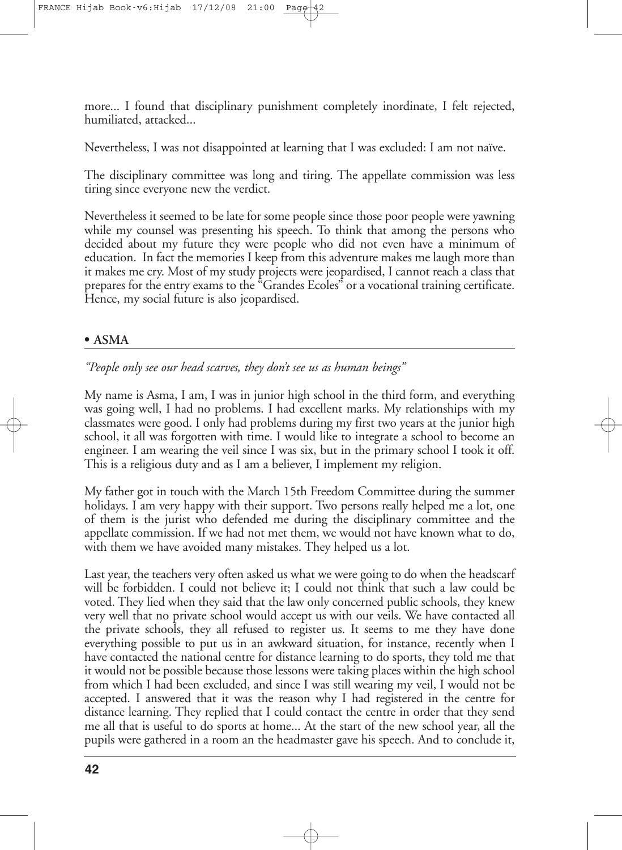more... I found that disciplinary punishment completely inordinate, I felt rejected, humiliated, attacked...

Nevertheless, I was not disappointed at learning that I was excluded: I am not naïve.

The disciplinary committee was long and tiring. The appellate commission was less tiring since everyone new the verdict.

Nevertheless it seemed to be late for some people since those poor people were yawning while my counsel was presenting his speech. To think that among the persons who decided about my future they were people who did not even have a minimum of education. In fact the memories I keep from this adventure makes me laugh more than it makes me cry. Most of my study projects were jeopardised, I cannot reach a class that prepares for the entry exams to the "Grandes Ecoles" or a vocational training certificate. Hence, my social future is also jeopardised.

#### **• ASMA**

*"People only see our head scarves, they don't see us as human beings"*

My name is Asma, I am, I was in junior high school in the third form, and everything was going well, I had no problems. I had excellent marks. My relationships with my classmates were good. I only had problems during my first two years at the junior high school, it all was forgotten with time. I would like to integrate a school to become an engineer. I am wearing the veil since I was six, but in the primary school I took it off. This is a religious duty and as I am a believer, I implement my religion.

My father got in touch with the March 15th Freedom Committee during the summer holidays. I am very happy with their support. Two persons really helped me a lot, one of them is the jurist who defended me during the disciplinary committee and the appellate commission. If we had not met them, we would not have known what to do, with them we have avoided many mistakes. They helped us a lot.

Last year, the teachers very often asked us what we were going to do when the headscarf will be forbidden. I could not believe it; I could not think that such a law could be voted. They lied when they said that the law only concerned public schools, they knew very well that no private school would accept us with our veils. We have contacted all the private schools, they all refused to register us. It seems to me they have done everything possible to put us in an awkward situation, for instance, recently when I have contacted the national centre for distance learning to do sports, they told me that it would not be possible because those lessons were taking places within the high school from which I had been excluded, and since I was still wearing my veil, I would not be accepted. I answered that it was the reason why I had registered in the centre for distance learning. They replied that I could contact the centre in order that they send me all that is useful to do sports at home... At the start of the new school year, all the pupils were gathered in a room an the headmaster gave his speech. And to conclude it,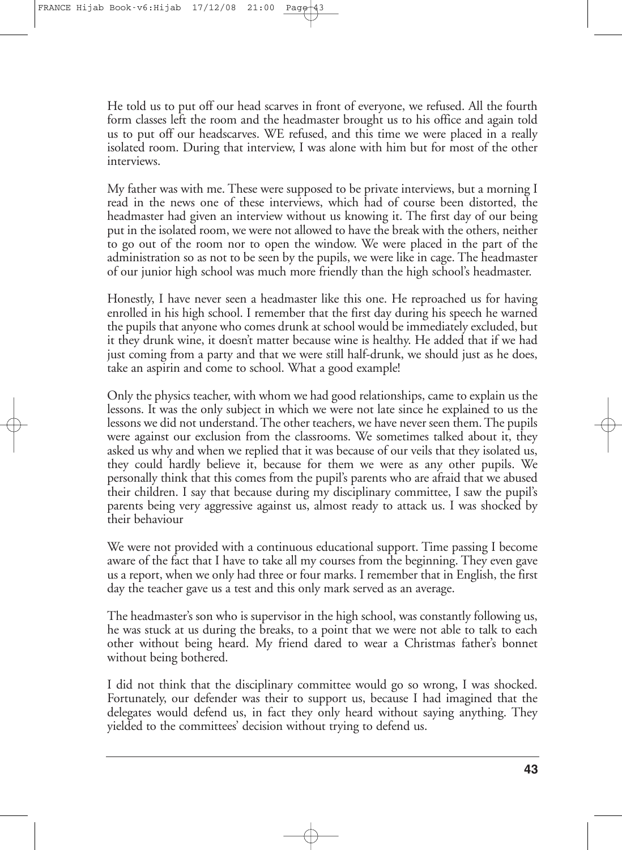He told us to put off our head scarves in front of everyone, we refused. All the fourth form classes left the room and the headmaster brought us to his office and again told us to put off our headscarves. WE refused, and this time we were placed in a really isolated room. During that interview, I was alone with him but for most of the other interviews.

My father was with me. These were supposed to be private interviews, but a morning I read in the news one of these interviews, which had of course been distorted, the headmaster had given an interview without us knowing it. The first day of our being put in the isolated room, we were not allowed to have the break with the others, neither to go out of the room nor to open the window. We were placed in the part of the administration so as not to be seen by the pupils, we were like in cage. The headmaster of our junior high school was much more friendly than the high school's headmaster.

Honestly, I have never seen a headmaster like this one. He reproached us for having enrolled in his high school. I remember that the first day during his speech he warned the pupils that anyone who comes drunk at school would be immediately excluded, but it they drunk wine, it doesn't matter because wine is healthy. He added that if we had just coming from a party and that we were still half-drunk, we should just as he does, take an aspirin and come to school. What a good example!

Only the physics teacher, with whom we had good relationships, came to explain us the lessons. It was the only subject in which we were not late since he explained to us the lessons we did not understand.The other teachers, we have never seen them.The pupils were against our exclusion from the classrooms. We sometimes talked about it, they asked us why and when we replied that it was because of our veils that they isolated us, they could hardly believe it, because for them we were as any other pupils. We personally think that this comes from the pupil's parents who are afraid that we abused their children. I say that because during my disciplinary committee, I saw the pupil's parents being very aggressive against us, almost ready to attack us. I was shocked by their behaviour

We were not provided with a continuous educational support. Time passing I become aware of the fact that I have to take all my courses from the beginning. They even gave us a report, when we only had three or four marks. I remember that in English, the first day the teacher gave us a test and this only mark served as an average.

The headmaster's son who is supervisor in the high school, was constantly following us, he was stuck at us during the breaks, to a point that we were not able to talk to each other without being heard. My friend dared to wear a Christmas father's bonnet without being bothered.

I did not think that the disciplinary committee would go so wrong, I was shocked. Fortunately, our defender was their to support us, because I had imagined that the delegates would defend us, in fact they only heard without saying anything. They yielded to the committees' decision without trying to defend us.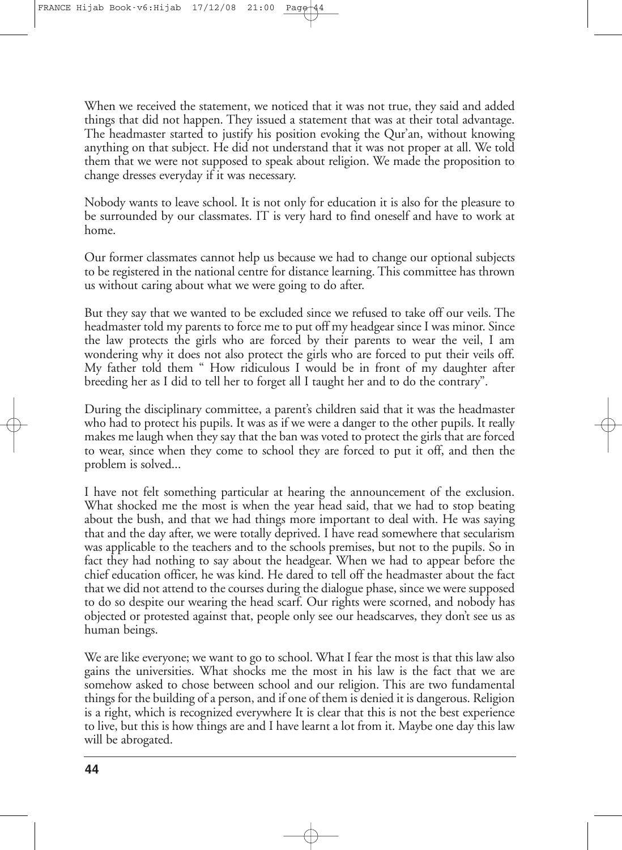When we received the statement, we noticed that it was not true, they said and added things that did not happen. They issued a statement that was at their total advantage. The headmaster started to justify his position evoking the Qur'an, without knowing anything on that subject. He did not understand that it was not proper at all. We told them that we were not supposed to speak about religion. We made the proposition to change dresses everyday if it was necessary.

Nobody wants to leave school. It is not only for education it is also for the pleasure to be surrounded by our classmates. IT is very hard to find oneself and have to work at home.

Our former classmates cannot help us because we had to change our optional subjects to be registered in the national centre for distance learning. This committee has thrown us without caring about what we were going to do after.

But they say that we wanted to be excluded since we refused to take off our veils. The headmaster told my parents to force me to put off my headgear since I was minor. Since the law protects the girls who are forced by their parents to wear the veil, I am wondering why it does not also protect the girls who are forced to put their veils off. My father told them " How ridiculous I would be in front of my daughter after breeding her as I did to tell her to forget all I taught her and to do the contrary".

During the disciplinary committee, a parent's children said that it was the headmaster who had to protect his pupils. It was as if we were a danger to the other pupils. It really makes me laugh when they say that the ban was voted to protect the girls that are forced to wear, since when they come to school they are forced to put it off, and then the problem is solved...

I have not felt something particular at hearing the announcement of the exclusion. What shocked me the most is when the year head said, that we had to stop beating about the bush, and that we had things more important to deal with. He was saying that and the day after, we were totally deprived. I have read somewhere that secularism was applicable to the teachers and to the schools premises, but not to the pupils. So in fact they had nothing to say about the headgear. When we had to appear before the chief education officer, he was kind. He dared to tell off the headmaster about the fact that we did not attend to the courses during the dialogue phase, since we were supposed to do so despite our wearing the head scarf. Our rights were scorned, and nobody has objected or protested against that, people only see our headscarves, they don't see us as human beings.

We are like everyone; we want to go to school. What I fear the most is that this law also gains the universities. What shocks me the most in his law is the fact that we are somehow asked to chose between school and our religion. This are two fundamental things for the building of a person, and if one of them is denied it is dangerous. Religion is a right, which is recognized everywhere It is clear that this is not the best experience to live, but this is how things are and I have learnt a lot from it. Maybe one day this law will be abrogated.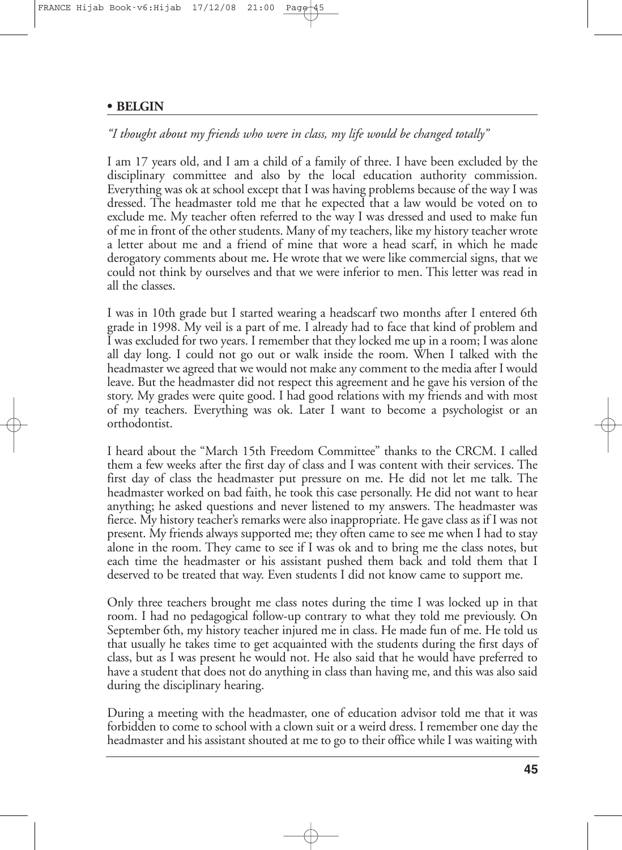#### FRANCE Hijab Book-v6: Hijab 17/12/08

#### **• BELGIN**

# *"I thought about my friends who were in class, my life would be changed totally"*

I am 17 years old, and I am a child of a family of three. I have been excluded by the disciplinary committee and also by the local education authority commission. Everything was ok at school except that I was having problems because of the way I was dressed. The headmaster told me that he expected that a law would be voted on to exclude me. My teacher often referred to the way I was dressed and used to make fun of me in front of the other students. Many of my teachers, like my history teacher wrote a letter about me and a friend of mine that wore a head scarf, in which he made derogatory comments about me**.** He wrote that we were like commercial signs, that we could not think by ourselves and that we were inferior to men. This letter was read in all the classes.

I was in 10th grade but I started wearing a headscarf two months after I entered 6th grade in 1998. My veil is a part of me. I already had to face that kind of problem and I was excluded for two years. I remember that they locked me up in a room; I was alone all day long. I could not go out or walk inside the room. When I talked with the headmaster we agreed that we would not make any comment to the media after I would leave. But the headmaster did not respect this agreement and he gave his version of the story. My grades were quite good. I had good relations with my friends and with most of my teachers. Everything was ok. Later I want to become a psychologist or an orthodontist.

I heard about the "March 15th Freedom Committee" thanks to the CRCM. I called them a few weeks after the first day of class and I was content with their services. The first day of class the headmaster put pressure on me. He did not let me talk. The headmaster worked on bad faith, he took this case personally. He did not want to hear anything; he asked questions and never listened to my answers. The headmaster was fierce. My history teacher's remarks were also inappropriate. He gave class as if I was not present. My friends always supported me; they often came to see me when I had to stay alone in the room. They came to see if I was ok and to bring me the class notes, but each time the headmaster or his assistant pushed them back and told them that I deserved to be treated that way. Even students I did not know came to support me.

Only three teachers brought me class notes during the time I was locked up in that room. I had no pedagogical follow-up contrary to what they told me previously. On September 6th, my history teacher injured me in class. He made fun of me. He told us that usually he takes time to get acquainted with the students during the first days of class, but as I was present he would not. He also said that he would have preferred to have a student that does not do anything in class than having me, and this was also said during the disciplinary hearing.

During a meeting with the headmaster, one of education advisor told me that it was forbidden to come to school with a clown suit or a weird dress. I remember one day the headmaster and his assistant shouted at me to go to their office while I was waiting with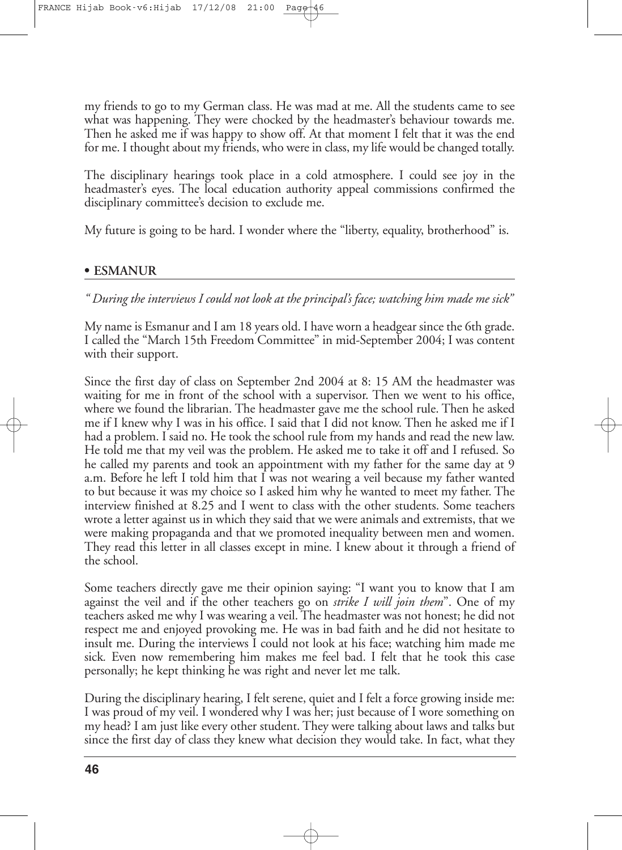my friends to go to my German class. He was mad at me. All the students came to see what was happening. They were chocked by the headmaster's behaviour towards me. Then he asked me if was happy to show off. At that moment I felt that it was the end for me. I thought about my friends, who were in class, my life would be changed totally.

The disciplinary hearings took place in a cold atmosphere. I could see joy in the headmaster's eyes. The local education authority appeal commissions confirmed the disciplinary committee's decision to exclude me.

My future is going to be hard. I wonder where the "liberty, equality, brotherhood" is.

#### **• ESMANUR**

*" During the interviews I could not look at the principal's face; watching him made me sick"*

My name is Esmanur and I am 18 years old. I have worn a headgear since the 6th grade. I called the "March 15th Freedom Committee" in mid-September 2004; I was content with their support.

Since the first day of class on September 2nd 2004 at 8: 15 AM the headmaster was waiting for me in front of the school with a supervisor. Then we went to his office, where we found the librarian. The headmaster gave me the school rule. Then he asked me if I knew why I was in his office. I said that I did not know. Then he asked me if I had a problem. I said no. He took the school rule from my hands and read the new law. He told me that my veil was the problem. He asked me to take it off and I refused. So he called my parents and took an appointment with my father for the same day at 9 a.m. Before he left I told him that I was not wearing a veil because my father wanted to but because it was my choice so I asked him why he wanted to meet my father. The interview finished at 8.25 and I went to class with the other students. Some teachers wrote a letter against us in which they said that we were animals and extremists, that we were making propaganda and that we promoted inequality between men and women. They read this letter in all classes except in mine. I knew about it through a friend of the school.

Some teachers directly gave me their opinion saying: "I want you to know that I am against the veil and if the other teachers go on *strike I will join them*". One of my teachers asked me why I was wearing a veil. The headmaster was not honest; he did not respect me and enjoyed provoking me. He was in bad faith and he did not hesitate to insult me. During the interviews I could not look at his face; watching him made me sick*.* Even now remembering him makes me feel bad. I felt that he took this case personally; he kept thinking he was right and never let me talk.

During the disciplinary hearing, I felt serene, quiet and I felt a force growing inside me: I was proud of my veil. I wondered why I was her; just because of I wore something on my head? I am just like every other student. They were talking about laws and talks but since the first day of class they knew what decision they would take. In fact, what they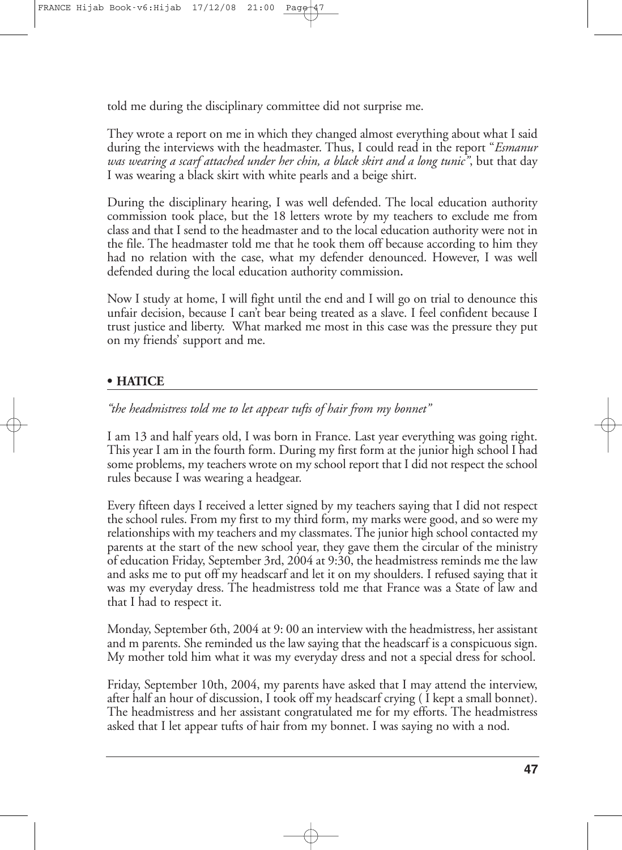told me during the disciplinary committee did not surprise me.

They wrote a report on me in which they changed almost everything about what I said during the interviews with the headmaster. Thus, I could read in the report "*Esmanur was wearing a scarf attached under her chin, a black skirt and a long tunic"*, but that day I was wearing a black skirt with white pearls and a beige shirt.

During the disciplinary hearing, I was well defended. The local education authority commission took place, but the 18 letters wrote by my teachers to exclude me from class and that I send to the headmaster and to the local education authority were not in the file. The headmaster told me that he took them off because according to him they had no relation with the case, what my defender denounced. However, I was well defended during the local education authority commission**.**

Now I study at home, I will fight until the end and I will go on trial to denounce this unfair decision, because I can't bear being treated as a slave. I feel confident because I trust justice and liberty. What marked me most in this case was the pressure they put on my friends' support and me.

# **• HATICE**

*"the headmistress told me to let appear tufts of hair from my bonnet"*

I am 13 and half years old, I was born in France. Last year everything was going right. This year I am in the fourth form. During my first form at the junior high school I had some problems, my teachers wrote on my school report that I did not respect the school rules because I was wearing a headgear.

Every fifteen days I received a letter signed by my teachers saying that I did not respect the school rules. From my first to my third form, my marks were good, and so were my relationships with my teachers and my classmates.The junior high school contacted my parents at the start of the new school year, they gave them the circular of the ministry of education Friday, September 3rd, 2004 at 9:30, the headmistress reminds me the law and asks me to put off my headscarf and let it on my shoulders. I refused saying that it was my everyday dress. The headmistress told me that France was a State of law and that I had to respect it.

Monday, September 6th, 2004 at 9: 00 an interview with the headmistress, her assistant and m parents. She reminded us the law saying that the headscarf is a conspicuous sign. My mother told him what it was my everyday dress and not a special dress for school.

Friday, September 10th, 2004, my parents have asked that I may attend the interview, after half an hour of discussion, I took off my headscarf crying ( I kept a small bonnet). The headmistress and her assistant congratulated me for my efforts. The headmistress asked that I let appear tufts of hair from my bonnet. I was saying no with a nod.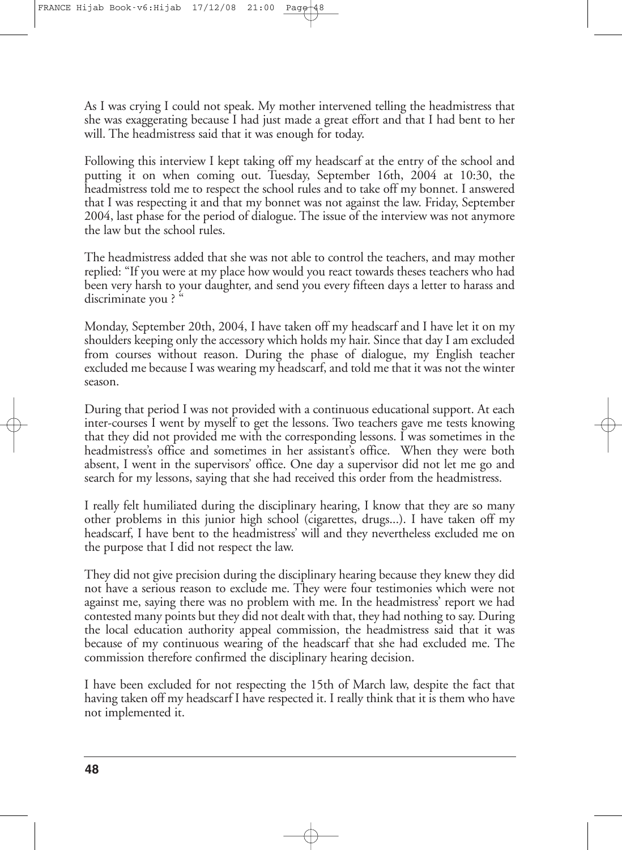As I was crying I could not speak. My mother intervened telling the headmistress that she was exaggerating because I had just made a great effort and that I had bent to her will. The headmistress said that it was enough for today.

Following this interview I kept taking off my headscarf at the entry of the school and putting it on when coming out. Tuesday, September 16th, 2004 at 10:30, the headmistress told me to respect the school rules and to take off my bonnet. I answered that I was respecting it and that my bonnet was not against the law. Friday, September 2004, last phase for the period of dialogue. The issue of the interview was not anymore the law but the school rules.

The headmistress added that she was not able to control the teachers, and may mother replied: "If you were at my place how would you react towards theses teachers who had been very harsh to your daughter, and send you every fifteen days a letter to harass and discriminate you? "

Monday, September 20th, 2004, I have taken off my headscarf and I have let it on my shoulders keeping only the accessory which holds my hair. Since that day I am excluded from courses without reason. During the phase of dialogue, my English teacher excluded me because I was wearing my headscarf, and told me that it was not the winter season.

During that period I was not provided with a continuous educational support. At each inter-courses I went by myself to get the lessons. Two teachers gave me tests knowing that they did not provided me with the corresponding lessons. I was sometimes in the headmistress's office and sometimes in her assistant's office. When they were both absent, I went in the supervisors' office. One day a supervisor did not let me go and search for my lessons, saying that she had received this order from the headmistress.

I really felt humiliated during the disciplinary hearing, I know that they are so many other problems in this junior high school (cigarettes, drugs...). I have taken off my headscarf, I have bent to the headmistress' will and they nevertheless excluded me on the purpose that I did not respect the law.

They did not give precision during the disciplinary hearing because they knew they did not have a serious reason to exclude me. They were four testimonies which were not against me, saying there was no problem with me. In the headmistress' report we had contested many points but they did not dealt with that, they had nothing to say. During the local education authority appeal commission, the headmistress said that it was because of my continuous wearing of the headscarf that she had excluded me. The commission therefore confirmed the disciplinary hearing decision.

I have been excluded for not respecting the 15th of March law, despite the fact that having taken off my headscarf I have respected it. I really think that it is them who have not implemented it.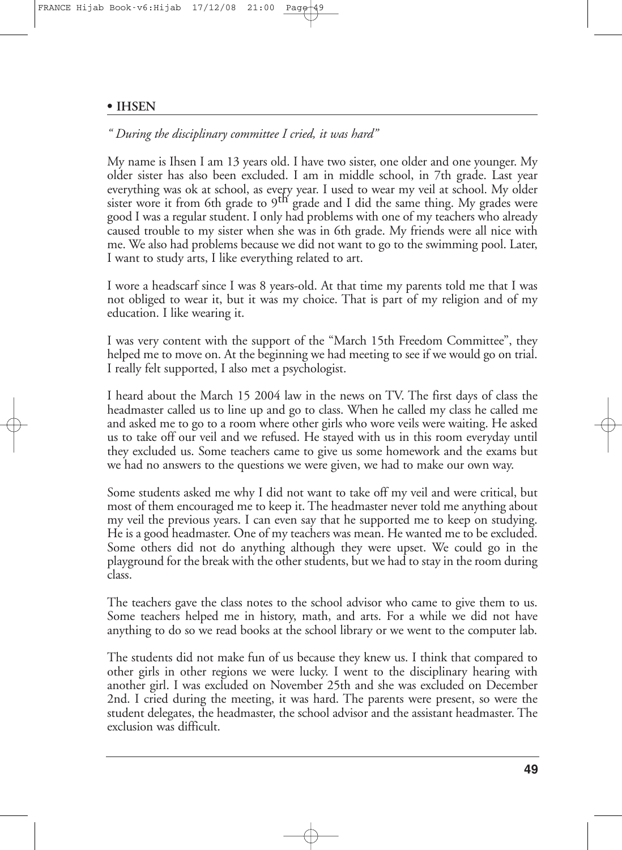#### **• IHSEN**

#### *" During the disciplinary committee I cried, it was hard"*

My name is Ihsen I am 13 years old. I have two sister, one older and one younger. My older sister has also been excluded. I am in middle school, in 7th grade. Last year everything was ok at school, as every year. I used to wear my veil at school. My older sister wore it from 6th grade to 9<sup>th</sup> grade and I did the same thing. My grades were good I was a regular student. I only had problems with one of my teachers who already caused trouble to my sister when she was in 6th grade. My friends were all nice with me. We also had problems because we did not want to go to the swimming pool. Later, I want to study arts, I like everything related to art.

I wore a headscarf since I was 8 years-old. At that time my parents told me that I was not obliged to wear it, but it was my choice. That is part of my religion and of my education. I like wearing it.

I was very content with the support of the "March 15th Freedom Committee", they helped me to move on. At the beginning we had meeting to see if we would go on trial. I really felt supported, I also met a psychologist.

I heard about the March 15 2004 law in the news on TV. The first days of class the headmaster called us to line up and go to class. When he called my class he called me and asked me to go to a room where other girls who wore veils were waiting. He asked us to take off our veil and we refused. He stayed with us in this room everyday until they excluded us. Some teachers came to give us some homework and the exams but we had no answers to the questions we were given, we had to make our own way.

Some students asked me why I did not want to take off my veil and were critical, but most of them encouraged me to keep it. The headmaster never told me anything about my veil the previous years. I can even say that he supported me to keep on studying. He is a good headmaster. One of my teachers was mean. He wanted me to be excluded. Some others did not do anything although they were upset. We could go in the playground for the break with the other students, but we had to stay in theroom during class.

The teachers gave the class notes to the school advisor who came to give them to us. Some teachers helped me in history, math, and arts. For a while we did not have anything to do so we read books at the school library or we went to the computer lab.

The students did not make fun of us because they knew us. I think that compared to other girls in other regions we were lucky. I went to the disciplinary hearing with another girl. I was excluded on November 25th and she was excluded on December 2nd. I cried during the meeting, it was hard. The parents were present, so were the student delegates, the headmaster, the school advisor and the assistant headmaster. The exclusion was difficult.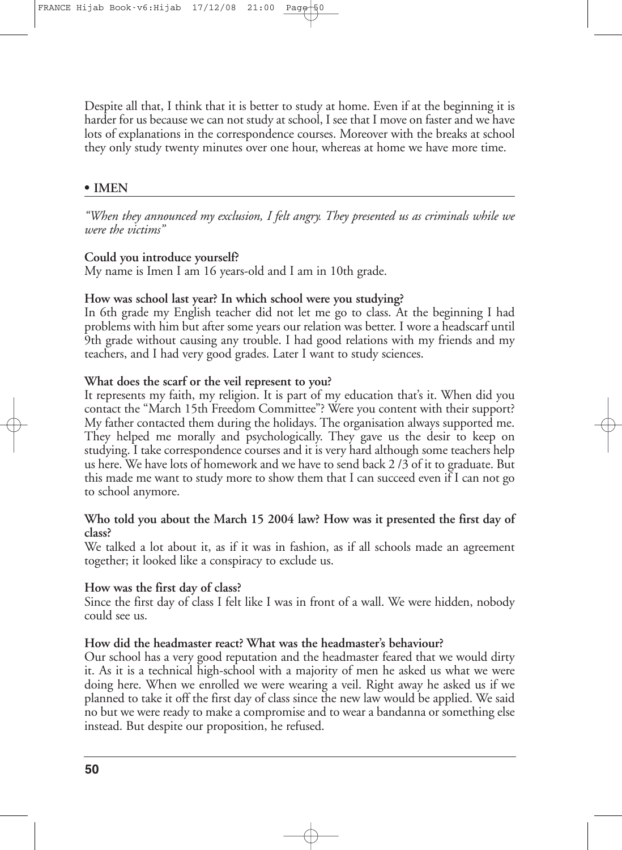Despite all that, I think that it is better to study at home. Even if at the beginning it is harder for us because we can not study at school, I see that I move on faster and we have lots of explanations in the correspondence courses. Moreover with the breaks at school they only study twenty minutes over one hour, whereas at home we have more time.

#### **• IMEN**

*"When they announced my exclusion, I felt angry. They presented us as criminals while we were the victims"*

#### **Could you introduce yourself?**

My name is Imen I am 16 years-old and I am in 10th grade.

#### **How was school last year? In which school were you studying?**

In 6th grade my English teacher did not let me go to class. At the beginning I had problems with him but after some years our relation was better. I wore a headscarf until 9th grade without causing any trouble. I had good relations with my friends and my teachers, and I had very good grades. Later I want to study sciences.

#### **What does the scarf or the veil represent to you?**

It represents my faith, my religion. It is part of my education that's it. When did you contact the "March 15th Freedom Committee"? Were you content with their support? My father contacted them during the holidays. The organisation always supported me. They helped me morally and psychologically. They gave us the desir to keep on studying. I take correspondence courses and it is very hard although some teachers help us here. We have lots of homework and we have to send back 2 /3 of it to graduate. But this made me want to study more to show them that I can succeed even if I can not go to school anymore.

# **Who told you about the March 15 2004 law? How was it presented the first day of class?**

We talked a lot about it, as if it was in fashion, as if all schools made an agreement together; it looked like a conspiracy to exclude us.

#### **How was the first day of class?**

Since the first day of class I felt like I was in front of a wall. We were hidden, nobody could see us.

#### **How did the headmaster react? What was the headmaster's behaviour?**

Our school has a very good reputation and the headmaster feared that we would dirty it. As it is a technical high-school with a majority of men he asked us what we were doing here. When we enrolled we were wearing a veil. Right away he asked us if we planned to take it off the first day of class since the new law would be applied. We said no but we were ready to make a compromise and to wear a bandanna or something else instead. But despite our proposition, he refused.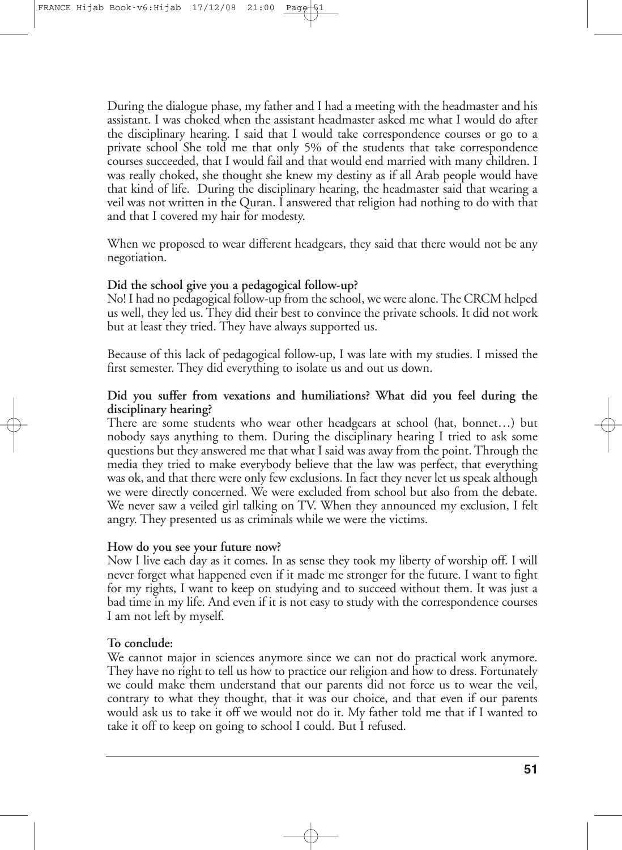During the dialogue phase, my father and I had a meeting with the headmaster and his assistant. I was choked when the assistant headmaster asked me what I would do after the disciplinary hearing. I said that I would take correspondence courses or go to a private school She told me that only 5% of the students that take correspondence courses succeeded, that I would fail and that would end married with many children. I was really choked, she thought she knew my destiny as if all Arab people would have that kind of life. During the disciplinary hearing, the headmaster said that wearing a veil was not written in the Quran. I answered that religion had nothing to do with that and that I covered my hair for modesty.

When we proposed to wear different headgears, they said that there would not be any negotiation.

#### **Did the school give you a pedagogical follow-up?**

No! I had no pedagogical follow-up from theschool, we were alone.The CRCM helped us well, they led us. They did their best to convince the private schools. It did not work but at least they tried. They have always supported us.

Because of this lack of pedagogical follow-up, I was late with my studies. I missed the first semester. They did everything to isolate us and out us down.

# **Did you suffer from vexations and humiliations? What did you feel during the disciplinary hearing?**

There are some students who wear other headgears at school (hat, bonnet…) but nobody says anything to them. During the disciplinary hearing I tried to ask some questions but they answered me that what I said was away from the point. Through the media they tried to make everybody believe that the law was perfect, that everything was ok, and that there were only few exclusions. In fact they never let us speak although we were directly concerned. We were excluded from school but also from the debate. We never saw a veiled girl talking on TV. When they announced my exclusion, I felt angry. They presented us as criminals while we were the victims.

#### **How do you see your future now?**

Now I live each day as it comes. In as sense they took my liberty of worship off. I will never forget what happened even if it made me stronger for the future. I want to fight for my rights, I want to keep on studying and to succeed without them. It was just a bad time in my life. And even if it is not easy to study with the correspondence courses I am not left by myself.

# **To conclude:**

We cannot major in sciences anymore since we can not do practical work anymore. They have no right to tell us how to practice our religion and how to dress. Fortunately we could make them understand that our parents did not force us to wear the veil, contrary to what they thought, that it was our choice, and that even if our parents would ask us to take it off we would not do it. My father told me that if I wanted to take it off to keep on going to school I could. But I refused.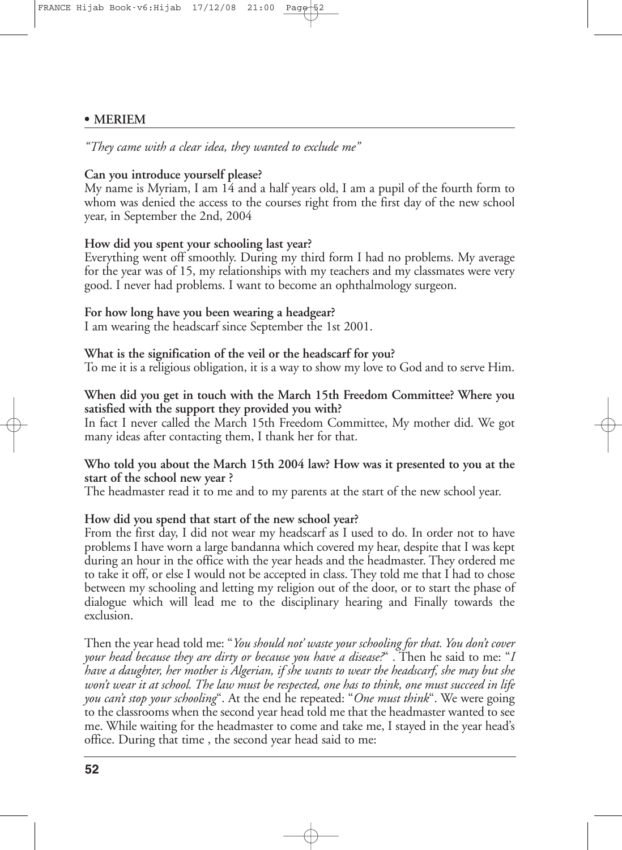#### **• MERIEM**

*"They came with a clear idea, they wanted to exclude me"*

# **Can you introduce yourself please?**

My name is Myriam, I am 14 and a half years old, I am a pupil of the fourth form to whom was denied the access to the courses right from the first day of the new school year, in September the 2nd, 2004

#### **How did you spent your schooling last year?**

Everything went off smoothly. During my third form I had no problems. My average for the year was of 15, my relationships with my teachers and my classmates were very good. I never had problems. I want to become an ophthalmology surgeon.

#### **For how long have you been wearing a headgear?**

I am wearing the headscarf since September the 1st 2001.

### **What is the signification of the veil or the headscarf for you?**

To me it is a religious obligation, it is a way to show my love to God and to serve Him.

# **When did you get in touch with the March 15th Freedom Committee? Where you satisfied with the support they provided you with?**

In fact I never called the March 15th Freedom Committee, My mother did. We got many ideas after contacting them, I thank her for that.

# **Who told you about the March 15th 2004 law? How was it presented to you at the start of the school new year ?**

The headmaster read it to me and to my parents at the start of the new school year.

#### **How did you spend that start of the new school year?**

From the first day, I did not wear my headscarf as I used to do. In order not to have problems I have worn a large bandanna which covered my hear, despite that I was kept during an hour in the office with the year heads and the headmaster. They ordered me to take it off, or else I would not be accepted in class. They told me that I had to chose between my schooling and letting my religion out of the door, or to start the phase of dialogue which will lead me to the disciplinary hearing and Finally towards the exclusion.

Then the year head told me: "*You should not' waste your schooling for that. You don't cover your head because they are dirty or because you have a disease?*" . Then he said to me: "*I have a daughter, her mother is Algerian, if she wants to wear the headscarf, she may but she* won't wear it at school. The law must be respected, one has to think, one must succeed in life *you can't stop your schooling*". At the end he repeated: "*One must think*". We were going to the classrooms when the second year head told me that the headmaster wanted to see me. While waiting for the headmaster to come and take me, I stayed in the year head's office. During that time , the second year head said to me: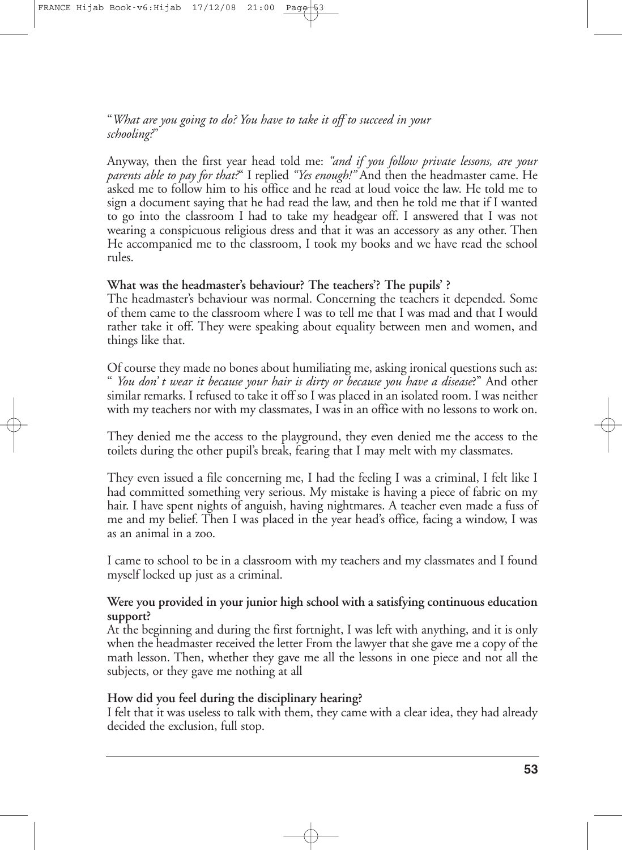"*What are you going to do? You have to take it off to succeed in your schooling?*"

Anyway, then the first year head told me: *"and if you follow private lessons, are your parents able to pay for that?*" I replied *"Yes enough!"* And then the headmaster came. He asked me to follow him to his office and he read at loud voice the law. He told me to sign a document saying that he had read the law, and then he told me that if I wanted to go into the classroom I had to take my headgear off. I answered that I was not wearing a conspicuous religious dress and that it was an accessory as any other. Then He accompanied me to the classroom, I took my books and we have read the school rules.

# **What was the headmaster's behaviour? The teachers'? The pupils' ?**

The headmaster's behaviour was normal. Concerning the teachers it depended. Some of them came to the classroom where I was to tell me that I was mad and that I would rather take it off. They were speaking about equality between men and women, and things like that.

Of course they made no bones about humiliating me, asking ironical questions such as: " *You don' t wear it because your hair is dirty or because you have a disease*?" And other similar remarks. I refused to take it off so I was placed in an isolated room. I was neither with my teachers nor with my classmates, I was in an office with no lessons to work on.

They denied me the access to the playground, they even denied me the access to the toilets during the other pupil's break, fearing that I may melt with my classmates.

They even issued a file concerning me, I had the feeling I was a criminal, I felt like I had committed something very serious. My mistake is having a piece of fabric on my hair. I have spent nights of anguish, having nightmares. A teacher even made a fuss of me and my belief. Then I was placed in the year head's office, facing a window, I was as an animal in a zoo.

I came to school to be in a classroom with my teachers and my classmates and I found myself locked up just as a criminal.

# **Were you provided in your junior high school with a satisfying continuous education support?**

At the beginning and during the first fortnight, I was left with anything, and it is only when the headmaster received the letter From the lawyer that she gave me a copy of the math lesson. Then, whether they gave me all the lessons in one piece and not all the subjects, or they gave me nothing at all

# **How did you feel during the disciplinary hearing?**

I felt that it was useless to talk with them, they came with a clear idea, they had already decided the exclusion, full stop.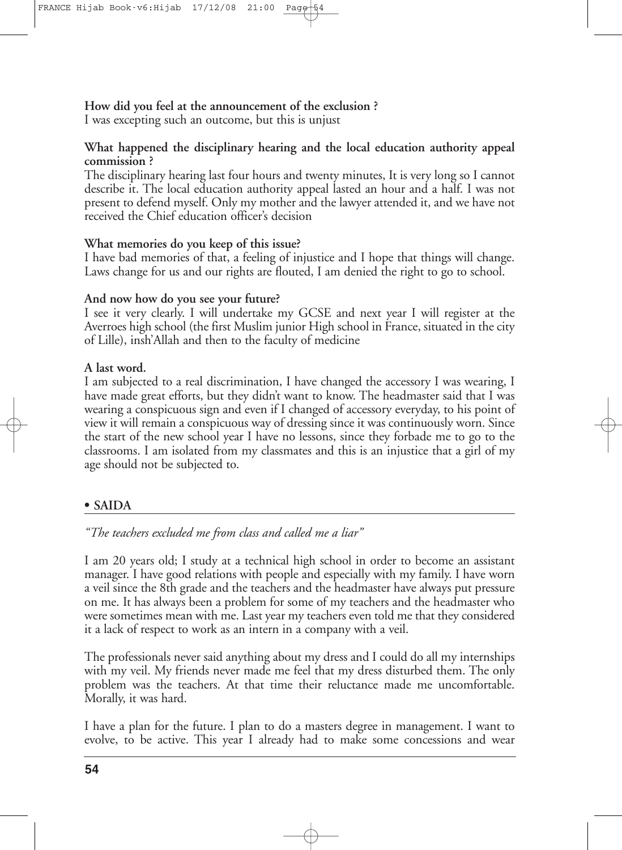**How did you feel at the announcement of the exclusion ?** I was excepting such an outcome, but this is unjust

# **What happened the disciplinary hearing and the local education authority appeal commission ?**

The disciplinary hearing last four hours and twenty minutes, It is very long so I cannot describe it. The local education authority appeal lasted an hour and a half. I was not present to defend myself. Only my mother and the lawyer attended it, and we have not received the Chief education officer's decision

# **What memories do you keep of this issue?**

I have bad memories of that, a feeling of injustice and I hope that things will change. Laws change for us and our rights are flouted, I am denied the right to go to school.

# **And now how do you see your future?**

I see it very clearly. I will undertake my GCSE and next year I will register at the Averroes high school (the first Muslim junior High school in France, situated in the city of Lille), insh'Allah and then to the faculty of medicine

# **A last word.**

I am subjected to a real discrimination, I have changed the accessory I was wearing, I have made great efforts, but they didn't want to know. The headmaster said that I was wearing a conspicuous sign and even if I changed of accessory everyday, to his point of view it will remain a conspicuous way of dressing since it was continuously worn. Since the start of the new school year I have no lessons, since they forbade me to go to the classrooms. I am isolated from my classmates and this is an injustice that a girl of my age should not be subjected to.

# **• SAIDA**

*"The teachers excluded me from class and called me a liar"*

I am 20 years old; I study at a technical high school in order to become an assistant manager. I have good relations with people and especially with my family. I have worn a veil since the 8th grade and the teachers and the headmaster have always put pressure on me. It has always been a problem for some of my teachers and the headmaster who were sometimes mean with me. Last year my teachers even told me that they considered it a lack of respect to work as an intern in a company with a veil.

The professionals never said anything about my dress and I could do all my internships with my veil. My friends never made me feel that my dress disturbed them. The only problem was the teachers. At that time their reluctance made me uncomfortable. Morally, it was hard.

I have a plan for the future. I plan to do a masters degree in management. I want to evolve, to be active. This year I already had to make some concessions and wear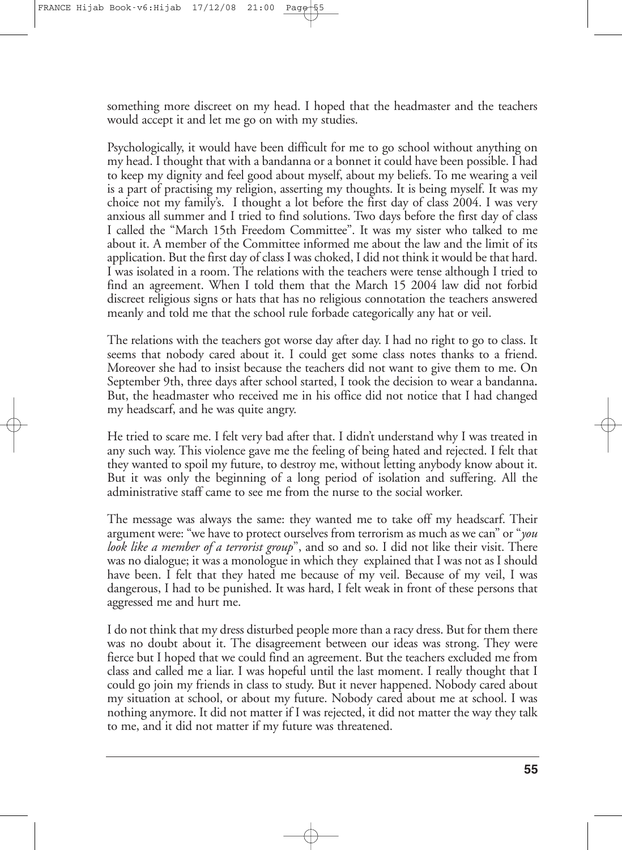something more discreet on my head. I hoped that the headmaster and the teachers would accept it and let me go on with my studies.

Psychologically, it would have been difficult for me to go school without anything on my head. I thought that with a bandanna or a bonnet it could have been possible. I had to keep my dignity and feel good about myself, about my beliefs. To me wearing a veil is a part of practising my religion, asserting my thoughts. It is being myself. It was my choice not my family's. I thought a lot before the first day of class 2004. I was very anxious all summer and I tried to find solutions. Two days before the first day of class I called the "March 15th Freedom Committee". It was my sister who talked to me about it. A member of the Committee informed me about the law and the limit of its application. But the first day of class I was choked, I did not think it would be that hard. I was isolated in a room. The relations with the teachers were tense although I tried to find an agreement. When I told them that the March 15 2004 law did not forbid discreet religious signs or hats that has no religious connotation the teachers answered meanly and told me that the school rule forbade categorically any hat or veil.

The relations with the teachers got worse day after day. I had no right to go to class. It seems that nobody cared about it. I could get some class notes thanks to a friend. Moreover she had to insist because the teachers did not want to give them to me. On September 9th, three days after school started, I took the decision to wear a bandanna**.** But, the headmaster who received me in his office did not notice that I had changed my headscarf, and he was quite angry.

He tried to scare me. I felt very bad after that. I didn't understand why I was treated in any such way. This violence gave me the feeling of being hated and rejected. I felt that they wanted to spoil my future, to destroy me, without letting anybody know about it. But it was only the beginning of a long period of isolation and suffering. All the administrative staff came to see me from the nurse to the social worker.

The message was always the same: they wanted me to take off my headscarf. Their argument were: "we have to protect ourselves from terrorism as much as we can" or "*you look like a member of a terrorist group*", and so and so. I did not like their visit. There was no dialogue; it was a monologue in which they explained that I was not as I should have been. I felt that they hated me because of my veil. Because of my veil, I was dangerous, I had to be punished. It was hard, I felt weak in front of these persons that aggressed me and hurt me.

I do not think that my dress disturbed people more than a racy dress. But for them there was no doubt about it. The disagreement between our ideas was strong. They were fierce but I hoped that we could find an agreement. But the teachers excluded me from class and called me a liar. I was hopeful until the last moment. I really thought that I could go join my friends in class to study. But it never happened. Nobody cared about my situation at school, or about my future. Nobody cared about me at school. I was nothing anymore. It did not matter if I was rejected, it did not matter the way they talk to me, and it did not matter if my future was threatened.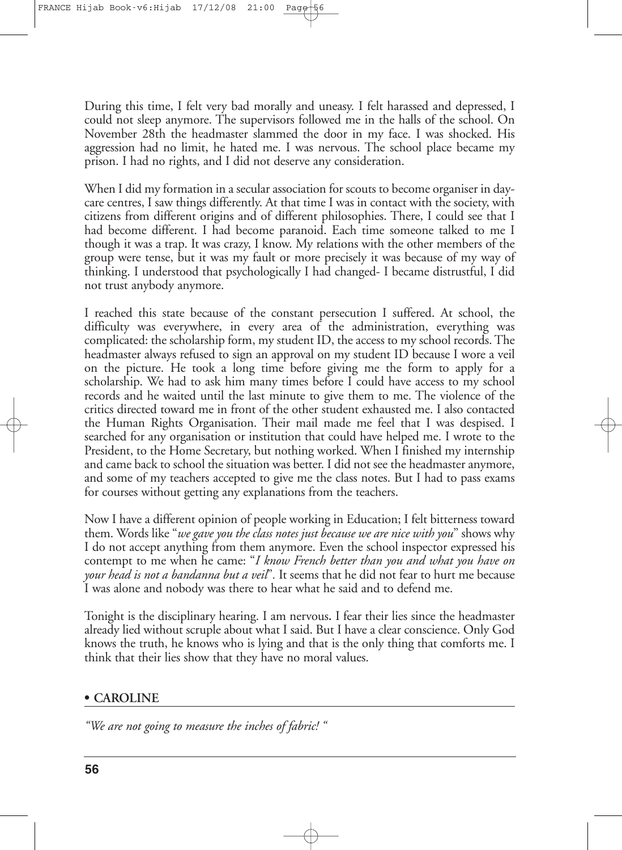During this time, I felt very bad morally and uneasy. I felt harassed and depressed, I could not sleep anymore. The supervisors followed me in the halls of the school. On November 28th the headmaster slammed the door in my face. I was shocked. His aggression had no limit, he hated me. I was nervous. The school place became my prison. I had no rights, and I did not deserve any consideration.

When I did my formation in a secular association for scouts to become organiser in daycare centres, I saw things differently. At that time I was in contact with the society, with citizens from different origins and of different philosophies. There, I could see that I had become different. I had become paranoid. Each time someone talked to me I though it was a trap. It was crazy, I know. My relations with the other members of the group were tense, but it was my fault or more precisely it was because of my way of thinking. I understood that psychologically I had changed- I became distrustful, I did not trust anybody anymore.

I reached this state because of the constant persecution I suffered. At school, the difficulty was everywhere, in every area of the administration, everything was complicated: the scholarship form, my student ID, the access to my school records.The headmaster always refused to sign an approval on my student ID because I wore a veil on the picture. He took a long time before giving me the form to apply for a scholarship. We had to ask him many times before I could have access to my school records and he waited until the last minute to give them to me. The violence of the critics directed toward me in front of the other student exhausted me. I also contacted the Human Rights Organisation. Their mail made me feel that I was despised. I searched for any organisation or institution that could have helped me. I wrote to the President, to the Home Secretary, but nothing worked. When I finished my internship and came back to school the situation was better. I did not see the headmaster anymore, and some of my teachers accepted to give me the class notes. But I had to pass exams for courses without getting any explanations from the teachers.

Now I have a different opinion of people working in Education; I felt bitterness toward them. Words like "*we gave you the class notes just because we are nice with you*" shows why I do not accept anything from them anymore. Even the school inspector expressed his contempt to me when he came: "*I know French better than you and what you have on your head is not a bandanna but a veil*"*.* It seems that he did not fear to hurt me because I was alone and nobody was there to hear what he said and to defend me.

Tonight is the disciplinary hearing. I am nervous**.** I fear their lies since the headmaster already lied without scruple about what I said. But I have a clear conscience. Only God knows the truth, he knows who is lying and that is the only thing that comforts me. I think that their lies show that they have no moral values.

# **• CAROLINE**

*"We are not going to measure the inches of fabric! "*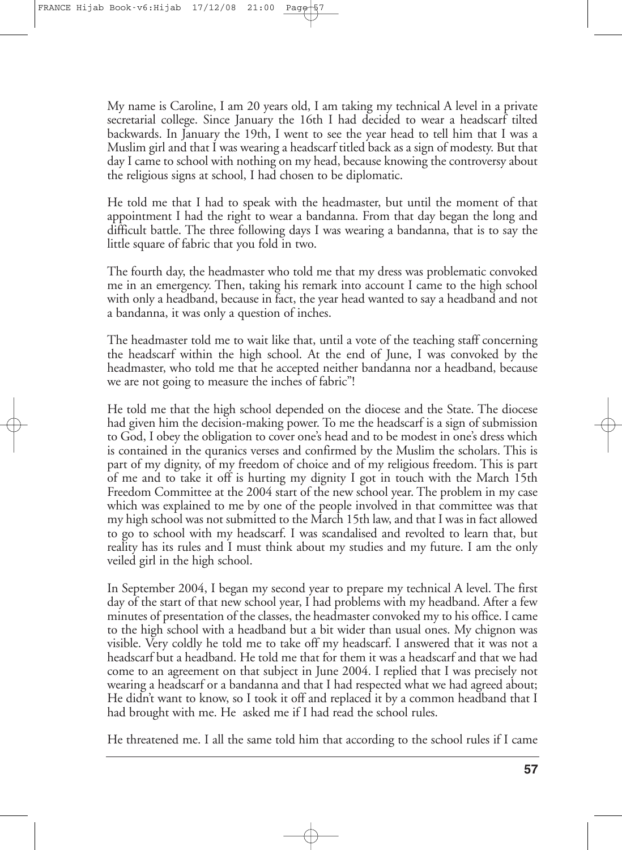My name is Caroline, I am 20 years old, I am taking my technical A level in a private secretarial college. Since January the 16th I had decided to wear a headscarf tilted backwards. In January the 19th, I went to see the year head to tell him that I was a Muslim girl and that I was wearing a headscarf titled back as a sign of modesty. But that day I came to school with nothing on my head, because knowing the controversy about the religious signs at school, I had chosen to be diplomatic.

He told me that I had to speak with the headmaster, but until the moment of that appointment I had the right to wear a bandanna. From that day began the long and difficult battle. The three following days I was wearing a bandanna, that is to say the little square of fabric that you fold in two.

The fourth day, the headmaster who told me that my dress was problematic convoked me in an emergency. Then, taking his remark into account I came to the high school with only a headband, because in fact, the year head wanted to say a headband and not a bandanna, it was only a question of inches.

The headmaster told me to wait like that, until a vote of the teaching staff concerning the headscarf within the high school. At the end of June, I was convoked by the headmaster, who told me that he accepted neither bandanna nor a headband, because we are not going to measure the inches of fabric"!

He told me that the high school depended on the diocese and the State. The diocese had given him the decision-making power. To me the headscarf is a sign of submission to God, I obey the obligation to cover one's head and to be modest in one's dress which is contained in the quranics verses and confirmed by the Muslim the scholars. This is part of my dignity, of my freedom of choice and of my religious freedom. This is part of me and to take it off is hurting my dignity I got in touch with the March 15th Freedom Committee at the 2004 start of the new school year. The problem in my case which was explained to me by one of the people involved in that committee was that my high school was not submitted to the March 15th law, and that I was in fact allowed to go to school with my headscarf. I was scandalised and revolted to learn that, but reality has its rules and I must think about my studies and my future. I am the only veiled girl in the high school.

In September 2004, I began my second year to prepare my technical A level. The first day of the start of that new school year, I had problems with my headband. After a few minutes of presentation of the classes, the headmaster convoked my to his office. I came to the high school with a headband but a bit wider than usual ones. My chignon was visible. Very coldly he told me to take off my headscarf. I answered that it was not a headscarf but a headband. He told me that for them it was a headscarf and that we had come to an agreement on that subject in June 2004. I replied that I was precisely not wearing a headscarf or a bandanna and that I had respected what we had agreed about; He didn't want to know, so I took it off and replaced it by a common headband that I had brought with me. He asked me if I had read the school rules.

He threatened me. I all the same told him that according to the school rules if I came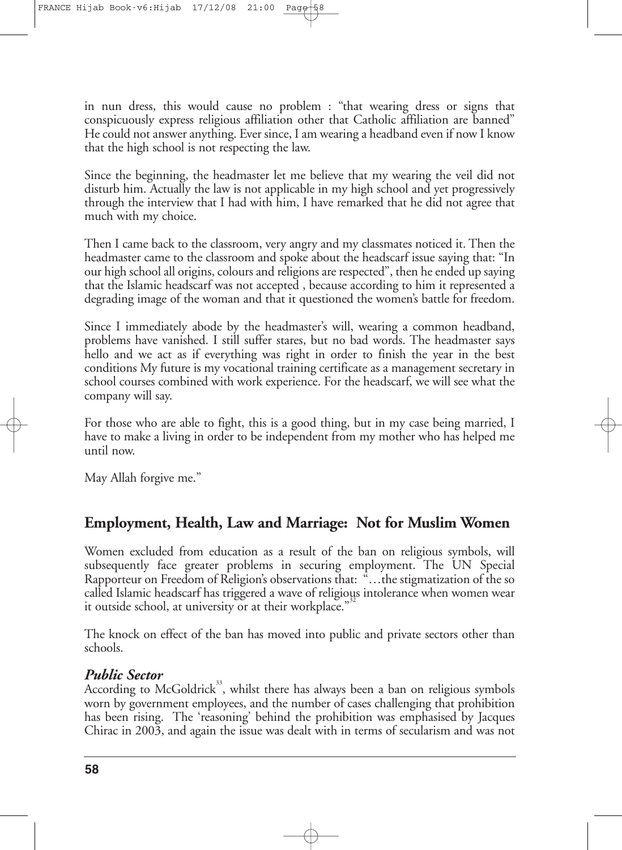in nun dress, this would cause no problem : "that wearing dress or signs that conspicuously express religious affiliation other that Catholic affiliation are banned" He could not answer anything. Ever since, I am wearing a headband even if now I know that the high school is not respecting the law.

Since the beginning, the headmaster let me believe that my wearing the veil did not disturb him. Actually the law is not applicable in my high school and yet progressively through the interview that I had with him, I have remarked that he did not agree that much with my choice.

Then I came back to the classroom, very angry and my classmates noticed it. Then the headmaster came to the classroom and spoke about the headscarf issue saying that: "In our high school all origins, colours and religions arerespected", then heended up saying that the Islamic headscarf was not accepted , because according to him it represented a degrading image of the woman and that it questioned the women's battle for freedom.

Since I immediately abode by the headmaster's will, wearing a common headband, problems have vanished. I still suffer stares, but no bad words. The headmaster says hello and we act as if everything was right in order to finish the year in the best conditions My future is my vocational training certificate as a management secretary in school courses combined with work experience. For the headscarf, we will see what the company will say.

For those who are able to fight, this is a good thing, but in my case being married, I have to make a living in order to be independent from my mother who has helped me until now.

May Allah forgive me."

# **Employment, Health, Law and Marriage: Not for Muslim Women**

Women excluded from education as a result of the ban on religious symbols, will subsequently face greater problems in securing employment. The UN Special Rapporteur on Freedom of Religion's observations that: "…the stigmatization of the so called Islamic headscarf has triggered a wave of religious intolerance when women wear it outside school, at university or at their workplace."

The knock on effect of the ban has moved into public and private sectors other than schools.

# *Public Sector*

According to McGoldrick<sup>33</sup>, whilst there has always been a ban on religious symbols worn by government employees, and the number of cases challenging that prohibition has been rising. The 'reasoning' behind the prohibition was emphasised by Jacques Chirac in 2003, and again the issue was dealt with in terms of secularism and was not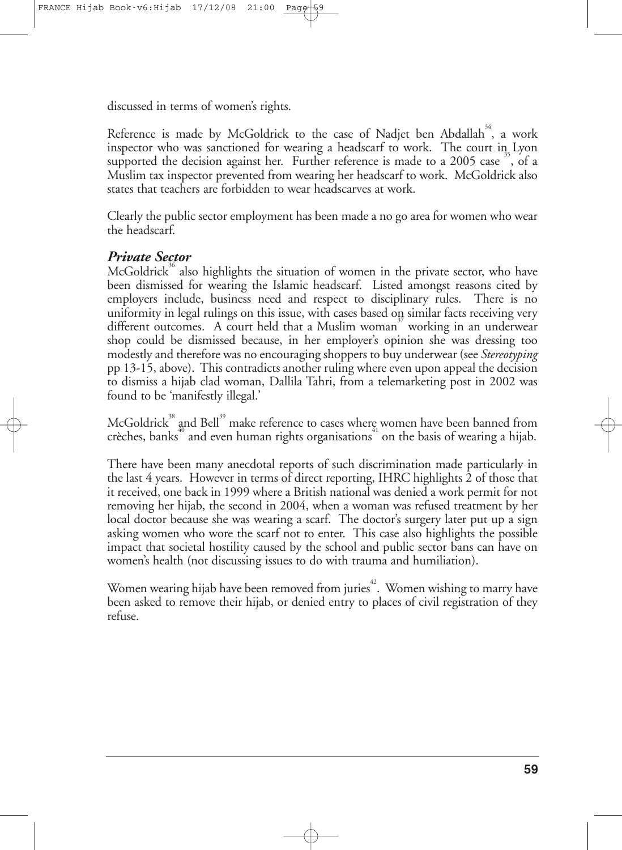discussed in terms of women's rights.

Reference is made by McGoldrick to the case of Nadjet ben Abdallah $^{34}$ , a work inspector who was sanctioned for wearing a headscarf to work. The court in Lyon supported the decision against her. Further reference is made to a 2005 case  $\frac{35}{12}$ , of a Muslim tax inspector prevented from wearing her headscarf to work. McGoldrick also states that teachers are forbidden to wear headscarves at work.

Clearly the public sector employment has been made a no go area for women who wear the headscarf.

# *Private Sector*

McGoldrick<sup>36</sup> also highlights the situation of women in the private sector, who have been dismissed for wearing the Islamic headscarf. Listed amongst reasons cited by employers include, business need and respect to disciplinary rules. There is no uniformity in legal rulings on this issue, with cases based on similar facts receiving very different outcomes. A court held that a Muslim woman<sup>37</sup> working in an underwear shop could be dismissed because, in her employer's opinion she was dressing too modestly and therefore was no encouraging shoppers to buy underwear (see *Stereotyping* pp 13-15, above). This contradicts another ruling where even upon appeal the decision to dismiss a hijab clad woman, Dallila Tahri, from a telemarketing post in 2002 was found to be 'manifestly illegal.'

McGoldrick $^{\text{38}}$  and Bell $^{\text{39}}$  make reference to cases where women have been banned from crèches, banks $^\text{40}$  and even human rights organisations $^\text{41}$  on the basis of wearing a hijab.

There have been many anecdotal reports of such discrimination made particularly in the last 4 years. However in terms of direct reporting, IHRC highlights 2 of those that it received, one back in 1999 where a British national was denied a work permit for not removing her hijab, the second in 2004, when a woman was refused treatment by her local doctor because she was wearing a scarf. The doctor's surgery later put up a sign asking women who wore the scarf not to enter. This case also highlights the possible impact that societal hostility caused by the school and public sector bans can have on women's health (not discussing issues to do with trauma and humiliation).

Women wearing hijab have been removed from juries 42 . Women wishing to marry have been asked to remove their hijab, or denied entry to places of civil registration of they refuse.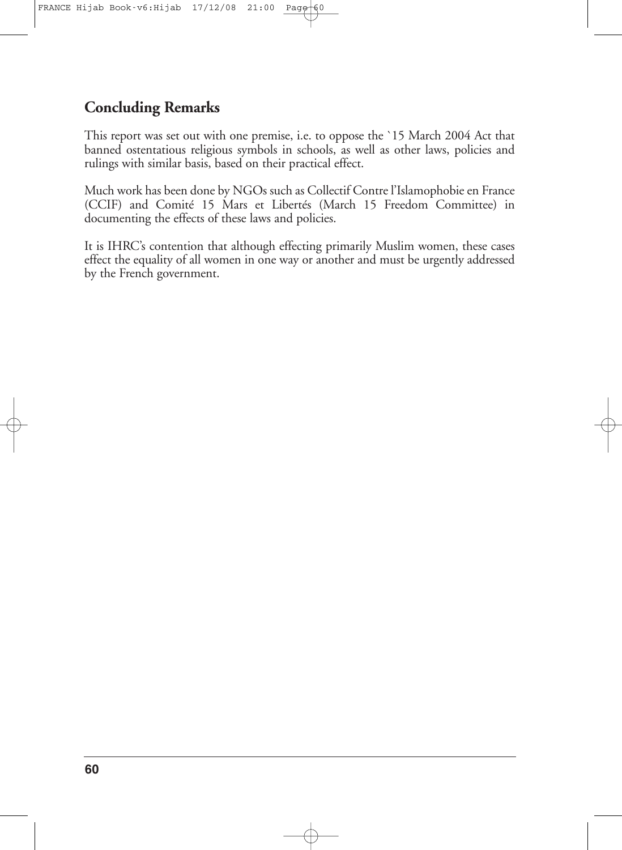# **Concluding Remarks**

This report was set out with one premise, i.e. to oppose the `15 March 2004 Act that banned ostentatious religious symbols in schools, as well as other laws, policies and rulings with similar basis, based on their practical effect.

Much work has been done by NGOs such as Collectif Contre l'Islamophobie en France (CCIF) and Comité 15 Mars et Libertés (March 15 Freedom Committee) in documenting the effects of these laws and policies.

It is IHRC's contention that although effecting primarily Muslim women, these cases effect the equality of all women in one way or another and must be urgently addressed by the French government.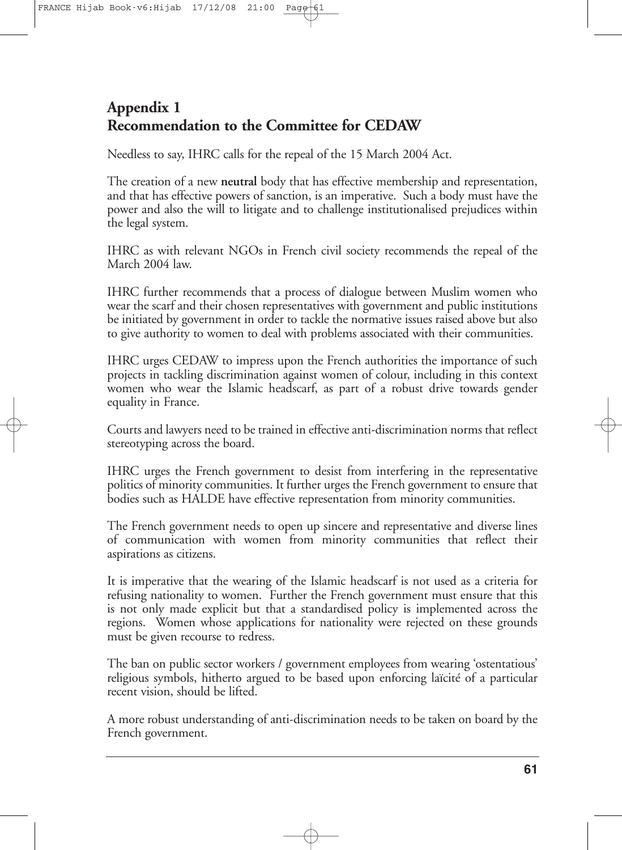# **Appendix 1 Recommendation to the Committee for CEDAW**

Needless to say, IHRC calls for the repeal of the 15 March 2004 Act.

The creation of a new **neutral** body that has effective membership and representation, and that has effective powers of sanction, is an imperative. Such a body must have the power and also the will to litigate and to challenge institutionalised prejudices within the legal system.

IHRC as with relevant NGOs in French civil society recommends the repeal of the March 2004 law.

IHRC further recommends that a process of dialogue between Muslim women who wear the scarf and their chosen representatives with government and public institutions be initiated by government in order to tackle the normative issues raised above but also to give authority to women to deal with problems associated with their communities.

IHRC urges CEDAW to impress upon the French authorities the importance of such projects in tackling discrimination against women of colour, including in this context women who wear the Islamic headscarf, as part of a robust drive towards gender equality in France.

Courts and lawyers need to be trained in effective anti-discrimination norms that reflect stereotyping across the board.

IHRC urges the French government to desist from interfering in the representative politics of minority communities. It further urges the French government to ensure that bodies such as HALDE have effective representation from minority communities.

The French government needs to open up sincere and representative and diverse lines of communication with women from minority communities that reflect their aspirations as citizens.

It is imperative that the wearing of the Islamic headscarf is not used as a criteria for refusing nationality to women. Further the French government must ensure that this is not only made explicit but that a standardised policy is implemented across the regions. Women whose applications for nationality were rejected on these grounds must be given recourse to redress.

The ban on public sector workers / government employees from wearing 'ostentatious' religious symbols, hitherto argued to be based upon enforcing laïcité of a particular recent vision, should be lifted.

A more robust understanding of anti-discrimination needs to be taken on board by the French government.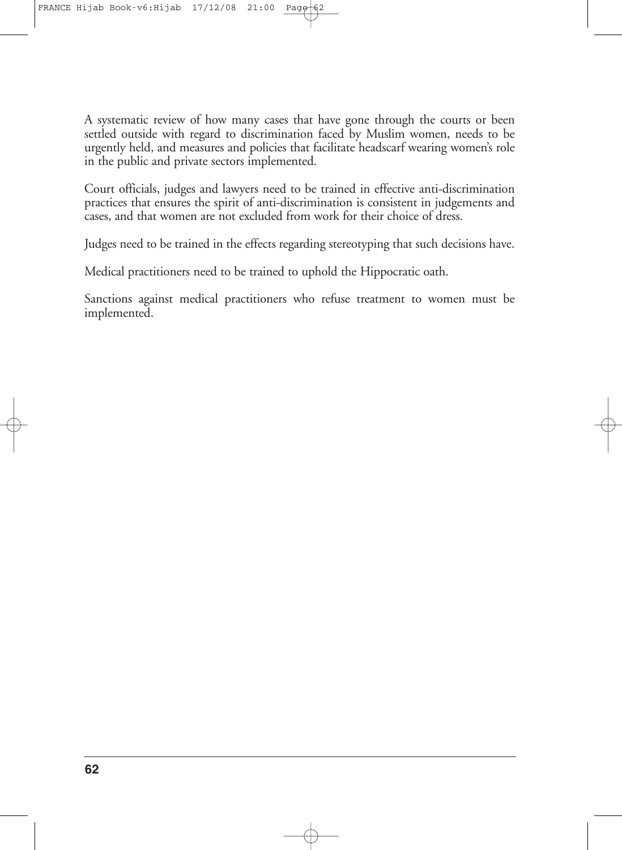A systematic review of how many cases that have gone through the courts or been settled outside with regard to discrimination faced by Muslim women, needs to be urgently held, and measures and policies that facilitate headscarf wearing women's role in the public and private sectors implemented.

Court officials, judges and lawyers need to be trained in effective anti-discrimination practices that ensures the spirit of anti-discrimination is consistent in judgements and cases, and that women are not excluded from work for their choice of dress.

Judges need to be trained in the effects regarding stereotyping that such decisions have.

Medical practitioners need to be trained to uphold the Hippocratic oath.

Sanctions against medical practitioners who refuse treatment to women must be implemented.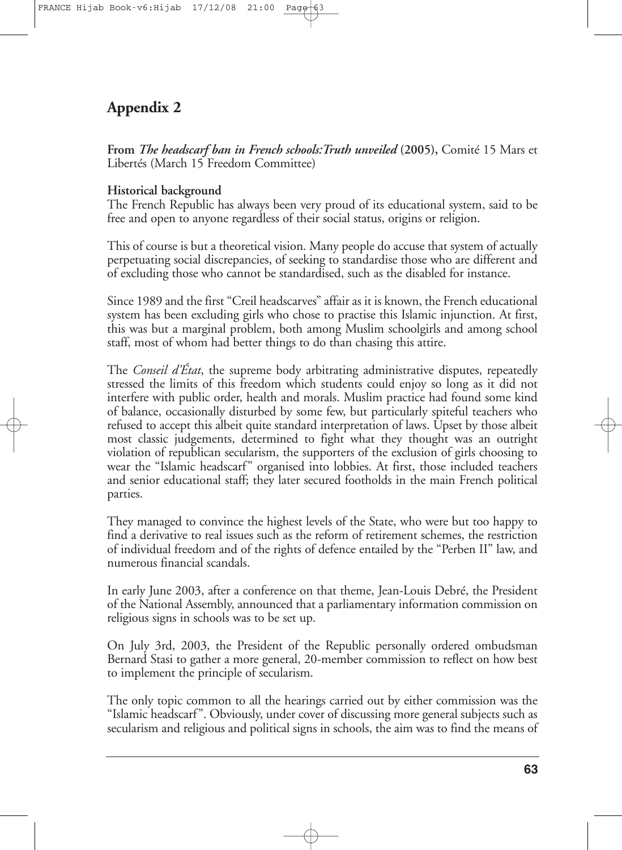# **Appendix 2**

**From** *The headscarf ban in French schools:Truth unveiled* **(2005),** Comité 15 Mars et Libertés (March 15 Freedom Committee)

# **Historical background**

The French Republic has always been very proud of its educational system, said to be free and open to anyone regardless of their social status, origins or religion.

This of course is but a theoretical vision. Many people do accuse that system of actually perpetuating social discrepancies, of seeking to standardise those who are different and of excluding those who cannot be standardised, such as the disabled for instance.

Since 1989 and the first "Creil headscarves" affair as it is known, the French educational system has been excluding girls who chose to practise this Islamic injunction. At first, this was but a marginal problem, both among Muslim schoolgirls and among school staff, most of whom had better things to do than chasing this attire.

The *Conseil d'État*, the supreme body arbitrating administrative disputes, repeatedly stressed the limits of this freedom which students could enjoy so long as it did not interfere with public order, health and morals. Muslim practice had found some kind of balance, occasionally disturbed by some few, but particularly spiteful teachers who refused to accept this albeit quite standard interpretation of laws. Upset by those albeit most classic judgements, determined to fight what they thought was an outright violation of republican secularism, the supporters of the exclusion of girls choosing to wear the "Islamic headscarf" organised into lobbies. At first, those included teachers and senior educational staff; they later secured footholds in the main French political parties.

They managed to convince the highest levels of the State, who were but too happy to find a derivative to real issues such as the reform of retirement schemes, the restriction of individual freedom and of the rights of defence entailed by the "Perben II" law, and numerous financial scandals.

In early June 2003, after a conference on that theme, Jean-Louis Debré, the President of the National Assembly, announced that a parliamentary information commission on religious signs in schools was to be set up.

On July 3rd, 2003, the President of the Republic personally ordered ombudsman Bernard Stasi to gather a more general, 20-member commission to reflect on how best to implement the principle of secularism.

The only topic common to all the hearings carried out by either commission was the "Islamic headscarf". Obviously, under cover of discussing more general subjects such as secularism and religious and political signs in schools, the aim was to find the means of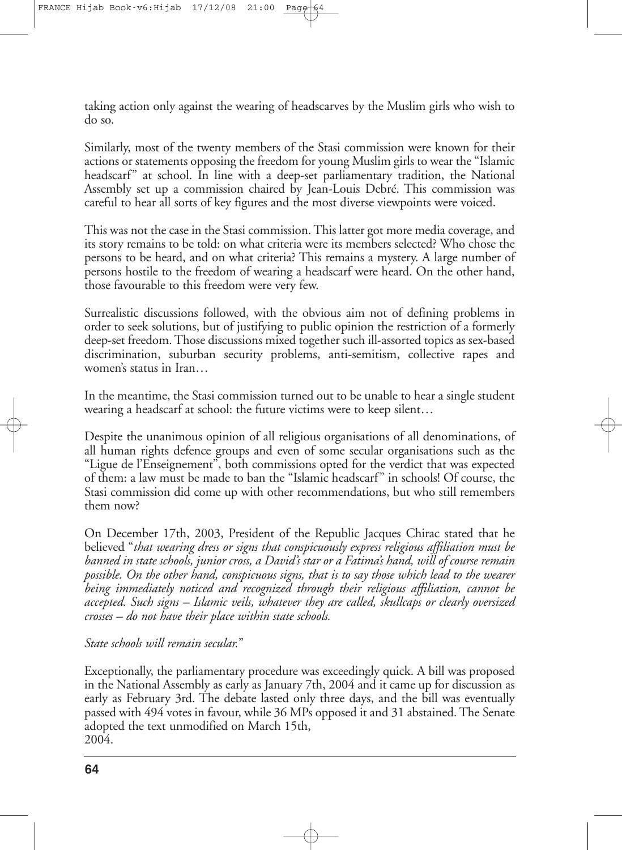taking action only against the wearing of headscarves by the Muslim girls who wish to do so.

Similarly, most of the twenty members of the Stasi commission were known for their actions or statements opposing the freedom for young Muslim girls to wear the "Islamic headscarf" at school. In line with a deep-set parliamentary tradition, the National Assembly set up a commission chaired by Jean-Louis Debré. This commission was careful to hear all sorts of key figures and the most diverse viewpoints were voiced.

This was not the case in the Stasi commission.This latter got more media coverage, and its story remains to be told: on what criteria were its members selected? Who chose the persons to be heard, and on what criteria? This remains a mystery. A large number of persons hostile to the freedom of wearing a headscarf were heard. On the other hand, those favourable to this freedom were very few.

Surrealistic discussions followed, with the obvious aim not of defining problems in order to seek solutions, but of justifying to public opinion the restriction of a formerly deep-set freedom.Those discussions mixed together such ill-assorted topics as sex-based discrimination, suburban security problems, anti-semitism, collective rapes and women's status in Iran…

In the meantime, the Stasi commission turned out to be unable to hear a single student wearing a headscarf at school: the future victims were to keep silent…

Despite the unanimous opinion of all religious organisations of all denominations, of all human rights defence groups and even of some secular organisations such as the "Ligue de l'Enseignement", both commissions opted for the verdict that was expected of them: a law must be made to ban the "Islamic headscarf" in schools! Of course, the Stasi commission did come up with other recommendations, but who still remembers them now?

On December 17th, 2003, President of the Republic Jacques Chirac stated that he believed "*that wearing dress or signs that conspicuously express religious affiliation must be banned in state schools, junior cross, a David's star or a Fatima's hand, will of course remain possible. On the other hand, conspicuous signs, that is to say those which lead to the wearer being immediately noticed and recognized through their religious affiliation, cannot be accepted. Such signs – Islamic veils, whatever they are called, skullcaps or clearly oversized crosses – do not have their place within state schools.*

*State schools will remain secular.*"

Exceptionally, the parliamentary procedure was exceedingly quick. A bill was proposed in the National Assembly as early as January 7th, 2004 and it came up for discussion as early as February 3rd. The debate lasted only three days, and the bill was eventually passed with 494 votes in favour, while 36 MPs opposed it and 31 abstained. The Senate adopted the text unmodified on March 15th, 2004.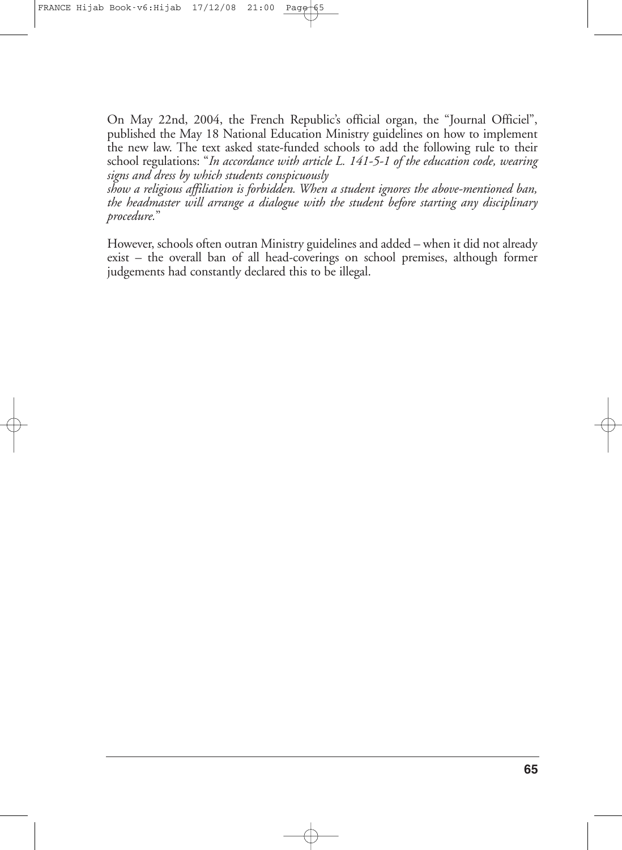On May 22nd, 2004, the French Republic's official organ, the "Journal Officiel", published the May 18 National Education Ministry guidelines on how to implement the new law. The text asked state-funded schools to add the following rule to their school regulations: "*In accordance with article L. 141-5-1 of the education code, wearing signs and dress by which students conspicuously*

*show a religious affiliation is forbidden. When a student ignores the above-mentioned ban, the headmaster will arrange a dialogue with the student before starting any disciplinary procedure.*"

However, schools often outran Ministry guidelines and added – when it did not already exist – the overall ban of all head-coverings on school premises, although former judgements had constantly declared this to be illegal.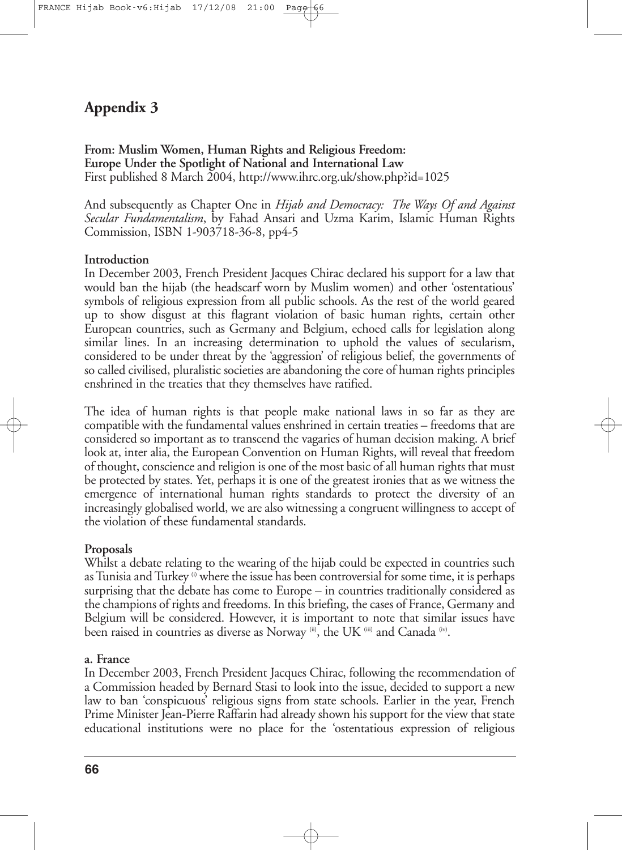# **Appendix 3**

**From: Muslim Women, Human Rights and Religious Freedom: Europe Under the Spotlight of National and International Law** First published 8 March 2004, http://www.ihrc.org.uk/show.php?id=1025

And subsequently as Chapter One in *Hijab and Democracy: The Ways Of and Against Secular Fundamentalism*, by Fahad Ansari and Uzma Karim, Islamic Human Rights Commission, ISBN 1-903718-36-8, pp4-5

# **Introduction**

In December 2003, French President Jacques Chirac declared his support for a law that would ban the hijab (the headscarf worn by Muslim women) and other 'ostentatious' symbols of religious expression from all public schools. As the rest of the world geared up to show disgust at this flagrant violation of basic human rights, certain other European countries, such as Germany and Belgium, echoed calls for legislation along similar lines. In an increasing determination to uphold the values of secularism, considered to be under threat by the 'aggression' of religious belief, the governments of so called civilised, pluralistic societies are abandoning the core of human rights principles enshrined in the treaties that they themselves have ratified.

The idea of human rights is that people make national laws in so far as they are compatible with the fundamental values enshrined in certain treaties – freedoms that are considered so important as to transcend the vagaries of human decision making. A brief look at, inter alia, the European Convention on Human Rights, will reveal that freedom of thought, conscience and religion is one of the most basic of all human rights that must be protected by states. Yet, perhaps it is one of the greatest ironies that as we witness the emergence of international human rights standards to protect the diversity of an increasingly globalised world, we are also witnessing a congruent willingness to accept of the violation of these fundamental standards.

# **Proposals**

Whilst a debate relating to the wearing of the hijab could be expected in countries such as Tunisia and Turkey  $\omega$  where the issue has been controversial for some time, it is perhaps surprising that the debate has come to Europe – in countries traditionally considered as the champions of rights and freedoms. In this briefing, the cases of France, Germany and Belgium will be considered. However, it is important to note that similar issues have been raised in countries as diverse as Norway (ii), the UK (iii) and Canada (iv).

# **a. France**

In December 2003, French President Jacques Chirac, following the recommendation of a Commission headed by Bernard Stasi to look into the issue, decided to support a new law to ban 'conspicuous' religious signs from state schools. Earlier in the year, French Prime Minister Jean-Pierre Raffarin had already shown his support for the view that state educational institutions were no place for the 'ostentatious expression of religious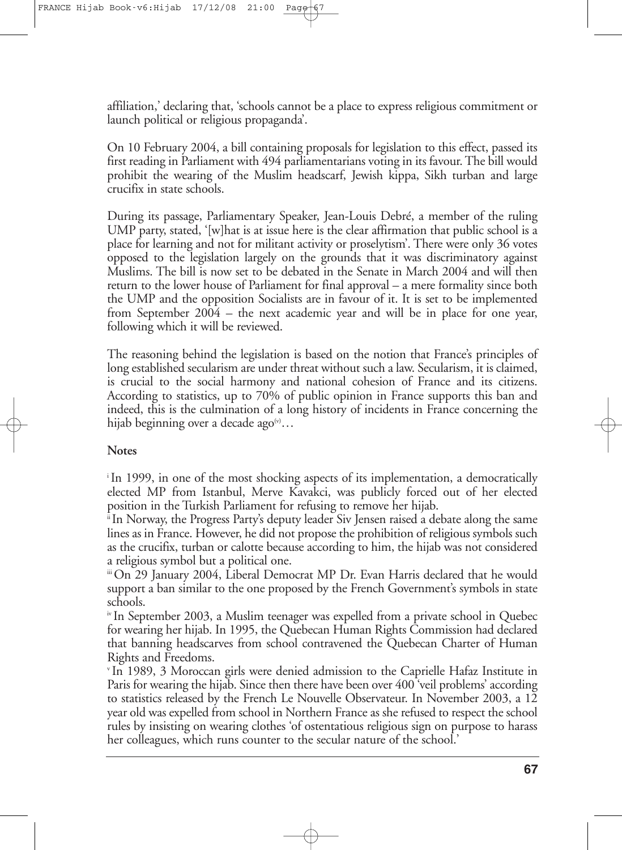affiliation,' declaring that, 'schools cannot be a place to express religious commitment or launch political or religious propaganda'.

On 10 February 2004, a bill containing proposals for legislation to this effect, passed its first reading in Parliament with 494 parliamentarians voting in its favour.The bill would prohibit the wearing of the Muslim headscarf, Jewish kippa, Sikh turban and large crucifix in state schools.

During its passage, Parliamentary Speaker, Jean-Louis Debré, a member of the ruling UMP party, stated, '[w]hat is at issue here is the clear affirmation that public school is a place for learning and not for militant activity or proselytism'. There were only 36 votes opposed to the legislation largely on the grounds that it was discriminatory against Muslims. The bill is now set to be debated in the Senate in March 2004 and will then return to the lower house of Parliament for final approval – a mere formality since both the UMP and the opposition Socialists are in favour of it. It is set to be implemented from September 2004 – the next academic year and will be in place for one year, following which it will be reviewed.

The reasoning behind the legislation is based on the notion that France's principles of long established secularism are under threat without such a law. Secularism, it is claimed, is crucial to the social harmony and national cohesion of France and its citizens. According to statistics, up to 70% of public opinion in France supports this ban and indeed, this is the culmination of a long history of incidents in France concerning the hijab beginning over a decade ago $^{\scriptscriptstyle(\vee)}\dots$ 

### **Notes**

i In 1999, in one of the most shocking aspects of its implementation, a democratically elected MP from Istanbul, Merve Kavakci, was publicly forced out of her elected position in the Turkish Parliament for refusing to remove her hijab.

ii In Norway, the Progress Party's deputy leader Siv Jensen raised a debate along the same lines as in France. However, he did not proposethe prohibition of religious symbols such as the crucifix, turban or calotte because according to him, the hijab was not considered a religious symbol but a political one.

iii On 29 January 2004, Liberal Democrat MP Dr. Evan Harris declared that he would support a ban similar to the one proposed by the French Government's symbols in state schools.

iv In September 2003, a Muslim teenager was expelled from a private school in Quebec for wearing her hijab. In 1995, the Quebecan Human Rights Commission had declared that banning headscarves from school contravened the Quebecan Charter of Human Rights and Freedoms.

<sup>v</sup> In 1989, 3 Moroccan girls were denied admission to the Caprielle Hafaz Institute in Paris for wearing the hijab. Since then there have been over 400 'veil problems' according to statistics released by the French Le Nouvelle Observateur. In November 2003, a 12 year old was expelled from school in Northern France as she refused to respect the school rules by insisting on wearing clothes 'of ostentatious religious sign on purpose to harass her colleagues, which runs counter to the secular nature of the school.'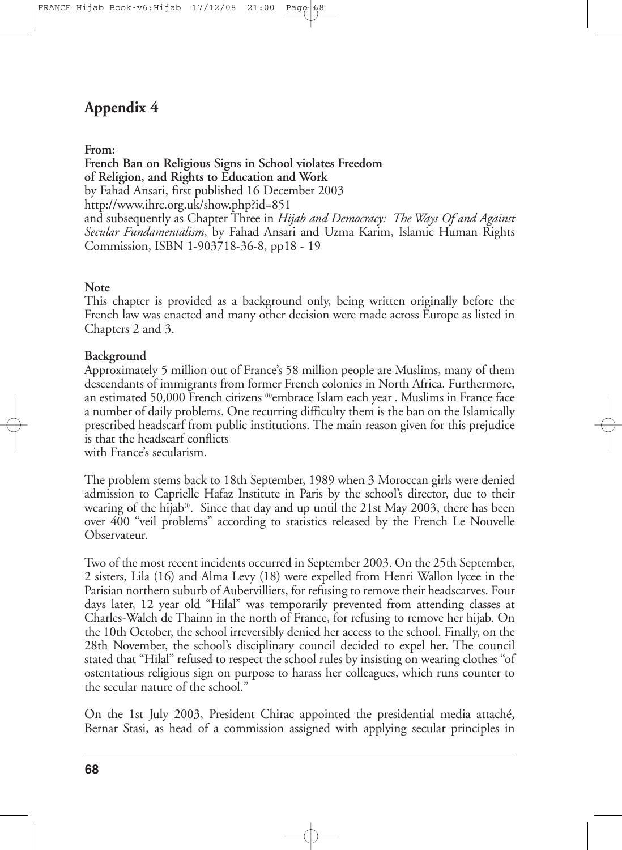# **Appendix 4**

### **From:**

**French Ban on Religious Signs in School violates Freedom of Religion, and Rights to Education and Work** by Fahad Ansari, first published 16 December 2003 http://www.ihrc.org.uk/show.php?id=851 and subsequently as Chapter Three in *Hijab and Democracy: The Ways Of and Against Secular Fundamentalism*, by Fahad Ansari and Uzma Karim, Islamic Human Rights Commission, ISBN 1-903718-36-8, pp18 - 19

#### **Note**

This chapter is provided as a background only, being written originally before the French law was enacted and many other decision were made across Europe as listed in Chapters 2 and 3.

#### **Background**

Approximately 5 million out of France's 58 million people are Muslims, many of them descendants of immigrants from former French colonies in North Africa. Furthermore, an estimated 50,000 French citizens embrace Islam each year . Muslims in France face a number of daily problems. One recurring difficulty them is the ban on the Islamically prescribed headscarf from public institutions. The main reason given for this prejudice is that the headscarf conflicts

with France's secularism.

The problem stems back to 18th September, 1989 when 3 Moroccan girls were denied admission to Caprielle Hafaz Institute in Paris by the school's director, due to their wearing of the hijab®. Since that day and up until the 21st May 2003, there has been over 400 "veil problems" according to statistics released by the French Le Nouvelle Observateur.

Two of the most recent incidents occurred in September 2003. On the 25th September, 2 sisters, Lila (16) and Alma Levy (18) were expelled from Henri Wallon lycee in the Parisian northern suburb of Aubervilliers, for refusing to remove their headscarves. Four days later, 12 year old "Hilal" was temporarily prevented from attending classes at Charles-Walch de Thainn in the north of France, for refusing to remove her hijab. On the 10th October, the school irreversibly denied her access to the school. Finally, on the 28th November, the school's disciplinary council decided to expel her. The council stated that "Hilal" refused to respect the school rules by insisting on wearing clothes "of ostentatious religious sign on purpose to harass her colleagues, which runs counter to the secular nature of the school."

On the 1st July 2003, President Chirac appointed the presidential media attaché, Bernar Stasi, as head of a commission assigned with applying secular principles in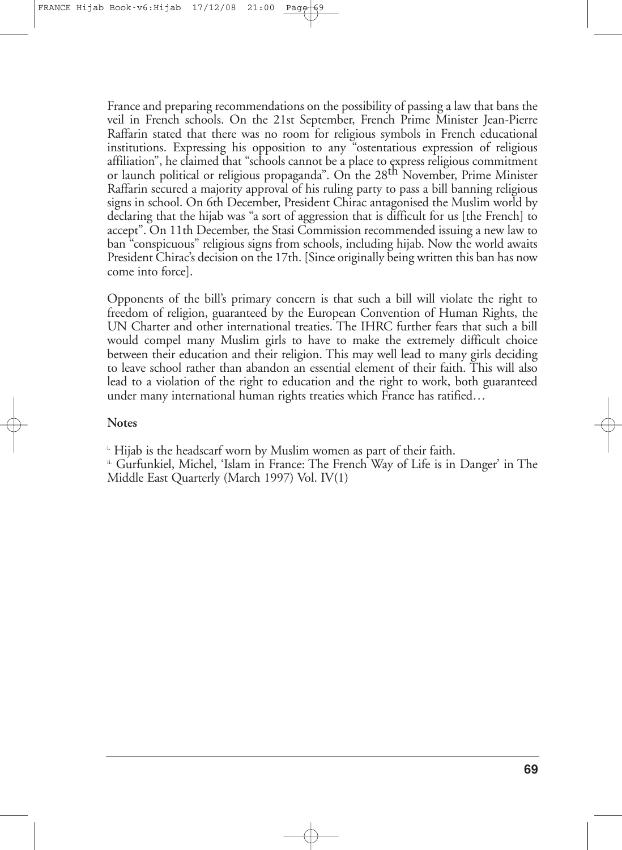France and preparing recommendations on the possibility of passing a law that bans the veil in French schools. On the 21st September, French Prime Minister Jean-Pierre Raffarin stated that there was no room for religious symbols in French educational institutions. Expressing his opposition to any "ostentatious expression of religious affiliation", he claimed that "schools cannot be a place to express religious commitment or launch political or religious propaganda". On the 28<sup>th</sup> November, Prime Minister Raffarin secured a majority approval of his ruling party to pass a bill banning religious signs in school. On 6th December, President Chirac antagonised the Muslim world by declaring that the hijab was "a sort of aggression that is difficult for us [the French] to accept". On 11th December, the Stasi Commission recommended issuing a new law to ban "conspicuous" religious signs from schools, including hijab. Now the world awaits President Chirac's decision on the 17th. [Since originally being written this ban has now come into force].

Opponents of the bill's primary concern is that such a bill will violate the right to freedom of religion, guaranteed by the European Convention of Human Rights, the UN Charter and other international treaties. The IHRC further fears that such a bill would compel many Muslim girls to have to make the extremely difficult choice between their education and their religion. This may well lead to many girls deciding to leave school rather than abandon an essential element of their faith. This will also lead to a violation of the right to education and the right to work, both guaranteed under many international human rights treaties which France has ratified…

#### **Notes**

i. Hijab is the headscarf worn by Muslim women as part of their faith.

ii. Gurfunkiel, Michel, 'Islam in France: The French Way of Life is in Danger' in The Middle East Quarterly (March 1997) Vol. IV(1)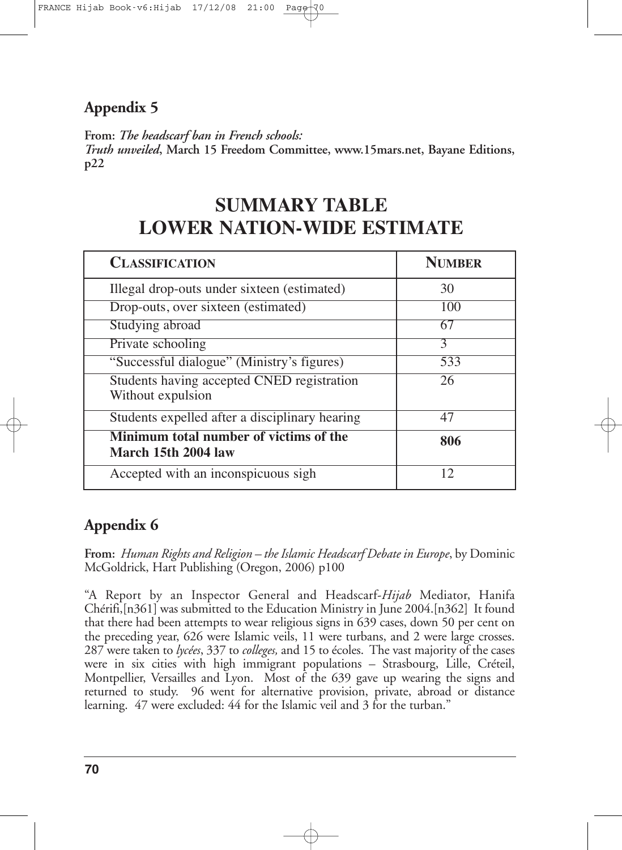# **Appendix 5**

**From:** *The headscarf ban in French schools:*

*Truth unveiled***, March 15 Freedom Committee, www.15mars.net, Bayane Editions, p22**

# **SUMMARY TABLE LOWER NATION-WIDE ESTIMATE**

| <b>CLASSIFICATION</b>                                           | <b>NUMBER</b> |
|-----------------------------------------------------------------|---------------|
| Illegal drop-outs under sixteen (estimated)                     | 30            |
| Drop-outs, over sixteen (estimated)                             | 100           |
| Studying abroad                                                 | 67            |
| Private schooling                                               | 3             |
| "Successful dialogue" (Ministry's figures)                      | 533           |
| Students having accepted CNED registration<br>Without expulsion | 26            |
| Students expelled after a disciplinary hearing                  | 47            |
| Minimum total number of victims of the<br>March 15th 2004 law   | 806           |
| Accepted with an inconspicuous sigh                             | 12            |

# **Appendix 6**

**From:** *Human Rights and Religion – the Islamic Headscarf Debate in Europe*, by Dominic McGoldrick, Hart Publishing (Oregon, 2006) p100

"A Report by an Inspector General and Headscarf-*Hijab* Mediator, Hanifa Chérifi,[n361] was submitted to the Education Ministry in June 2004.[n362] It found that there had been attempts to wear religious signs in 639 cases, down 50 per cent on the preceding year, 626 were Islamic veils, 11 were turbans, and 2 were large crosses. 287 were taken to *lycées*, 337 to *colleges,* and 15 to écoles. The vast majority of the cases were in six cities with high immigrant populations – Strasbourg, Lille, Créteil, Montpellier, Versailles and Lyon. Most of the 639 gave up wearing the signs and returned to study. 96 went for alternative provision, private, abroad or distance learning. 47 were excluded: 44 for the Islamic veil and 3 for the turban."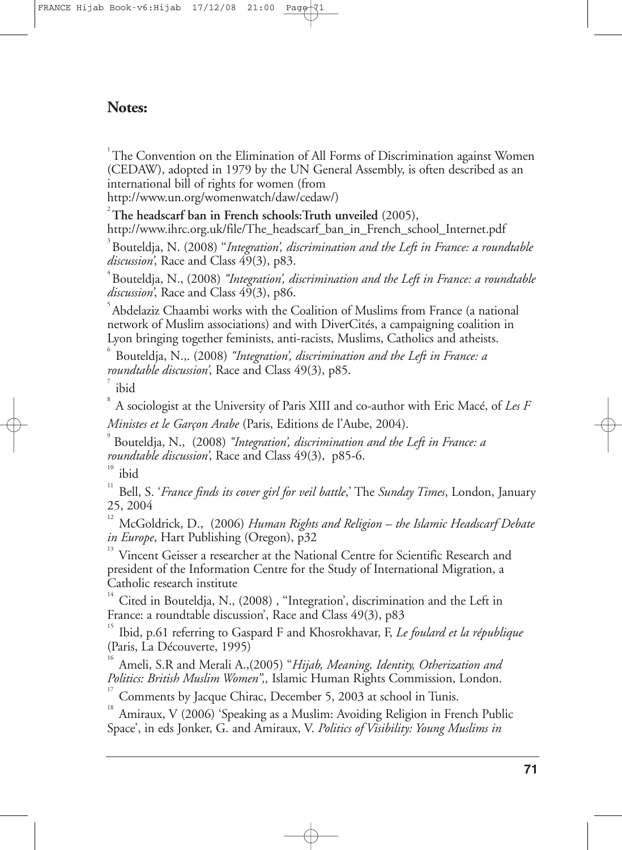# **Notes:**

 $1$ <sup>1</sup>The Convention on the Elimination of All Forms of Discrimination against Women (CEDAW), adopted in 1979 by the UN General Assembly, is often described as an international bill of rights for women (from

http://www.un.org/womenwatch/daw/cedaw/)

2 **The headscarf ban in French schools:Truth unveiled** (2005), http://www.ihrc.org.uk/file/The\_headscarf\_ban\_in\_French\_school\_Internet.pdf

3 Bouteldja, N. (2008) ''*Integration', discrimination and the Left in France: a roundtable* discussion<sup>'</sup>, Race and Class 49(3), p83.

4 Bouteldja, N., (2008) *''Integration', discrimination and the Left in France: a roundtable* discussion<sup>'</sup>, Race and Class 49(3), p86.

5 Abdelaziz Chaambi works with the Coalition of Muslims from France (a national network of Muslim associations) and with DiverCités, a campaigning coalition in Lyon bringing together feminists, anti-racists, Muslims, Catholics and atheists.

6 Bouteldja, N.,. (2008) *''Integration', discrimination and the Left in France: a roundtable discussion'*, Race and Class 49(3), p85.

7 ibid

8 A sociologist at the University of Paris XIII and co-author with Eric Macé, of *Les F Ministes et le Garçon Arabe* (Paris, Editions de l'Aube, 2004).

9 Bouteldja, N., (2008) *''Integration', discrimination and the Left in France: a roundtable discussion'*, Race and Class 49(3), p85-6.

10 ibid

11 Bell, S. '*France finds its cover girl for veil battle*,' The *Sunday Times*, London, January 25, 2004

12 McGoldrick, D., (2006) *Human Rights and Religion – the Islamic Headscarf Debate in Europe*, Hart Publishing (Oregon), p32

13 Vincent Geisser a researcher at the National Centre for Scientific Research and president of the Information Centre for the Study of International Migration, a Catholic research institute

14 Cited in Bouteldja, N., (2008) , ''Integration', discrimination and the Left in France: a roundtable discussion', Race and Class 49(3), p83

15 Ibid, p.61 referring to Gaspard F and Khosrokhavar, F, *Le foulard et la république* (Paris, La Découverte, 1995)

16 Ameli, S.R and Merali A.,(2005) "*Hijab, Meaning, Identity, Otherization and Politics: British Muslim Women",,* Islamic Human Rights Commission, London.

17 Comments by Jacque Chirac, December 5, 2003 at school in Tunis.

18 Amiraux, V (2006) 'Speaking as a Muslim: Avoiding Religion in French Public Space', in eds Jonker, G. and Amiraux, V. *Politics of Visibility: Young Muslims in*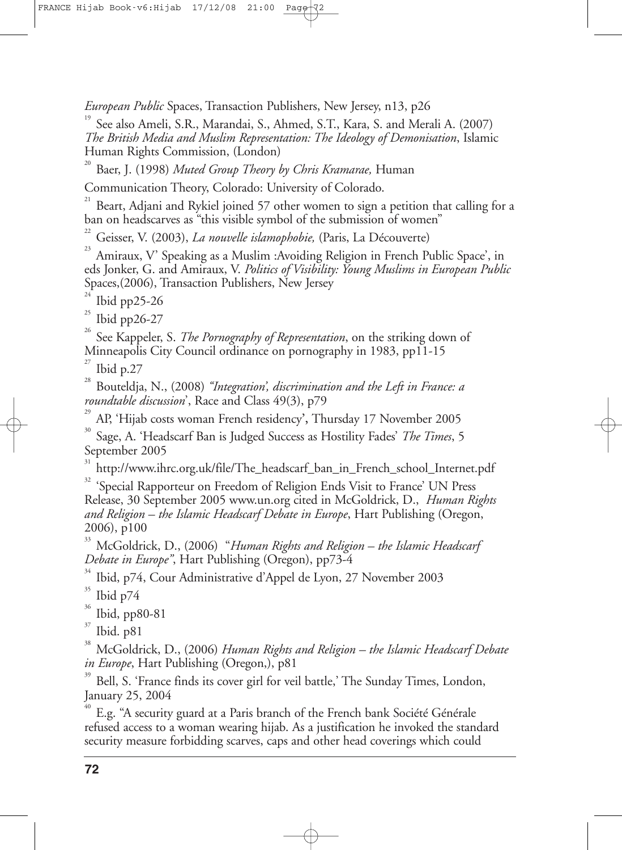*European Public* Spaces, Transaction Publishers, New Jersey, n13, p26

19 See also Ameli, S.R., Marandai, S., Ahmed, S.T., Kara, S. and Merali A. (2007) *The British Media and Muslim Representation: The Ideology of Demonisation*, Islamic Human Rights Commission, (London)

20 Baer, J. (1998) *Muted Group Theory by Chris Kramarae,* Human

Communication Theory, Colorado: University of Colorado.

21 Beart, Adjani and Rykiel joined 57 other women to sign a petition that calling for a ban on headscarves as "this visible symbol of the submission of women"

22 Geisser, V. (2003), *La nouvelle islamophobie,* (Paris, La Découverte)

23 Amiraux, V' Speaking as a Muslim :Avoiding Religion in French Public Space', in eds Jonker, G. and Amiraux, V. *Politics of Visibility: Young Muslims in European Public* Spaces,(2006), Transaction Publishers, New Jersey

24 Ibid pp25-26

25 Ibid pp26-27

26 See Kappeler, S. *The Pornography of Representation*, on the striking down of Minneapolis City Council ordinance on pornography in 1983, pp11-15

27 Ibid p.27

28 Bouteldja, N., (2008) *''Integration', discrimination and the Left in France: a roundtable discussion*', Race and Class 49(3), p79

29 AP, 'Hijab costs woman French residency**',** Thursday 17 November 2005

30 Sage, A. 'Headscarf Ban is Judged Success as Hostility Fades' *The Times*, 5 September 2005

31 http://www.ihrc.org.uk/file/The\_headscarf\_ban\_in\_French\_school\_Internet.pdf

<sup>32</sup> 'Special Rapporteur on Freedom of Religion Ends Visit to France' UN Press Release, 30 September 2005 www.un.org cited in McGoldrick, D., *Human Rights and Religion – the Islamic Headscarf Debate in Europe*, Hart Publishing (Oregon, 2006), p100

33 McGoldrick, D., (2006) "*Human Rights and Religion – the Islamic Headscarf Debate in Europe"*, Hart Publishing (Oregon), pp73-4

34 Ibid, p74, Cour Administrative d'Appel de Lyon, 27 November 2003

35 Ibid p74

36 Ibid, pp80-81

37 Ibid. p81

38 McGoldrick, D., (2006) *Human Rights and Religion – the Islamic Headscarf Debate in Europe*, Hart Publishing (Oregon,), p81

39 Bell, S. 'France finds its cover girl for veil battle,' The Sunday Times, London, January 25, 2004

40 E.g. "A security guard at a Paris branch of the French bank Société Générale refused access to a woman wearing hijab. As a justification he invoked the standard security measure forbidding scarves, caps and other head coverings which could